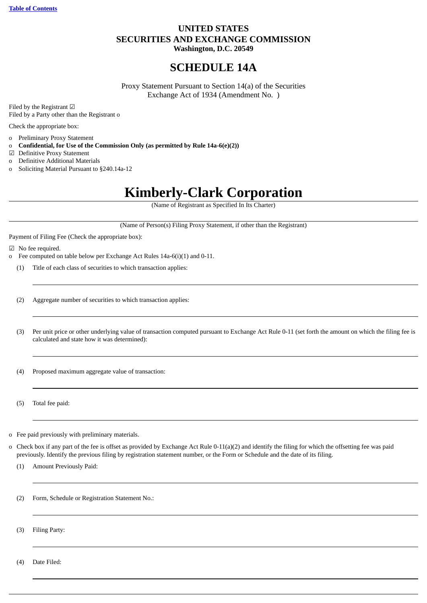# **UNITED STATES SECURITIES AND EXCHANGE COMMISSION Washington, D.C. 20549**

# **SCHEDULE 14A**

Proxy Statement Pursuant to Section 14(a) of the Securities Exchange Act of 1934 (Amendment No. )

Filed by the Registrant ☑ Filed by a Party other than the Registrant o

Check the appropriate box:

- o Preliminary Proxy Statement
- o **Confidential, for Use of the Commission Only (as permitted by Rule 14a-6(e)(2))**
- ☑ Definitive Proxy Statement
- o Definitive Additional Materials
- o Soliciting Material Pursuant to §240.14a-12

# **Kimberly-Clark Corporation**

(Name of Registrant as Specified In Its Charter)

(Name of Person(s) Filing Proxy Statement, if other than the Registrant)

Payment of Filing Fee (Check the appropriate box):

☑ No fee required.

- o Fee computed on table below per Exchange Act Rules 14a-6(i)(1) and 0-11.
	- (1) Title of each class of securities to which transaction applies:
	- (2) Aggregate number of securities to which transaction applies:
	- (3) Per unit price or other underlying value of transaction computed pursuant to Exchange Act Rule 0-11 (set forth the amount on which the filing fee is calculated and state how it was determined):

(4) Proposed maximum aggregate value of transaction:

(5) Total fee paid:

- o Fee paid previously with preliminary materials.
- o Check box if any part of the fee is offset as provided by Exchange Act Rule 0-11(a)(2) and identify the filing for which the offsetting fee was paid previously. Identify the previous filing by registration statement number, or the Form or Schedule and the date of its filing.
	- (1) Amount Previously Paid:

(2) Form, Schedule or Registration Statement No.:

(3) Filing Party:

(4) Date Filed: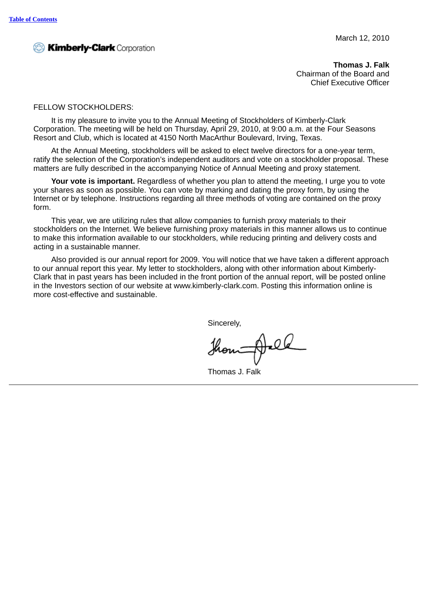**<sup>2</sup><sup>3</sup> Kimberly-Clark** Corporation

**Thomas J. Falk** Chairman of the Board and Chief Executive Officer

# FELLOW STOCKHOLDERS:

It is my pleasure to invite you to the Annual Meeting of Stockholders of Kimberly-Clark Corporation. The meeting will be held on Thursday, April 29, 2010, at 9:00 a.m. at the Four Seasons Resort and Club, which is located at 4150 North MacArthur Boulevard, Irving, Texas.

At the Annual Meeting, stockholders will be asked to elect twelve directors for a one-year term, ratify the selection of the Corporation's independent auditors and vote on a stockholder proposal. These matters are fully described in the accompanying Notice of Annual Meeting and proxy statement.

**Your vote is important.** Regardless of whether you plan to attend the meeting, I urge you to vote your shares as soon as possible. You can vote by marking and dating the proxy form, by using the Internet or by telephone. Instructions regarding all three methods of voting are contained on the proxy form.

This year, we are utilizing rules that allow companies to furnish proxy materials to their stockholders on the Internet. We believe furnishing proxy materials in this manner allows us to continue to make this information available to our stockholders, while reducing printing and delivery costs and acting in a sustainable manner.

Also provided is our annual report for 2009. You will notice that we have taken a different approach to our annual report this year. My letter to stockholders, along with other information about Kimberly-Clark that in past years has been included in the front portion of the annual report, will be posted online in the Investors section of our website at www.kimberly-clark.com. Posting this information online is more cost-effective and sustainable.

Sincerely,

thou All

Thomas J. Falk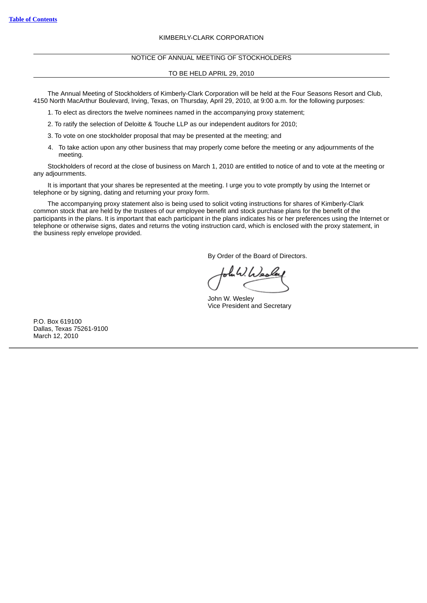# KIMBERLY-CLARK CORPORATION

# NOTICE OF ANNUAL MEETING OF STOCKHOLDERS

# TO BE HELD APRIL 29, 2010

The Annual Meeting of Stockholders of Kimberly-Clark Corporation will be held at the Four Seasons Resort and Club, 4150 North MacArthur Boulevard, Irving, Texas, on Thursday, April 29, 2010, at 9:00 a.m. for the following purposes:

1. To elect as directors the twelve nominees named in the accompanying proxy statement;

2. To ratify the selection of Deloitte & Touche LLP as our independent auditors for 2010;

3. To vote on one stockholder proposal that may be presented at the meeting; and

4. To take action upon any other business that may properly come before the meeting or any adjournments of the meeting.

Stockholders of record at the close of business on March 1, 2010 are entitled to notice of and to vote at the meeting or any adjournments.

It is important that your shares be represented at the meeting. I urge you to vote promptly by using the Internet or telephone or by signing, dating and returning your proxy form.

The accompanying proxy statement also is being used to solicit voting instructions for shares of Kimberly-Clark common stock that are held by the trustees of our employee benefit and stock purchase plans for the benefit of the participants in the plans. It is important that each participant in the plans indicates his or her preferences using the Internet or telephone or otherwise signs, dates and returns the voting instruction card, which is enclosed with the proxy statement, in the business reply envelope provided.

By Order of the Board of Directors.

John W. Wesley Vice President and Secretary

P.O. Box 619100 Dallas, Texas 75261-9100 March 12, 2010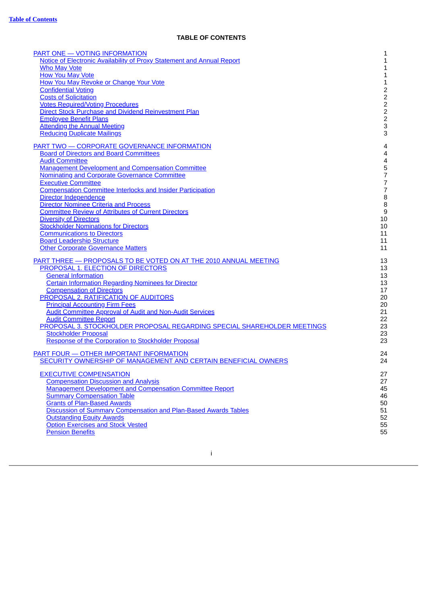# **TABLE OF CONTENTS**

<span id="page-4-0"></span>

| <b>PART ONE - VOTING INFORMATION</b><br>Notice of Electronic Availability of Proxy Statement and Annual Report<br><b>Who May Vote</b><br><b>How You May Vote</b><br>How You May Revoke or Change Your Vote<br><b>Confidential Voting</b><br><b>Costs of Solicitation</b><br><b>Votes Required/Voting Procedures</b><br><b>Direct Stock Purchase and Dividend Reinvestment Plan</b><br><b>Employee Benefit Plans</b><br><b>Attending the Annual Meeting</b><br><b>Reducing Duplicate Mailings</b> | 1<br>$\mathbf 1$<br>$\mathbf 1$<br>$\mathbf 1$<br>$\mathbf 1$<br>$\begin{array}{c} 2 \\ 2 \\ 2 \end{array}$<br>$\frac{2}{2}$<br>3<br>3 |
|--------------------------------------------------------------------------------------------------------------------------------------------------------------------------------------------------------------------------------------------------------------------------------------------------------------------------------------------------------------------------------------------------------------------------------------------------------------------------------------------------|----------------------------------------------------------------------------------------------------------------------------------------|
| <b>PART TWO - CORPORATE GOVERNANCE INFORMATION</b>                                                                                                                                                                                                                                                                                                                                                                                                                                               | 4                                                                                                                                      |
| <b>Board of Directors and Board Committees</b>                                                                                                                                                                                                                                                                                                                                                                                                                                                   | $\overline{\mathcal{L}}$                                                                                                               |
| <b>Audit Committee</b>                                                                                                                                                                                                                                                                                                                                                                                                                                                                           | $\overline{\mathcal{L}}$                                                                                                               |
| <b>Management Development and Compensation Committee</b>                                                                                                                                                                                                                                                                                                                                                                                                                                         | 5                                                                                                                                      |
| Nominating and Corporate Governance Committee                                                                                                                                                                                                                                                                                                                                                                                                                                                    | $\boldsymbol{7}$                                                                                                                       |
| <b>Executive Committee</b>                                                                                                                                                                                                                                                                                                                                                                                                                                                                       | $\overline{\mathcal{I}}$                                                                                                               |
| <b>Compensation Committee Interlocks and Insider Participation</b>                                                                                                                                                                                                                                                                                                                                                                                                                               | $\overline{7}$                                                                                                                         |
| Director Independence                                                                                                                                                                                                                                                                                                                                                                                                                                                                            | 8                                                                                                                                      |
| <b>Director Nominee Criteria and Process</b>                                                                                                                                                                                                                                                                                                                                                                                                                                                     | $\, 8$                                                                                                                                 |
| <b>Committee Review of Attributes of Current Directors</b>                                                                                                                                                                                                                                                                                                                                                                                                                                       | $\boldsymbol{9}$                                                                                                                       |
| <b>Diversity of Directors</b>                                                                                                                                                                                                                                                                                                                                                                                                                                                                    | 10                                                                                                                                     |
| <b>Stockholder Nominations for Directors</b>                                                                                                                                                                                                                                                                                                                                                                                                                                                     | 10                                                                                                                                     |
| <b>Communications to Directors</b>                                                                                                                                                                                                                                                                                                                                                                                                                                                               | 11                                                                                                                                     |
| <b>Board Leadership Structure</b>                                                                                                                                                                                                                                                                                                                                                                                                                                                                | 11                                                                                                                                     |
| <b>Other Corporate Governance Matters</b>                                                                                                                                                                                                                                                                                                                                                                                                                                                        | 11                                                                                                                                     |
| <b>PART THREE - PROPOSALS TO BE VOTED ON AT THE 2010 ANNUAL MEETING</b>                                                                                                                                                                                                                                                                                                                                                                                                                          | 13                                                                                                                                     |
| PROPOSAL 1. ELECTION OF DIRECTORS                                                                                                                                                                                                                                                                                                                                                                                                                                                                | 13                                                                                                                                     |
| <b>General Information</b>                                                                                                                                                                                                                                                                                                                                                                                                                                                                       | 13                                                                                                                                     |
| <b>Certain Information Regarding Nominees for Director</b>                                                                                                                                                                                                                                                                                                                                                                                                                                       | 13                                                                                                                                     |
| <b>Compensation of Directors</b>                                                                                                                                                                                                                                                                                                                                                                                                                                                                 | 17                                                                                                                                     |
| PROPOSAL 2. RATIFICATION OF AUDITORS                                                                                                                                                                                                                                                                                                                                                                                                                                                             | 20                                                                                                                                     |
| <b>Principal Accounting Firm Fees</b>                                                                                                                                                                                                                                                                                                                                                                                                                                                            | 20                                                                                                                                     |
| <b>Audit Committee Approval of Audit and Non-Audit Services</b>                                                                                                                                                                                                                                                                                                                                                                                                                                  | 21                                                                                                                                     |
| <b>Audit Committee Report</b>                                                                                                                                                                                                                                                                                                                                                                                                                                                                    | 22                                                                                                                                     |
| PROPOSAL 3. STOCKHOLDER PROPOSAL REGARDING SPECIAL SHAREHOLDER MEETINGS                                                                                                                                                                                                                                                                                                                                                                                                                          | 23                                                                                                                                     |
| <b>Stockholder Proposal</b>                                                                                                                                                                                                                                                                                                                                                                                                                                                                      | 23                                                                                                                                     |
| Response of the Corporation to Stockholder Proposal                                                                                                                                                                                                                                                                                                                                                                                                                                              | 23                                                                                                                                     |
| <b>PART FOUR - OTHER IMPORTANT INFORMATION</b>                                                                                                                                                                                                                                                                                                                                                                                                                                                   | 24                                                                                                                                     |
| SECURITY OWNERSHIP OF MANAGEMENT AND CERTAIN BENEFICIAL OWNERS                                                                                                                                                                                                                                                                                                                                                                                                                                   | 24                                                                                                                                     |
| <b>EXECUTIVE COMPENSATION</b>                                                                                                                                                                                                                                                                                                                                                                                                                                                                    | 27                                                                                                                                     |
| <b>Compensation Discussion and Analysis</b>                                                                                                                                                                                                                                                                                                                                                                                                                                                      | 27                                                                                                                                     |
| <b>Management Development and Compensation Committee Report</b>                                                                                                                                                                                                                                                                                                                                                                                                                                  | 45                                                                                                                                     |
| <b>Summary Compensation Table</b>                                                                                                                                                                                                                                                                                                                                                                                                                                                                | 46                                                                                                                                     |
| <b>Grants of Plan-Based Awards</b>                                                                                                                                                                                                                                                                                                                                                                                                                                                               | 50                                                                                                                                     |
| Discussion of Summary Compensation and Plan-Based Awards Tables                                                                                                                                                                                                                                                                                                                                                                                                                                  | 51                                                                                                                                     |
| <b>Outstanding Equity Awards</b>                                                                                                                                                                                                                                                                                                                                                                                                                                                                 | 52                                                                                                                                     |
| <b>Option Exercises and Stock Vested</b>                                                                                                                                                                                                                                                                                                                                                                                                                                                         | 55                                                                                                                                     |
| <b>Pension Benefits</b>                                                                                                                                                                                                                                                                                                                                                                                                                                                                          | 55                                                                                                                                     |

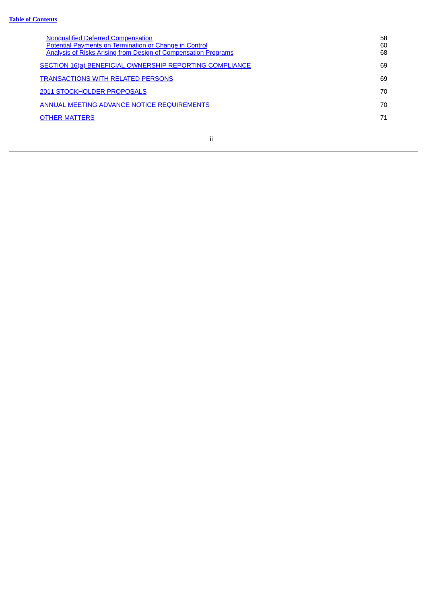| <b>Nonqualified Deferred Compensation</b><br>Potential Payments on Termination or Change in Control<br><b>Analysis of Risks Arising from Design of Compensation Programs</b> | 58<br>60<br>68 |
|------------------------------------------------------------------------------------------------------------------------------------------------------------------------------|----------------|
| SECTION 16(a) BENEFICIAL OWNERSHIP REPORTING COMPLIANCE                                                                                                                      | 69             |
| <b>TRANSACTIONS WITH RELATED PERSONS</b>                                                                                                                                     | 69             |
| 2011 STOCKHOLDER PROPOSALS                                                                                                                                                   | 70             |
| <b>ANNUAL MEETING ADVANCE NOTICE REQUIREMENTS</b>                                                                                                                            | 70             |
| <b>OTHER MATTERS</b>                                                                                                                                                         | 71             |
|                                                                                                                                                                              |                |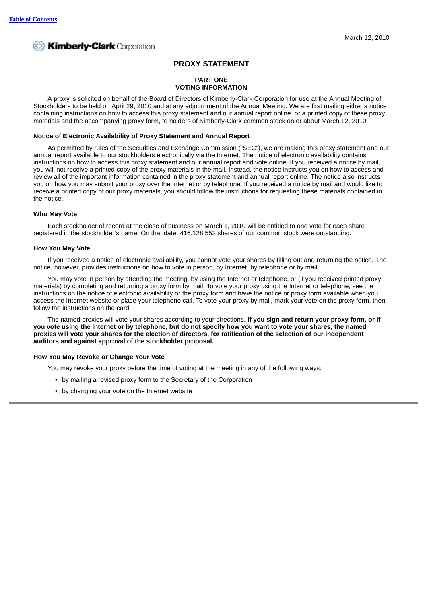# **PROXY STATEMENT**

# <span id="page-6-0"></span>**PART ONE VOTING INFORMATION**

A proxy is solicited on behalf of the Board of Directors of Kimberly-Clark Corporation for use at the Annual Meeting of Stockholders to be held on April 29, 2010 and at any adjournment of the Annual Meeting. We are first mailing either a notice containing instructions on how to access this proxy statement and our annual report online, or a printed copy of these proxy materials and the accompanying proxy form, to holders of Kimberly-Clark common stock on or about March 12, 2010.

# <span id="page-6-1"></span>**Notice of Electronic Availability of Proxy Statement and Annual Report**

As permitted by rules of the Securities and Exchange Commission ("SEC"), we are making this proxy statement and our annual report available to our stockholders electronically via the Internet. The notice of electronic availability contains instructions on how to access this proxy statement and our annual report and vote online. If you received a notice by mail, you will not receive a printed copy of the proxy materials in the mail. Instead, the notice instructs you on how to access and review all of the important information contained in the proxy statement and annual report online. The notice also instructs you on how you may submit your proxy over the Internet or by telephone. If you received a notice by mail and would like to receive a printed copy of our proxy materials, you should follow the instructions for requesting these materials contained in the notice.

# <span id="page-6-2"></span>**Who May Vote**

Each stockholder of record at the close of business on March 1, 2010 will be entitled to one vote for each share registered in the stockholder's name. On that date, 416,128,552 shares of our common stock were outstanding.

# <span id="page-6-3"></span>**How You May Vote**

If you received a notice of electronic availability, you cannot vote your shares by filling out and returning the notice. The notice, however, provides instructions on how to vote in person, by Internet, by telephone or by mail.

You may vote in person by attending the meeting, by using the Internet or telephone, or (if you received printed proxy materials) by completing and returning a proxy form by mail. To vote your proxy using the Internet or telephone, see the instructions on the notice of electronic availability or the proxy form and have the notice or proxy form available when you access the Internet website or place your telephone call. To vote your proxy by mail, mark your vote on the proxy form, then follow the instructions on the card.

The named proxies will vote your shares according to your directions. **If you sign and return your proxy form, or if** you vote using the Internet or by telephone, but do not specify how you want to vote your shares, the named proxies will vote your shares for the election of directors, for ratification of the selection of our independent **auditors and against approval of the stockholder proposal.**

# <span id="page-6-4"></span>**How You May Revoke or Change Your Vote**

You may revoke your proxy before the time of voting at the meeting in any of the following ways:

- by mailing a revised proxy form to the Secretary of the Corporation
- by changing your vote on the Internet website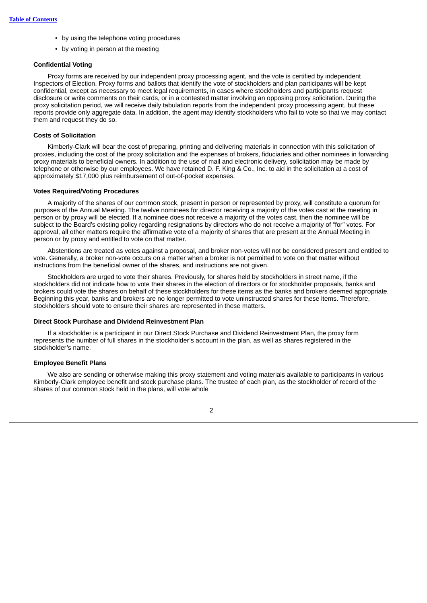- by using the telephone voting procedures
- by voting in person at the meeting

# <span id="page-7-0"></span>**Confidential Voting**

Proxy forms are received by our independent proxy processing agent, and the vote is certified by independent Inspectors of Election. Proxy forms and ballots that identify the vote of stockholders and plan participants will be kept confidential, except as necessary to meet legal requirements, in cases where stockholders and participants request disclosure or write comments on their cards, or in a contested matter involving an opposing proxy solicitation. During the proxy solicitation period, we will receive daily tabulation reports from the independent proxy processing agent, but these reports provide only aggregate data. In addition, the agent may identify stockholders who fail to vote so that we may contact them and request they do so.

# <span id="page-7-1"></span>**Costs of Solicitation**

Kimberly-Clark will bear the cost of preparing, printing and delivering materials in connection with this solicitation of proxies, including the cost of the proxy solicitation and the expenses of brokers, fiduciaries and other nominees in forwarding proxy materials to beneficial owners. In addition to the use of mail and electronic delivery, solicitation may be made by telephone or otherwise by our employees. We have retained D. F. King & Co., Inc. to aid in the solicitation at a cost of approximately \$17,000 plus reimbursement of out-of-pocket expenses.

# <span id="page-7-2"></span>**Votes Required/Voting Procedures**

A majority of the shares of our common stock, present in person or represented by proxy, will constitute a quorum for purposes of the Annual Meeting. The twelve nominees for director receiving a majority of the votes cast at the meeting in person or by proxy will be elected. If a nominee does not receive a majority of the votes cast, then the nominee will be subject to the Board's existing policy regarding resignations by directors who do not receive a majority of "for" votes. For approval, all other matters require the affirmative vote of a majority of shares that are present at the Annual Meeting in person or by proxy and entitled to vote on that matter.

Abstentions are treated as votes against a proposal, and broker non-votes will not be considered present and entitled to vote. Generally, a broker non-vote occurs on a matter when a broker is not permitted to vote on that matter without instructions from the beneficial owner of the shares, and instructions are not given.

Stockholders are urged to vote their shares. Previously, for shares held by stockholders in street name, if the stockholders did not indicate how to vote their shares in the election of directors or for stockholder proposals, banks and brokers could vote the shares on behalf of these stockholders for these items as the banks and brokers deemed appropriate. Beginning this year, banks and brokers are no longer permitted to vote uninstructed shares for these items. Therefore, stockholders should vote to ensure their shares are represented in these matters.

#### <span id="page-7-3"></span>**Direct Stock Purchase and Dividend Reinvestment Plan**

If a stockholder is a participant in our Direct Stock Purchase and Dividend Reinvestment Plan, the proxy form represents the number of full shares in the stockholder's account in the plan, as well as shares registered in the stockholder's name.

# <span id="page-7-4"></span>**Employee Benefit Plans**

We also are sending or otherwise making this proxy statement and voting materials available to participants in various Kimberly-Clark employee benefit and stock purchase plans. The trustee of each plan, as the stockholder of record of the shares of our common stock held in the plans, will vote whole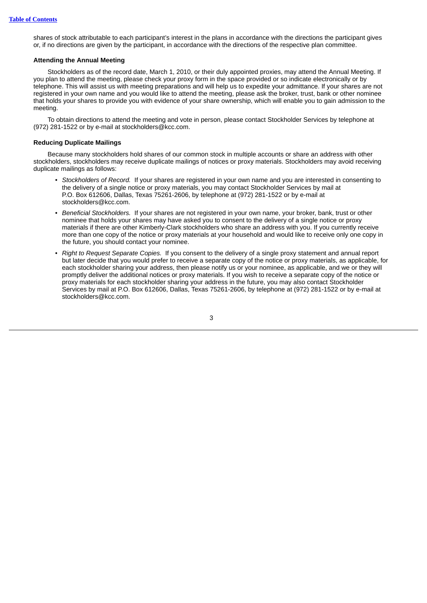shares of stock attributable to each participant's interest in the plans in accordance with the directions the participant gives or, if no directions are given by the participant, in accordance with the directions of the respective plan committee.

# <span id="page-8-0"></span>**Attending the Annual Meeting**

Stockholders as of the record date, March 1, 2010, or their duly appointed proxies, may attend the Annual Meeting. If you plan to attend the meeting, please check your proxy form in the space provided or so indicate electronically or by telephone. This will assist us with meeting preparations and will help us to expedite your admittance. If your shares are not registered in your own name and you would like to attend the meeting, please ask the broker, trust, bank or other nominee that holds your shares to provide you with evidence of your share ownership, which will enable you to gain admission to the meeting.

To obtain directions to attend the meeting and vote in person, please contact Stockholder Services by telephone at (972) 281-1522 or by e-mail at stockholders@kcc.com.

# <span id="page-8-1"></span>**Reducing Duplicate Mailings**

Because many stockholders hold shares of our common stock in multiple accounts or share an address with other stockholders, stockholders may receive duplicate mailings of notices or proxy materials. Stockholders may avoid receiving duplicate mailings as follows:

- *Stockholders of Record.* If your shares are registered in your own name and you are interested in consenting to the delivery of a single notice or proxy materials, you may contact Stockholder Services by mail at P.O. Box 612606, Dallas, Texas 75261-2606, by telephone at (972) 281-1522 or by e-mail at stockholders@kcc.com.
- *Beneficial Stockholders.* If your shares are not registered in your own name, your broker, bank, trust or other nominee that holds your shares may have asked you to consent to the delivery of a single notice or proxy materials if there are other Kimberly-Clark stockholders who share an address with you. If you currently receive more than one copy of the notice or proxy materials at your household and would like to receive only one copy in the future, you should contact your nominee.
- *Right to Request Separate Copies.* If you consent to the delivery of a single proxy statement and annual report but later decide that you would prefer to receive a separate copy of the notice or proxy materials, as applicable, for each stockholder sharing your address, then please notify us or your nominee, as applicable, and we or they will promptly deliver the additional notices or proxy materials. If you wish to receive a separate copy of the notice or proxy materials for each stockholder sharing your address in the future, you may also contact Stockholder Services by mail at P.O. Box 612606, Dallas, Texas 75261-2606, by telephone at (972) 281-1522 or by e-mail at stockholders@kcc.com.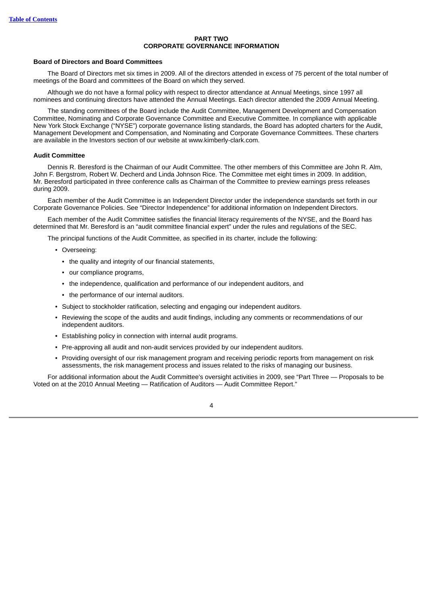# **PART TWO CORPORATE GOVERNANCE INFORMATION**

# <span id="page-9-1"></span><span id="page-9-0"></span>**Board of Directors and Board Committees**

The Board of Directors met six times in 2009. All of the directors attended in excess of 75 percent of the total number of meetings of the Board and committees of the Board on which they served.

Although we do not have a formal policy with respect to director attendance at Annual Meetings, since 1997 all nominees and continuing directors have attended the Annual Meetings. Each director attended the 2009 Annual Meeting.

The standing committees of the Board include the Audit Committee, Management Development and Compensation Committee, Nominating and Corporate Governance Committee and Executive Committee. In compliance with applicable New York Stock Exchange ("NYSE") corporate governance listing standards, the Board has adopted charters for the Audit, Management Development and Compensation, and Nominating and Corporate Governance Committees. These charters are available in the Investors section of our website at www.kimberly-clark.com.

# <span id="page-9-2"></span>**Audit Committee**

Dennis R. Beresford is the Chairman of our Audit Committee. The other members of this Committee are John R. Alm, John F. Bergstrom, Robert W. Decherd and Linda Johnson Rice. The Committee met eight times in 2009. In addition, Mr. Beresford participated in three conference calls as Chairman of the Committee to preview earnings press releases during 2009.

Each member of the Audit Committee is an Independent Director under the independence standards set forth in our Corporate Governance Policies. See "Director Independence" for additional information on Independent Directors.

Each member of the Audit Committee satisfies the financial literacy requirements of the NYSE, and the Board has determined that Mr. Beresford is an "audit committee financial expert" under the rules and regulations of the SEC.

The principal functions of the Audit Committee, as specified in its charter, include the following:

- Overseeing:
	- the quality and integrity of our financial statements,
	- our compliance programs,
	- the independence, qualification and performance of our independent auditors, and
	- the performance of our internal auditors.
- Subject to stockholder ratification, selecting and engaging our independent auditors.
- Reviewing the scope of the audits and audit findings, including any comments or recommendations of our independent auditors.
- Establishing policy in connection with internal audit programs.
- Pre-approving all audit and non-audit services provided by our independent auditors.
- Providing oversight of our risk management program and receiving periodic reports from management on risk assessments, the risk management process and issues related to the risks of managing our business.

For additional information about the Audit Committee's oversight activities in 2009, see "Part Three — Proposals to be Voted on at the 2010 Annual Meeting — Ratification of Auditors — Audit Committee Report."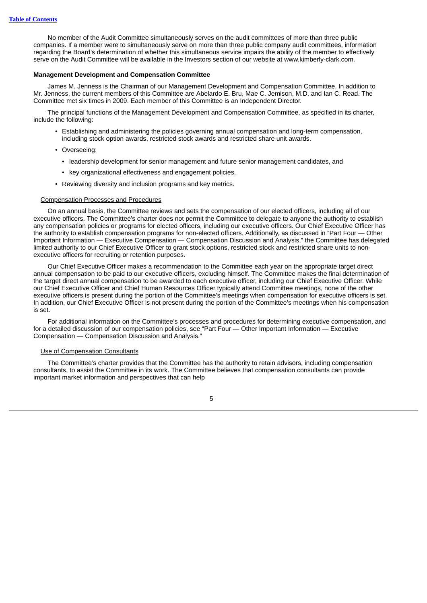No member of the Audit Committee simultaneously serves on the audit committees of more than three public companies. If a member were to simultaneously serve on more than three public company audit committees, information regarding the Board's determination of whether this simultaneous service impairs the ability of the member to effectively serve on the Audit Committee will be available in the Investors section of our website at www.kimberly-clark.com.

# <span id="page-10-0"></span>**Management Development and Compensation Committee**

James M. Jenness is the Chairman of our Management Development and Compensation Committee. In addition to Mr. Jenness, the current members of this Committee are Abelardo E. Bru, Mae C. Jemison, M.D. and Ian C. Read. The Committee met six times in 2009. Each member of this Committee is an Independent Director.

The principal functions of the Management Development and Compensation Committee, as specified in its charter, include the following:

- Establishing and administering the policies governing annual compensation and long-term compensation, including stock option awards, restricted stock awards and restricted share unit awards.
- Overseeing:
	- leadership development for senior management and future senior management candidates, and
	- key organizational effectiveness and engagement policies.
- Reviewing diversity and inclusion programs and key metrics.

# Compensation Processes and Procedures

On an annual basis, the Committee reviews and sets the compensation of our elected officers, including all of our executive officers. The Committee's charter does not permit the Committee to delegate to anyone the authority to establish any compensation policies or programs for elected officers, including our executive officers. Our Chief Executive Officer has the authority to establish compensation programs for non-elected officers. Additionally, as discussed in "Part Four — Other Important Information — Executive Compensation — Compensation Discussion and Analysis," the Committee has delegated limited authority to our Chief Executive Officer to grant stock options, restricted stock and restricted share units to nonexecutive officers for recruiting or retention purposes.

Our Chief Executive Officer makes a recommendation to the Committee each year on the appropriate target direct annual compensation to be paid to our executive officers, excluding himself. The Committee makes the final determination of the target direct annual compensation to be awarded to each executive officer, including our Chief Executive Officer. While our Chief Executive Officer and Chief Human Resources Officer typically attend Committee meetings, none of the other executive officers is present during the portion of the Committee's meetings when compensation for executive officers is set. In addition, our Chief Executive Officer is not present during the portion of the Committee's meetings when his compensation is set.

For additional information on the Committee's processes and procedures for determining executive compensation, and for a detailed discussion of our compensation policies, see "Part Four — Other Important Information — Executive Compensation — Compensation Discussion and Analysis."

# Use of Compensation Consultants

The Committee's charter provides that the Committee has the authority to retain advisors, including compensation consultants, to assist the Committee in its work. The Committee believes that compensation consultants can provide important market information and perspectives that can help

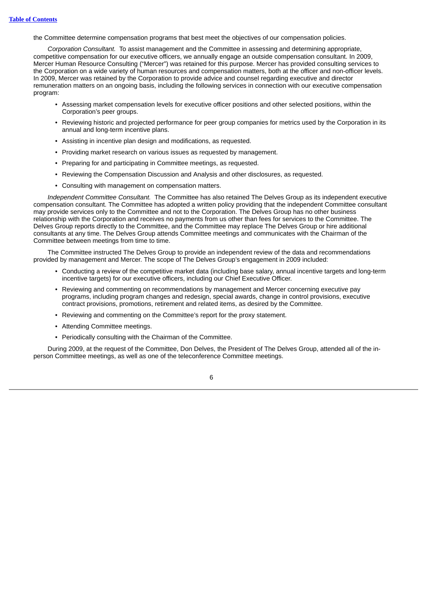the Committee determine compensation programs that best meet the objectives of our compensation policies.

*Corporation Consultant.* To assist management and the Committee in assessing and determining appropriate, competitive compensation for our executive officers, we annually engage an outside compensation consultant. In 2009, Mercer Human Resource Consulting ("Mercer") was retained for this purpose. Mercer has provided consulting services to the Corporation on a wide variety of human resources and compensation matters, both at the officer and non-officer levels. In 2009, Mercer was retained by the Corporation to provide advice and counsel regarding executive and director remuneration matters on an ongoing basis, including the following services in connection with our executive compensation program:

- Assessing market compensation levels for executive officer positions and other selected positions, within the Corporation's peer groups.
- Reviewing historic and projected performance for peer group companies for metrics used by the Corporation in its annual and long-term incentive plans.
- Assisting in incentive plan design and modifications, as requested.
- Providing market research on various issues as requested by management.
- Preparing for and participating in Committee meetings, as requested.
- Reviewing the Compensation Discussion and Analysis and other disclosures, as requested.
- Consulting with management on compensation matters.

*Independent Committee Consultant.* The Committee has also retained The Delves Group as its independent executive compensation consultant. The Committee has adopted a written policy providing that the independent Committee consultant may provide services only to the Committee and not to the Corporation. The Delves Group has no other business relationship with the Corporation and receives no payments from us other than fees for services to the Committee. The Delves Group reports directly to the Committee, and the Committee may replace The Delves Group or hire additional consultants at any time. The Delves Group attends Committee meetings and communicates with the Chairman of the Committee between meetings from time to time.

The Committee instructed The Delves Group to provide an independent review of the data and recommendations provided by management and Mercer. The scope of The Delves Group's engagement in 2009 included:

- Conducting a review of the competitive market data (including base salary, annual incentive targets and long-term incentive targets) for our executive officers, including our Chief Executive Officer.
- Reviewing and commenting on recommendations by management and Mercer concerning executive pay programs, including program changes and redesign, special awards, change in control provisions, executive contract provisions, promotions, retirement and related items, as desired by the Committee.
- Reviewing and commenting on the Committee's report for the proxy statement.
- Attending Committee meetings.
- Periodically consulting with the Chairman of the Committee.

During 2009, at the request of the Committee, Don Delves, the President of The Delves Group, attended all of the inperson Committee meetings, as well as one of the teleconference Committee meetings.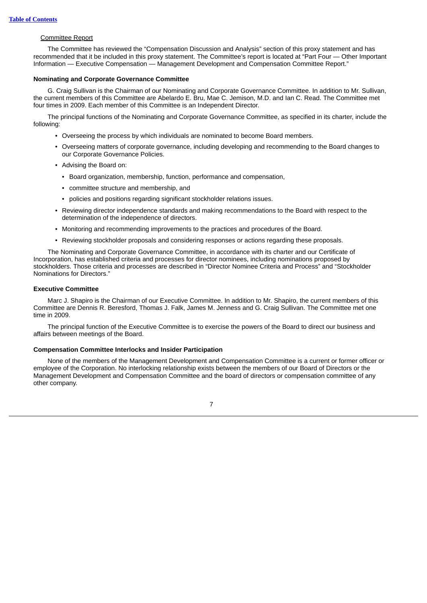# Committee Report

The Committee has reviewed the "Compensation Discussion and Analysis" section of this proxy statement and has recommended that it be included in this proxy statement. The Committee's report is located at "Part Four — Other Important Information — Executive Compensation — Management Development and Compensation Committee Report."

# <span id="page-12-0"></span>**Nominating and Corporate Governance Committee**

G. Craig Sullivan is the Chairman of our Nominating and Corporate Governance Committee. In addition to Mr. Sullivan, the current members of this Committee are Abelardo E. Bru, Mae C. Jemison, M.D. and Ian C. Read. The Committee met four times in 2009. Each member of this Committee is an Independent Director.

The principal functions of the Nominating and Corporate Governance Committee, as specified in its charter, include the following:

- Overseeing the process by which individuals are nominated to become Board members.
- Overseeing matters of corporate governance, including developing and recommending to the Board changes to our Corporate Governance Policies.
- Advising the Board on:
	- Board organization, membership, function, performance and compensation,
	- committee structure and membership, and
	- policies and positions regarding significant stockholder relations issues.
- Reviewing director independence standards and making recommendations to the Board with respect to the determination of the independence of directors.
- Monitoring and recommending improvements to the practices and procedures of the Board.
- Reviewing stockholder proposals and considering responses or actions regarding these proposals.

The Nominating and Corporate Governance Committee, in accordance with its charter and our Certificate of Incorporation, has established criteria and processes for director nominees, including nominations proposed by stockholders. Those criteria and processes are described in "Director Nominee Criteria and Process" and "Stockholder Nominations for Directors."

# <span id="page-12-1"></span>**Executive Committee**

Marc J. Shapiro is the Chairman of our Executive Committee. In addition to Mr. Shapiro, the current members of this Committee are Dennis R. Beresford, Thomas J. Falk, James M. Jenness and G. Craig Sullivan. The Committee met one time in 2009.

The principal function of the Executive Committee is to exercise the powers of the Board to direct our business and affairs between meetings of the Board.

# <span id="page-12-2"></span>**Compensation Committee Interlocks and Insider Participation**

None of the members of the Management Development and Compensation Committee is a current or former officer or employee of the Corporation. No interlocking relationship exists between the members of our Board of Directors or the Management Development and Compensation Committee and the board of directors or compensation committee of any other company.

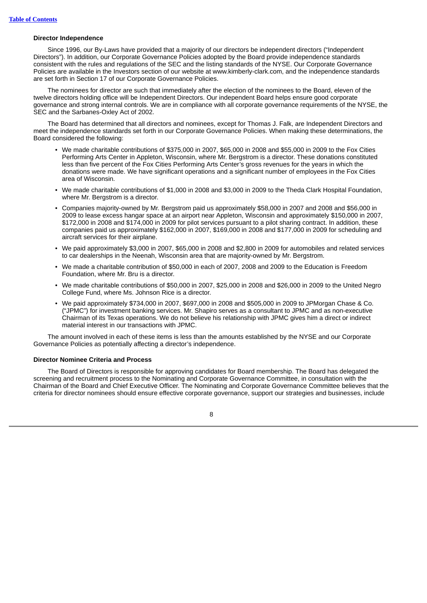# <span id="page-13-0"></span>**Director Independence**

Since 1996, our By-Laws have provided that a majority of our directors be independent directors ("Independent Directors"). In addition, our Corporate Governance Policies adopted by the Board provide independence standards consistent with the rules and regulations of the SEC and the listing standards of the NYSE. Our Corporate Governance Policies are available in the Investors section of our website at www.kimberly-clark.com, and the independence standards are set forth in Section 17 of our Corporate Governance Policies.

The nominees for director are such that immediately after the election of the nominees to the Board, eleven of the twelve directors holding office will be Independent Directors. Our independent Board helps ensure good corporate governance and strong internal controls. We are in compliance with all corporate governance requirements of the NYSE, the SEC and the Sarbanes-Oxley Act of 2002.

The Board has determined that all directors and nominees, except for Thomas J. Falk, are Independent Directors and meet the independence standards set forth in our Corporate Governance Policies. When making these determinations, the Board considered the following:

- We made charitable contributions of \$375,000 in 2007, \$65,000 in 2008 and \$55,000 in 2009 to the Fox Cities Performing Arts Center in Appleton, Wisconsin, where Mr. Bergstrom is a director. These donations constituted less than five percent of the Fox Cities Performing Arts Center's gross revenues for the years in which the donations were made. We have significant operations and a significant number of employees in the Fox Cities area of Wisconsin.
- We made charitable contributions of \$1,000 in 2008 and \$3,000 in 2009 to the Theda Clark Hospital Foundation, where Mr. Bergstrom is a director.
- Companies majority-owned by Mr. Bergstrom paid us approximately \$58,000 in 2007 and 2008 and \$56,000 in 2009 to lease excess hangar space at an airport near Appleton, Wisconsin and approximately \$150,000 in 2007, \$172,000 in 2008 and \$174,000 in 2009 for pilot services pursuant to a pilot sharing contract. In addition, these companies paid us approximately \$162,000 in 2007, \$169,000 in 2008 and \$177,000 in 2009 for scheduling and aircraft services for their airplane.
- We paid approximately \$3,000 in 2007, \$65,000 in 2008 and \$2,800 in 2009 for automobiles and related services to car dealerships in the Neenah, Wisconsin area that are majority-owned by Mr. Bergstrom.
- We made a charitable contribution of \$50,000 in each of 2007, 2008 and 2009 to the Education is Freedom Foundation, where Mr. Bru is a director.
- We made charitable contributions of \$50,000 in 2007, \$25,000 in 2008 and \$26,000 in 2009 to the United Negro College Fund, where Ms. Johnson Rice is a director.
- We paid approximately \$734,000 in 2007, \$697,000 in 2008 and \$505,000 in 2009 to JPMorgan Chase & Co. ("JPMC") for investment banking services. Mr. Shapiro serves as a consultant to JPMC and as non-executive Chairman of its Texas operations. We do not believe his relationship with JPMC gives him a direct or indirect material interest in our transactions with JPMC.

The amount involved in each of these items is less than the amounts established by the NYSE and our Corporate Governance Policies as potentially affecting a director's independence.

# <span id="page-13-1"></span>**Director Nominee Criteria and Process**

The Board of Directors is responsible for approving candidates for Board membership. The Board has delegated the screening and recruitment process to the Nominating and Corporate Governance Committee, in consultation with the Chairman of the Board and Chief Executive Officer. The Nominating and Corporate Governance Committee believes that the criteria for director nominees should ensure effective corporate governance, support our strategies and businesses, include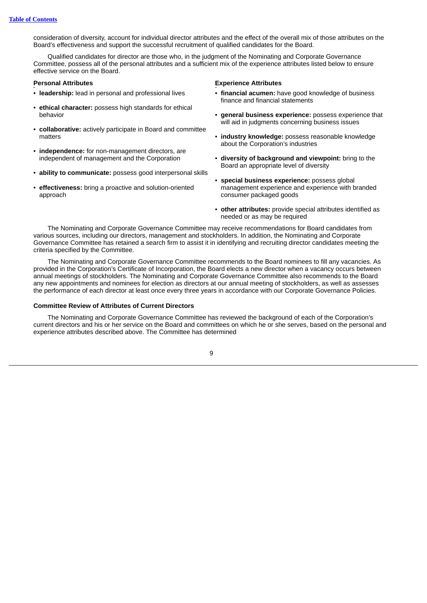consideration of diversity, account for individual director attributes and the effect of the overall mix of those attributes on the Board's effectiveness and support the successful recruitment of qualified candidates for the Board.

Qualified candidates for director are those who, in the judgment of the Nominating and Corporate Governance Committee, possess all of the personal attributes and a sufficient mix of the experience attributes listed below to ensure effective service on the Board.

- **leadership:** lead in personal and professional lives
- **ethical character:** possess high standards for ethical behavior
- **collaborative:** actively participate in Board and committee matters
- **independence:** for non-management directors, are independent of management and the Corporation
- **ability to communicate:** possess good interpersonal skills
- **effectiveness:** bring a proactive and solution-oriented approach

# **Personal Attributes Experience Attributes**

- **financial acumen:** have good knowledge of business finance and financial statements
- **general business experience:** possess experience that will aid in judgments concerning business issues
- **industry knowledge:** possess reasonable knowledge about the Corporation's industries
- **diversity of background and viewpoint:** bring to the Board an appropriate level of diversity
- **special business experience:** possess global management experience and experience with branded consumer packaged goods
- **other attributes:** provide special attributes identified as needed or as may be required

The Nominating and Corporate Governance Committee may receive recommendations for Board candidates from various sources, including our directors, management and stockholders. In addition, the Nominating and Corporate Governance Committee has retained a search firm to assist it in identifying and recruiting director candidates meeting the criteria specified by the Committee.

The Nominating and Corporate Governance Committee recommends to the Board nominees to fill any vacancies. As provided in the Corporation's Certificate of Incorporation, the Board elects a new director when a vacancy occurs between annual meetings of stockholders. The Nominating and Corporate Governance Committee also recommends to the Board any new appointments and nominees for election as directors at our annual meeting of stockholders, as well as assesses the performance of each director at least once every three years in accordance with our Corporate Governance Policies.

# <span id="page-14-0"></span>**Committee Review of Attributes of Current Directors**

The Nominating and Corporate Governance Committee has reviewed the background of each of the Corporation's current directors and his or her service on the Board and committees on which he or she serves, based on the personal and experience attributes described above. The Committee has determined

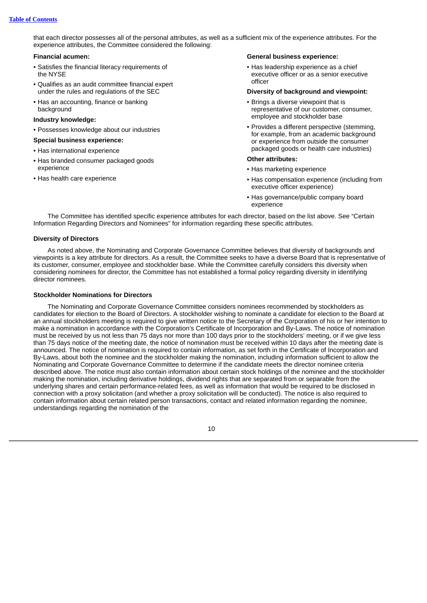that each director possesses all of the personal attributes, as well as a sufficient mix of the experience attributes. For the experience attributes, the Committee considered the following:

### **Financial acumen:**

- Satisfies the financial literacy requirements of the NYSE
- Qualifies as an audit committee financial expert under the rules and regulations of the SEC
- Has an accounting, finance or banking background

# **Industry knowledge:**

• Possesses knowledge about our industries

# **Special business experience:**

- Has international experience
- Has branded consumer packaged goods experience
- Has health care experience

# **General business experience:**

• Has leadership experience as a chief executive officer or as a senior executive officer

#### **Diversity of background and viewpoint:**

- Brings a diverse viewpoint that is representative of our customer, consumer, employee and stockholder base
- Provides a different perspective (stemming, for example, from an academic background or experience from outside the consumer packaged goods or health care industries)

#### **Other attributes:**

- Has marketing experience
- Has compensation experience (including from executive officer experience)
- Has governance/public company board experience

The Committee has identified specific experience attributes for each director, based on the list above. See "Certain Information Regarding Directors and Nominees" for information regarding these specific attributes.

# <span id="page-15-0"></span>**Diversity of Directors**

As noted above, the Nominating and Corporate Governance Committee believes that diversity of backgrounds and viewpoints is a key attribute for directors. As a result, the Committee seeks to have a diverse Board that is representative of its customer, consumer, employee and stockholder base. While the Committee carefully considers this diversity when considering nominees for director, the Committee has not established a formal policy regarding diversity in identifying director nominees.

# <span id="page-15-1"></span>**Stockholder Nominations for Directors**

The Nominating and Corporate Governance Committee considers nominees recommended by stockholders as candidates for election to the Board of Directors. A stockholder wishing to nominate a candidate for election to the Board at an annual stockholders meeting is required to give written notice to the Secretary of the Corporation of his or her intention to make a nomination in accordance with the Corporation's Certificate of Incorporation and By-Laws. The notice of nomination must be received by us not less than 75 days nor more than 100 days prior to the stockholders' meeting, or if we give less than 75 days notice of the meeting date, the notice of nomination must be received within 10 days after the meeting date is announced. The notice of nomination is required to contain information, as set forth in the Certificate of Incorporation and By-Laws, about both the nominee and the stockholder making the nomination, including information sufficient to allow the Nominating and Corporate Governance Committee to determine if the candidate meets the director nominee criteria described above. The notice must also contain information about certain stock holdings of the nominee and the stockholder making the nomination, including derivative holdings, dividend rights that are separated from or separable from the underlying shares and certain performance-related fees, as well as information that would be required to be disclosed in connection with a proxy solicitation (and whether a proxy solicitation will be conducted). The notice is also required to contain information about certain related person transactions, contact and related information regarding the nominee, understandings regarding the nomination of the

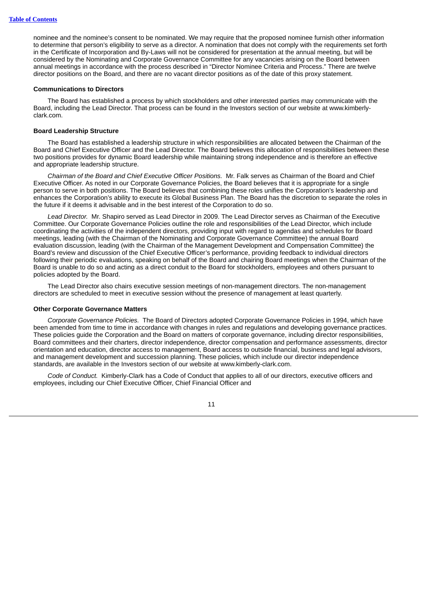nominee and the nominee's consent to be nominated. We may require that the proposed nominee furnish other information to determine that person's eligibility to serve as a director. A nomination that does not comply with the requirements set forth in the Certificate of Incorporation and By-Laws will not be considered for presentation at the annual meeting, but will be considered by the Nominating and Corporate Governance Committee for any vacancies arising on the Board between annual meetings in accordance with the process described in "Director Nominee Criteria and Process." There are twelve director positions on the Board, and there are no vacant director positions as of the date of this proxy statement.

# <span id="page-16-0"></span>**Communications to Directors**

The Board has established a process by which stockholders and other interested parties may communicate with the Board, including the Lead Director. That process can be found in the Investors section of our website at www.kimberlyclark.com.

# <span id="page-16-1"></span>**Board Leadership Structure**

The Board has established a leadership structure in which responsibilities are allocated between the Chairman of the Board and Chief Executive Officer and the Lead Director. The Board believes this allocation of responsibilities between these two positions provides for dynamic Board leadership while maintaining strong independence and is therefore an effective and appropriate leadership structure.

*Chairman of the Board and Chief Executive Officer Positions.* Mr. Falk serves as Chairman of the Board and Chief Executive Officer. As noted in our Corporate Governance Policies, the Board believes that it is appropriate for a single person to serve in both positions. The Board believes that combining these roles unifies the Corporation's leadership and enhances the Corporation's ability to execute its Global Business Plan. The Board has the discretion to separate the roles in the future if it deems it advisable and in the best interest of the Corporation to do so.

*Lead Director.* Mr. Shapiro served as Lead Director in 2009. The Lead Director serves as Chairman of the Executive Committee. Our Corporate Governance Policies outline the role and responsibilities of the Lead Director, which include coordinating the activities of the independent directors, providing input with regard to agendas and schedules for Board meetings, leading (with the Chairman of the Nominating and Corporate Governance Committee) the annual Board evaluation discussion, leading (with the Chairman of the Management Development and Compensation Committee) the Board's review and discussion of the Chief Executive Officer's performance, providing feedback to individual directors following their periodic evaluations, speaking on behalf of the Board and chairing Board meetings when the Chairman of the Board is unable to do so and acting as a direct conduit to the Board for stockholders, employees and others pursuant to policies adopted by the Board.

The Lead Director also chairs executive session meetings of non-management directors. The non-management directors are scheduled to meet in executive session without the presence of management at least quarterly.

# <span id="page-16-2"></span>**Other Corporate Governance Matters**

*Corporate Governance Policies.* The Board of Directors adopted Corporate Governance Policies in 1994, which have been amended from time to time in accordance with changes in rules and regulations and developing governance practices. These policies guide the Corporation and the Board on matters of corporate governance, including director responsibilities, Board committees and their charters, director independence, director compensation and performance assessments, director orientation and education, director access to management, Board access to outside financial, business and legal advisors, and management development and succession planning. These policies, which include our director independence standards, are available in the Investors section of our website at www.kimberly-clark.com.

*Code of Conduct.* Kimberly-Clark has a Code of Conduct that applies to all of our directors, executive officers and employees, including our Chief Executive Officer, Chief Financial Officer and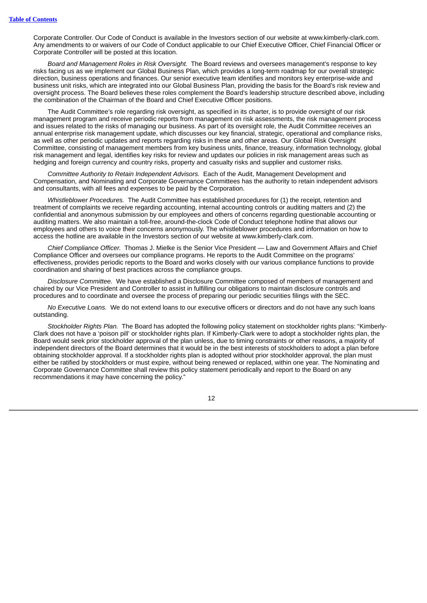Corporate Controller. Our Code of Conduct is available in the Investors section of our website at www.kimberly-clark.com. Any amendments to or waivers of our Code of Conduct applicable to our Chief Executive Officer, Chief Financial Officer or Corporate Controller will be posted at this location.

*Board and Management Roles in Risk Oversight.* The Board reviews and oversees management's response to key risks facing us as we implement our Global Business Plan, which provides a long-term roadmap for our overall strategic direction, business operations and finances. Our senior executive team identifies and monitors key enterprise-wide and business unit risks, which are integrated into our Global Business Plan, providing the basis for the Board's risk review and oversight process. The Board believes these roles complement the Board's leadership structure described above, including the combination of the Chairman of the Board and Chief Executive Officer positions.

The Audit Committee's role regarding risk oversight, as specified in its charter, is to provide oversight of our risk management program and receive periodic reports from management on risk assessments, the risk management process and issues related to the risks of managing our business. As part of its oversight role, the Audit Committee receives an annual enterprise risk management update, which discusses our key financial, strategic, operational and compliance risks, as well as other periodic updates and reports regarding risks in these and other areas. Our Global Risk Oversight Committee, consisting of management members from key business units, finance, treasury, information technology, global risk management and legal, identifies key risks for review and updates our policies in risk management areas such as hedging and foreign currency and country risks, property and casualty risks and supplier and customer risks.

*Committee Authority to Retain Independent Advisors.* Each of the Audit, Management Development and Compensation, and Nominating and Corporate Governance Committees has the authority to retain independent advisors and consultants, with all fees and expenses to be paid by the Corporation.

*Whistleblower Procedures.* The Audit Committee has established procedures for (1) the receipt, retention and treatment of complaints we receive regarding accounting, internal accounting controls or auditing matters and (2) the confidential and anonymous submission by our employees and others of concerns regarding questionable accounting or auditing matters. We also maintain a toll-free, around-the-clock Code of Conduct telephone hotline that allows our employees and others to voice their concerns anonymously. The whistleblower procedures and information on how to access the hotline are available in the Investors section of our website at www.kimberly-clark.com.

*Chief Compliance Officer.* Thomas J. Mielke is the Senior Vice President — Law and Government Affairs and Chief Compliance Officer and oversees our compliance programs. He reports to the Audit Committee on the programs' effectiveness, provides periodic reports to the Board and works closely with our various compliance functions to provide coordination and sharing of best practices across the compliance groups.

*Disclosure Committee.* We have established a Disclosure Committee composed of members of management and chaired by our Vice President and Controller to assist in fulfilling our obligations to maintain disclosure controls and procedures and to coordinate and oversee the process of preparing our periodic securities filings with the SEC.

*No Executive Loans.* We do not extend loans to our executive officers or directors and do not have any such loans outstanding.

*Stockholder Rights Plan.* The Board has adopted the following policy statement on stockholder rights plans: "Kimberly-Clark does not have a 'poison pill' or stockholder rights plan. If Kimberly-Clark were to adopt a stockholder rights plan, the Board would seek prior stockholder approval of the plan unless, due to timing constraints or other reasons, a majority of independent directors of the Board determines that it would be in the best interests of stockholders to adopt a plan before obtaining stockholder approval. If a stockholder rights plan is adopted without prior stockholder approval, the plan must either be ratified by stockholders or must expire, without being renewed or replaced, within one year. The Nominating and Corporate Governance Committee shall review this policy statement periodically and report to the Board on any recommendations it may have concerning the policy."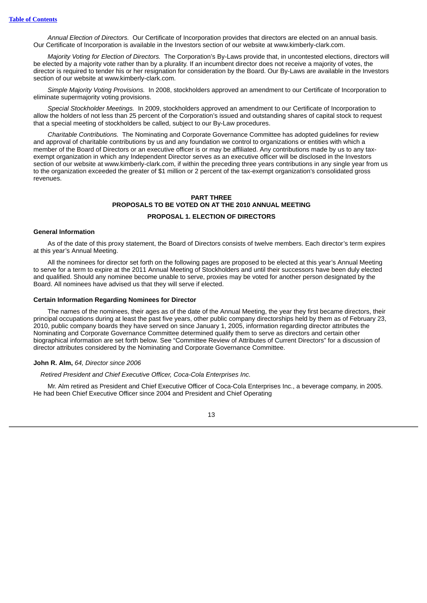*Annual Election of Directors.* Our Certificate of Incorporation provides that directors are elected on an annual basis. Our Certificate of Incorporation is available in the Investors section of our website at www.kimberly-clark.com.

*Majority Voting for Election of Directors.* The Corporation's By-Laws provide that, in uncontested elections, directors will be elected by a majority vote rather than by a plurality. If an incumbent director does not receive a majority of votes, the director is required to tender his or her resignation for consideration by the Board. Our By-Laws are available in the Investors section of our website at www.kimberly-clark.com.

*Simple Majority Voting Provisions.* In 2008, stockholders approved an amendment to our Certificate of Incorporation to eliminate supermajority voting provisions.

*Special Stockholder Meetings.* In 2009, stockholders approved an amendment to our Certificate of Incorporation to allow the holders of not less than 25 percent of the Corporation's issued and outstanding shares of capital stock to request that a special meeting of stockholders be called, subject to our By-Law procedures.

*Charitable Contributions.* The Nominating and Corporate Governance Committee has adopted guidelines for review and approval of charitable contributions by us and any foundation we control to organizations or entities with which a member of the Board of Directors or an executive officer is or may be affiliated. Any contributions made by us to any taxexempt organization in which any Independent Director serves as an executive officer will be disclosed in the Investors section of our website at www.kimberly-clark.com, if within the preceding three years contributions in any single year from us to the organization exceeded the greater of \$1 million or 2 percent of the tax-exempt organization's consolidated gross revenues.

# <span id="page-18-1"></span>**PART THREE PROPOSALS TO BE VOTED ON AT THE 2010 ANNUAL MEETING PROPOSAL 1. ELECTION OF DIRECTORS**

# <span id="page-18-2"></span><span id="page-18-0"></span>**General Information**

As of the date of this proxy statement, the Board of Directors consists of twelve members. Each director's term expires at this year's Annual Meeting.

All the nominees for director set forth on the following pages are proposed to be elected at this year's Annual Meeting to serve for a term to expire at the 2011 Annual Meeting of Stockholders and until their successors have been duly elected and qualified. Should any nominee become unable to serve, proxies may be voted for another person designated by the Board. All nominees have advised us that they will serve if elected.

### <span id="page-18-3"></span>**Certain Information Regarding Nominees for Director**

The names of the nominees, their ages as of the date of the Annual Meeting, the year they first became directors, their principal occupations during at least the past five years, other public company directorships held by them as of February 23, 2010, public company boards they have served on since January 1, 2005, information regarding director attributes the Nominating and Corporate Governance Committee determined qualify them to serve as directors and certain other biographical information are set forth below. See "Committee Review of Attributes of Current Directors" for a discussion of director attributes considered by the Nominating and Corporate Governance Committee.

# **John R. Alm,** *64, Director since 2006*

*Retired President and Chief Executive Officer, Coca-Cola Enterprises Inc.*

Mr. Alm retired as President and Chief Executive Officer of Coca-Cola Enterprises Inc., a beverage company, in 2005. He had been Chief Executive Officer since 2004 and President and Chief Operating

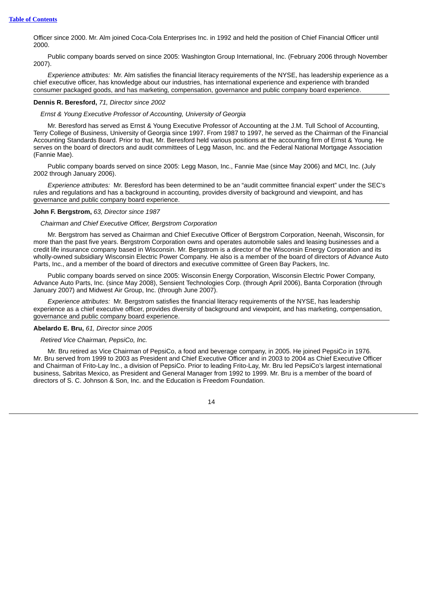Officer since 2000. Mr. Alm joined Coca-Cola Enterprises Inc. in 1992 and held the position of Chief Financial Officer until 2000.

Public company boards served on since 2005: Washington Group International, Inc. (February 2006 through November 2007).

*Experience attributes:* Mr. Alm satisfies the financial literacy requirements of the NYSE, has leadership experience as a chief executive officer, has knowledge about our industries, has international experience and experience with branded consumer packaged goods, and has marketing, compensation, governance and public company board experience.

# **Dennis R. Beresford,** *71, Director since 2002*

*Ernst & Young Executive Professor of Accounting, University of Georgia*

Mr. Beresford has served as Ernst & Young Executive Professor of Accounting at the J.M. Tull School of Accounting, Terry College of Business, University of Georgia since 1997. From 1987 to 1997, he served as the Chairman of the Financial Accounting Standards Board. Prior to that, Mr. Beresford held various positions at the accounting firm of Ernst & Young. He serves on the board of directors and audit committees of Legg Mason, Inc. and the Federal National Mortgage Association (Fannie Mae).

Public company boards served on since 2005: Legg Mason, Inc., Fannie Mae (since May 2006) and MCI, Inc. (July 2002 through January 2006).

*Experience attributes:* Mr. Beresford has been determined to be an "audit committee financial expert" under the SEC's rules and regulations and has a background in accounting, provides diversity of background and viewpoint, and has governance and public company board experience.

# **John F. Bergstrom,** *63, Director since 1987*

*Chairman and Chief Executive Officer, Bergstrom Corporation*

Mr. Bergstrom has served as Chairman and Chief Executive Officer of Bergstrom Corporation, Neenah, Wisconsin, for more than the past five years. Bergstrom Corporation owns and operates automobile sales and leasing businesses and a credit life insurance company based in Wisconsin. Mr. Bergstrom is a director of the Wisconsin Energy Corporation and its wholly-owned subsidiary Wisconsin Electric Power Company. He also is a member of the board of directors of Advance Auto Parts, Inc., and a member of the board of directors and executive committee of Green Bay Packers, Inc.

Public company boards served on since 2005: Wisconsin Energy Corporation, Wisconsin Electric Power Company, Advance Auto Parts, Inc. (since May 2008), Sensient Technologies Corp. (through April 2006), Banta Corporation (through January 2007) and Midwest Air Group, Inc. (through June 2007).

*Experience attributes:* Mr. Bergstrom satisfies the financial literacy requirements of the NYSE, has leadership experience as a chief executive officer, provides diversity of background and viewpoint, and has marketing, compensation, governance and public company board experience.

# **Abelardo E. Bru,** *61, Director since 2005*

*Retired Vice Chairman, PepsiCo, Inc.*

Mr. Bru retired as Vice Chairman of PepsiCo, a food and beverage company, in 2005. He joined PepsiCo in 1976. Mr. Bru served from 1999 to 2003 as President and Chief Executive Officer and in 2003 to 2004 as Chief Executive Officer and Chairman of Frito-Lay Inc., a division of PepsiCo. Prior to leading Frito-Lay, Mr. Bru led PepsiCo's largest international business, Sabritas Mexico, as President and General Manager from 1992 to 1999. Mr. Bru is a member of the board of directors of S. C. Johnson & Son, Inc. and the Education is Freedom Foundation.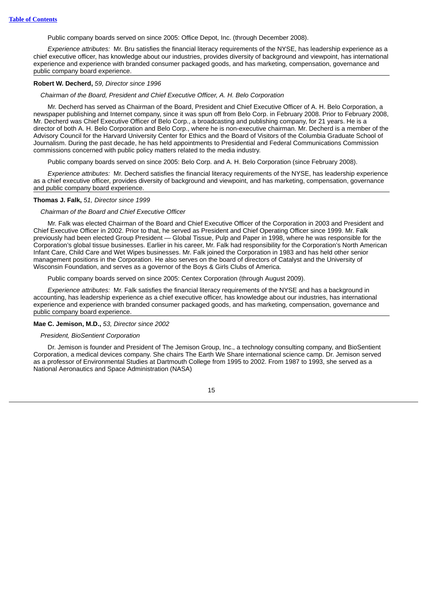Public company boards served on since 2005: Office Depot, Inc. (through December 2008).

*Experience attributes:* Mr. Bru satisfies the financial literacy requirements of the NYSE, has leadership experience as a chief executive officer, has knowledge about our industries, provides diversity of background and viewpoint, has international experience and experience with branded consumer packaged goods, and has marketing, compensation, governance and public company board experience.

### **Robert W. Decherd,** *59, Director since 1996*

*Chairman of the Board, President and Chief Executive Officer, A. H. Belo Corporation*

Mr. Decherd has served as Chairman of the Board, President and Chief Executive Officer of A. H. Belo Corporation, a newspaper publishing and Internet company, since it was spun off from Belo Corp. in February 2008. Prior to February 2008, Mr. Decherd was Chief Executive Officer of Belo Corp., a broadcasting and publishing company, for 21 years. He is a director of both A. H. Belo Corporation and Belo Corp., where he is non-executive chairman. Mr. Decherd is a member of the Advisory Council for the Harvard University Center for Ethics and the Board of Visitors of the Columbia Graduate School of Journalism. During the past decade, he has held appointments to Presidential and Federal Communications Commission commissions concerned with public policy matters related to the media industry.

Public company boards served on since 2005: Belo Corp. and A. H. Belo Corporation (since February 2008).

*Experience attributes:* Mr. Decherd satisfies the financial literacy requirements of the NYSE, has leadership experience as a chief executive officer, provides diversity of background and viewpoint, and has marketing, compensation, governance and public company board experience.

## **Thomas J. Falk,** *51, Director since 1999*

#### *Chairman of the Board and Chief Executive Officer*

Mr. Falk was elected Chairman of the Board and Chief Executive Officer of the Corporation in 2003 and President and Chief Executive Officer in 2002. Prior to that, he served as President and Chief Operating Officer since 1999. Mr. Falk previously had been elected Group President — Global Tissue, Pulp and Paper in 1998, where he was responsible for the Corporation's global tissue businesses. Earlier in his career, Mr. Falk had responsibility for the Corporation's North American Infant Care, Child Care and Wet Wipes businesses. Mr. Falk joined the Corporation in 1983 and has held other senior management positions in the Corporation. He also serves on the board of directors of Catalyst and the University of Wisconsin Foundation, and serves as a governor of the Boys & Girls Clubs of America.

Public company boards served on since 2005: Centex Corporation (through August 2009).

*Experience attributes:* Mr. Falk satisfies the financial literacy requirements of the NYSE and has a background in accounting, has leadership experience as a chief executive officer, has knowledge about our industries, has international experience and experience with branded consumer packaged goods, and has marketing, compensation, governance and public company board experience.

## **Mae C. Jemison, M.D.,** *53, Director since 2002*

# *President, BioSentient Corporation*

Dr. Jemison is founder and President of The Jemison Group, Inc., a technology consulting company, and BioSentient Corporation, a medical devices company. She chairs The Earth We Share international science camp. Dr. Jemison served as a professor of Environmental Studies at Dartmouth College from 1995 to 2002. From 1987 to 1993, she served as a National Aeronautics and Space Administration (NASA)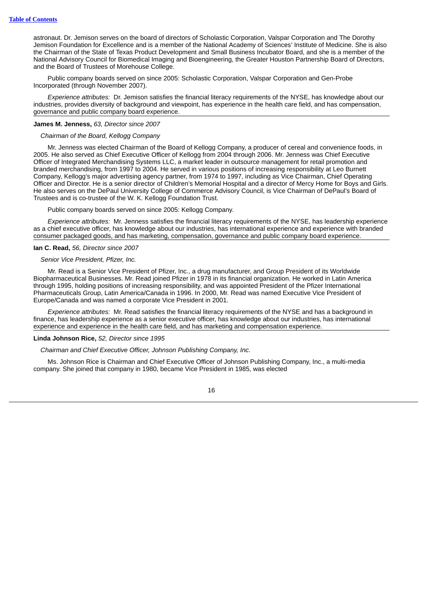astronaut. Dr. Jemison serves on the board of directors of Scholastic Corporation, Valspar Corporation and The Dorothy Jemison Foundation for Excellence and is a member of the National Academy of Sciences' Institute of Medicine. She is also the Chairman of the State of Texas Product Development and Small Business Incubator Board, and she is a member of the National Advisory Council for Biomedical Imaging and Bioengineering, the Greater Houston Partnership Board of Directors, and the Board of Trustees of Morehouse College.

Public company boards served on since 2005: Scholastic Corporation, Valspar Corporation and Gen-Probe Incorporated (through November 2007).

*Experience attributes:* Dr. Jemison satisfies the financial literacy requirements of the NYSE, has knowledge about our industries, provides diversity of background and viewpoint, has experience in the health care field, and has compensation, governance and public company board experience.

# **James M. Jenness,** *63, Director since 2007*

# *Chairman of the Board, Kellogg Company*

Mr. Jenness was elected Chairman of the Board of Kellogg Company, a producer of cereal and convenience foods, in 2005. He also served as Chief Executive Officer of Kellogg from 2004 through 2006. Mr. Jenness was Chief Executive Officer of Integrated Merchandising Systems LLC, a market leader in outsource management for retail promotion and branded merchandising, from 1997 to 2004. He served in various positions of increasing responsibility at Leo Burnett Company, Kellogg's major advertising agency partner, from 1974 to 1997, including as Vice Chairman, Chief Operating Officer and Director. He is a senior director of Children's Memorial Hospital and a director of Mercy Home for Boys and Girls. He also serves on the DePaul University College of Commerce Advisory Council, is Vice Chairman of DePaul's Board of Trustees and is co-trustee of the W. K. Kellogg Foundation Trust.

Public company boards served on since 2005: Kellogg Company.

*Experience attributes:* Mr. Jenness satisfies the financial literacy requirements of the NYSE, has leadership experience as a chief executive officer, has knowledge about our industries, has international experience and experience with branded consumer packaged goods, and has marketing, compensation, governance and public company board experience.

# **Ian C. Read,** *56, Director since 2007*

# *Senior Vice President, Pfizer, Inc.*

Mr. Read is a Senior Vice President of Pfizer, Inc., a drug manufacturer, and Group President of its Worldwide Biopharmaceutical Businesses. Mr. Read joined Pfizer in 1978 in its financial organization. He worked in Latin America through 1995, holding positions of increasing responsibility, and was appointed President of the Pfizer International Pharmaceuticals Group, Latin America/Canada in 1996. In 2000, Mr. Read was named Executive Vice President of Europe/Canada and was named a corporate Vice President in 2001.

*Experience attributes:* Mr. Read satisfies the financial literacy requirements of the NYSE and has a background in finance, has leadership experience as a senior executive officer, has knowledge about our industries, has international experience and experience in the health care field, and has marketing and compensation experience.

# **Linda Johnson Rice,** *52, Director since 1995*

*Chairman and Chief Executive Officer, Johnson Publishing Company, Inc.*

Ms. Johnson Rice is Chairman and Chief Executive Officer of Johnson Publishing Company, Inc., a multi-media company. She joined that company in 1980, became Vice President in 1985, was elected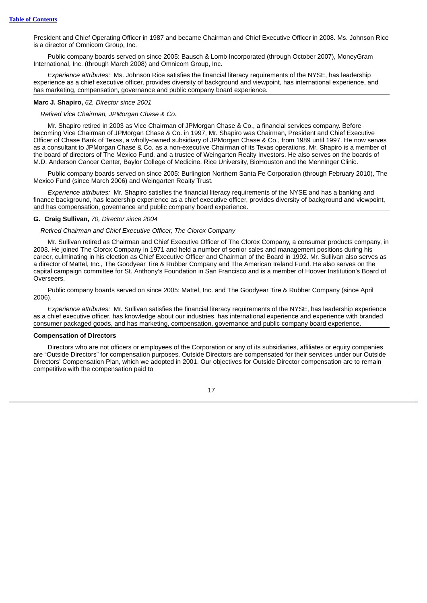President and Chief Operating Officer in 1987 and became Chairman and Chief Executive Officer in 2008. Ms. Johnson Rice is a director of Omnicom Group, Inc.

Public company boards served on since 2005: Bausch & Lomb Incorporated (through October 2007), MoneyGram International, Inc. (through March 2008) and Omnicom Group, Inc.

*Experience attributes:* Ms. Johnson Rice satisfies the financial literacy requirements of the NYSE, has leadership experience as a chief executive officer, provides diversity of background and viewpoint, has international experience, and has marketing, compensation, governance and public company board experience.

# **Marc J. Shapiro,** *62, Director since 2001*

# *Retired Vice Chairman, JPMorgan Chase & Co.*

Mr. Shapiro retired in 2003 as Vice Chairman of JPMorgan Chase & Co., a financial services company. Before becoming Vice Chairman of JPMorgan Chase & Co. in 1997, Mr. Shapiro was Chairman, President and Chief Executive Officer of Chase Bank of Texas, a wholly-owned subsidiary of JPMorgan Chase & Co., from 1989 until 1997. He now serves as a consultant to JPMorgan Chase & Co. as a non-executive Chairman of its Texas operations. Mr. Shapiro is a member of the board of directors of The Mexico Fund, and a trustee of Weingarten Realty Investors. He also serves on the boards of M.D. Anderson Cancer Center, Baylor College of Medicine, Rice University, BioHouston and the Menninger Clinic.

Public company boards served on since 2005: Burlington Northern Santa Fe Corporation (through February 2010), The Mexico Fund (since March 2006) and Weingarten Realty Trust.

*Experience attributes:* Mr. Shapiro satisfies the financial literacy requirements of the NYSE and has a banking and finance background, has leadership experience as a chief executive officer, provides diversity of background and viewpoint, and has compensation, governance and public company board experience.

### **G. Craig Sullivan,** *70, Director since 2004*

# *Retired Chairman and Chief Executive Officer, The Clorox Company*

Mr. Sullivan retired as Chairman and Chief Executive Officer of The Clorox Company, a consumer products company, in 2003. He joined The Clorox Company in 1971 and held a number of senior sales and management positions during his career, culminating in his election as Chief Executive Officer and Chairman of the Board in 1992. Mr. Sullivan also serves as a director of Mattel, Inc., The Goodyear Tire & Rubber Company and The American Ireland Fund. He also serves on the capital campaign committee for St. Anthony's Foundation in San Francisco and is a member of Hoover Institution's Board of Overseers.

Public company boards served on since 2005: Mattel, Inc. and The Goodyear Tire & Rubber Company (since April 2006).

*Experience attributes:* Mr. Sullivan satisfies the financial literacy requirements of the NYSE, has leadership experience as a chief executive officer, has knowledge about our industries, has international experience and experience with branded consumer packaged goods, and has marketing, compensation, governance and public company board experience.

# <span id="page-22-0"></span>**Compensation of Directors**

Directors who are not officers or employees of the Corporation or any of its subsidiaries, affiliates or equity companies are "Outside Directors" for compensation purposes. Outside Directors are compensated for their services under our Outside Directors' Compensation Plan, which we adopted in 2001. Our objectives for Outside Director compensation are to remain competitive with the compensation paid to

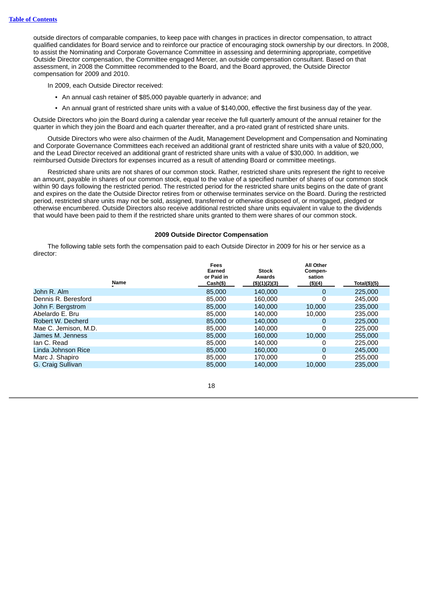outside directors of comparable companies, to keep pace with changes in practices in director compensation, to attract qualified candidates for Board service and to reinforce our practice of encouraging stock ownership by our directors. In 2008, to assist the Nominating and Corporate Governance Committee in assessing and determining appropriate, competitive Outside Director compensation, the Committee engaged Mercer, an outside compensation consultant. Based on that assessment, in 2008 the Committee recommended to the Board, and the Board approved, the Outside Director compensation for 2009 and 2010.

In 2009, each Outside Director received:

- An annual cash retainer of \$85,000 payable quarterly in advance; and
- An annual grant of restricted share units with a value of \$140,000, effective the first business day of the year.

Outside Directors who join the Board during a calendar year receive the full quarterly amount of the annual retainer for the quarter in which they join the Board and each quarter thereafter, and a pro-rated grant of restricted share units.

Outside Directors who were also chairmen of the Audit, Management Development and Compensation and Nominating and Corporate Governance Committees each received an additional grant of restricted share units with a value of \$20,000, and the Lead Director received an additional grant of restricted share units with a value of \$30,000. In addition, we reimbursed Outside Directors for expenses incurred as a result of attending Board or committee meetings.

Restricted share units are not shares of our common stock. Rather, restricted share units represent the right to receive an amount, payable in shares of our common stock, equal to the value of a specified number of shares of our common stock within 90 days following the restricted period. The restricted period for the restricted share units begins on the date of grant and expires on the date the Outside Director retires from or otherwise terminates service on the Board. During the restricted period, restricted share units may not be sold, assigned, transferred or otherwise disposed of, or mortgaged, pledged or otherwise encumbered. Outside Directors also receive additional restricted share units equivalent in value to the dividends that would have been paid to them if the restricted share units granted to them were shares of our common stock.

# **2009 Outside Director Compensation**

The following table sets forth the compensation paid to each Outside Director in 2009 for his or her service as a director:

|                      | Name | Fees<br>Earned<br>or Paid in<br>Cash(\$) | <b>Stock</b><br>Awards<br>(\$)(1)(2)(3) | <b>All Other</b><br>Compen-<br>sation<br>(\$)(4) | Total(\$)(5) |
|----------------------|------|------------------------------------------|-----------------------------------------|--------------------------------------------------|--------------|
|                      |      |                                          |                                         |                                                  |              |
| John R. Alm          |      | 85,000                                   | 140,000                                 | 0                                                | 225,000      |
| Dennis R. Beresford  |      | 85,000                                   | 160,000                                 | 0                                                | 245,000      |
| John F. Bergstrom    |      | 85,000                                   | 140,000                                 | 10,000                                           | 235,000      |
| Abelardo E. Bru      |      | 85,000                                   | 140,000                                 | 10,000                                           | 235,000      |
| Robert W. Decherd    |      | 85,000                                   | 140,000                                 | 0                                                | 225,000      |
| Mae C. Jemison, M.D. |      | 85,000                                   | 140,000                                 | 0                                                | 225,000      |
| James M. Jenness     |      | 85,000                                   | 160,000                                 | 10,000                                           | 255,000      |
| lan C. Read          |      | 85,000                                   | 140,000                                 | 0                                                | 225,000      |
| Linda Johnson Rice   |      | 85,000                                   | 160,000                                 | $\Omega$                                         | 245,000      |
| Marc J. Shapiro      |      | 85,000                                   | 170,000                                 | 0                                                | 255,000      |
| G. Craig Sullivan    |      | 85,000                                   | 140,000                                 | 10,000                                           | 235,000      |
|                      |      |                                          |                                         |                                                  |              |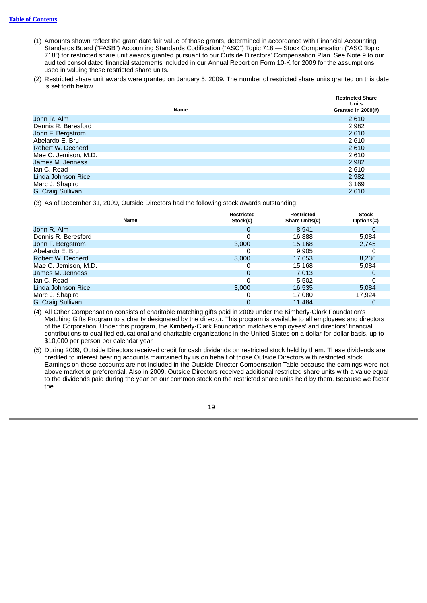- (1) Amounts shown reflect the grant date fair value of those grants, determined in accordance with Financial Accounting Standards Board ("FASB") Accounting Standards Codification ("ASC") Topic 718 — Stock Compensation ("ASC Topic 718") for restricted share unit awards granted pursuant to our Outside Directors' Compensation Plan. See Note 9 to our audited consolidated financial statements included in our Annual Report on Form 10-K for 2009 for the assumptions used in valuing these restricted share units.
- (2) Restricted share unit awards were granted on January 5, 2009. The number of restricted share units granted on this date is set forth below.

| <b>Name</b>          | <b>Restricted Share</b><br><b>Units</b><br>Granted in 2009(#) |
|----------------------|---------------------------------------------------------------|
| John R. Alm          | 2,610                                                         |
| Dennis R. Beresford  | 2,982                                                         |
| John F. Bergstrom    | 2,610                                                         |
| Abelardo E. Bru      | 2,610                                                         |
| Robert W. Decherd    | 2,610                                                         |
| Mae C. Jemison, M.D. | 2,610                                                         |
| James M. Jenness     | 2,982                                                         |
| lan C. Read          | 2,610                                                         |
| Linda Johnson Rice   | 2,982                                                         |
| Marc J. Shapiro      | 3,169                                                         |
| G. Craig Sullivan    | 2.610                                                         |

(3) As of December 31, 2009, Outside Directors had the following stock awards outstanding:

|                      | <b>Name</b> | <b>Restricted</b><br>Stock(#) | <b>Restricted</b><br>Share Units(#) | <b>Stock</b><br>Options(#) |
|----------------------|-------------|-------------------------------|-------------------------------------|----------------------------|
| John R. Alm          |             | 0                             | 8,941                               |                            |
| Dennis R. Beresford  |             |                               | 16,888                              | 5,084                      |
| John F. Bergstrom    |             | 3,000                         | 15,168                              | 2,745                      |
| Abelardo E. Bru      |             |                               | 9,905                               |                            |
| Robert W. Decherd    |             | 3.000                         | 17,653                              | 8,236                      |
| Mae C. Jemison, M.D. |             |                               | 15,168                              | 5,084                      |
| James M. Jenness     |             | O                             | 7,013                               |                            |
| lan C. Read          |             |                               | 5,502                               |                            |
| Linda Johnson Rice   |             | 3,000                         | 16,535                              | 5,084                      |
| Marc J. Shapiro      |             |                               | 17,080                              | 17.924                     |
| G. Craig Sullivan    |             |                               | 11.484                              |                            |

(4) All Other Compensation consists of charitable matching gifts paid in 2009 under the Kimberly-Clark Foundation's Matching Gifts Program to a charity designated by the director. This program is available to all employees and directors of the Corporation. Under this program, the Kimberly-Clark Foundation matches employees' and directors' financial contributions to qualified educational and charitable organizations in the United States on a dollar-for-dollar basis, up to \$10,000 per person per calendar year.

(5) During 2009, Outside Directors received credit for cash dividends on restricted stock held by them. These dividends are credited to interest bearing accounts maintained by us on behalf of those Outside Directors with restricted stock. Earnings on those accounts are not included in the Outside Director Compensation Table because the earnings were not above market or preferential. Also in 2009, Outside Directors received additional restricted share units with a value equal to the dividends paid during the year on our common stock on the restricted share units held by them. Because we factor the

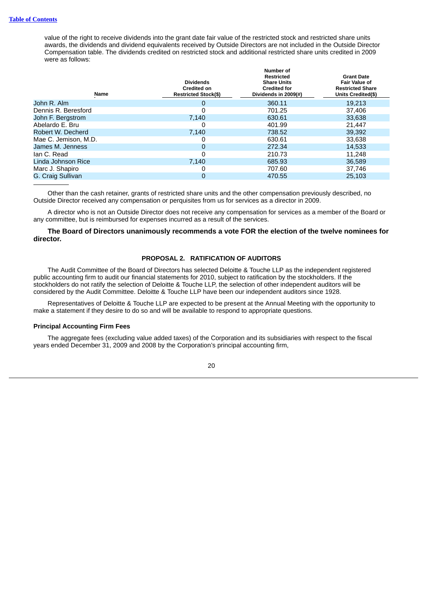value of the right to receive dividends into the grant date fair value of the restricted stock and restricted share units awards, the dividends and dividend equivalents received by Outside Directors are not included in the Outside Director Compensation table. The dividends credited on restricted stock and additional restricted share units credited in 2009 were as follows:

| Name                 | <b>Dividends</b><br><b>Credited on</b><br><b>Restricted Stock(\$)</b> | Number of<br><b>Restricted</b><br><b>Share Units</b><br><b>Credited for</b><br>Dividends in 2009(#) | <b>Grant Date</b><br><b>Fair Value of</b><br><b>Restricted Share</b><br>Units Credited(\$) |
|----------------------|-----------------------------------------------------------------------|-----------------------------------------------------------------------------------------------------|--------------------------------------------------------------------------------------------|
| John R. Alm          | 0                                                                     | 360.11                                                                                              | 19.213                                                                                     |
| Dennis R. Beresford  | 0                                                                     | 701.25                                                                                              | 37,406                                                                                     |
| John F. Bergstrom    | 7.140                                                                 | 630.61                                                                                              | 33.638                                                                                     |
| Abelardo E. Bru      |                                                                       | 401.99                                                                                              | 21,447                                                                                     |
| Robert W. Decherd    | 7.140                                                                 | 738.52                                                                                              | 39,392                                                                                     |
| Mae C. Jemison, M.D. |                                                                       | 630.61                                                                                              | 33,638                                                                                     |
| James M. Jenness     | 0                                                                     | 272.34                                                                                              | 14.533                                                                                     |
| lan C. Read          | 0                                                                     | 210.73                                                                                              | 11.248                                                                                     |
| Linda Johnson Rice   | 7.140                                                                 | 685.93                                                                                              | 36,589                                                                                     |
| Marc J. Shapiro      |                                                                       | 707.60                                                                                              | 37,746                                                                                     |
| G. Craig Sullivan    | 0                                                                     | 470.55                                                                                              | 25,103                                                                                     |
|                      |                                                                       |                                                                                                     |                                                                                            |

Other than the cash retainer, grants of restricted share units and the other compensation previously described, no Outside Director received any compensation or perquisites from us for services as a director in 2009.

A director who is not an Outside Director does not receive any compensation for services as a member of the Board or any committee, but is reimbursed for expenses incurred as a result of the services.

# <span id="page-25-0"></span>**The Board of Directors unanimously recommends a vote FOR the election of the twelve nominees for director.**

# **PROPOSAL 2. RATIFICATION OF AUDITORS**

The Audit Committee of the Board of Directors has selected Deloitte & Touche LLP as the independent registered public accounting firm to audit our financial statements for 2010, subject to ratification by the stockholders. If the stockholders do not ratify the selection of Deloitte & Touche LLP, the selection of other independent auditors will be considered by the Audit Committee. Deloitte & Touche LLP have been our independent auditors since 1928.

Representatives of Deloitte & Touche LLP are expected to be present at the Annual Meeting with the opportunity to make a statement if they desire to do so and will be available to respond to appropriate questions.

# <span id="page-25-1"></span>**Principal Accounting Firm Fees**

The aggregate fees (excluding value added taxes) of the Corporation and its subsidiaries with respect to the fiscal years ended December 31, 2009 and 2008 by the Corporation's principal accounting firm,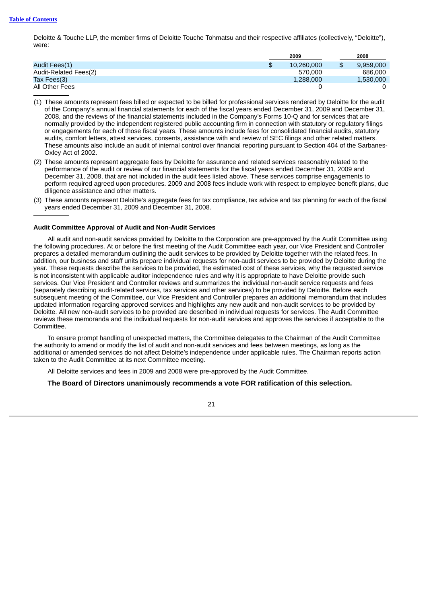Deloitte & Touche LLP, the member firms of Deloitte Touche Tohmatsu and their respective affiliates (collectively, "Deloitte"), were:

|                       | 2009             | 2008      |
|-----------------------|------------------|-----------|
| Audit Fees(1)         | 10.260.000<br>\$ | 9.959.000 |
| Audit-Related Fees(2) | 570,000          | 686,000   |
| Tax Fees $(3)$        | 1,288,000        | 1,530,000 |
| All Other Fees        |                  |           |

(1) These amounts represent fees billed or expected to be billed for professional services rendered by Deloitte for the audit of the Company's annual financial statements for each of the fiscal years ended December 31, 2009 and December 31, 2008, and the reviews of the financial statements included in the Company's Forms 10-Q and for services that are normally provided by the independent registered public accounting firm in connection with statutory or regulatory filings or engagements for each of those fiscal years. These amounts include fees for consolidated financial audits, statutory audits, comfort letters, attest services, consents, assistance with and review of SEC filings and other related matters. These amounts also include an audit of internal control over financial reporting pursuant to Section 404 of the Sarbanes-Oxley Act of 2002.

- (2) These amounts represent aggregate fees by Deloitte for assurance and related services reasonably related to the performance of the audit or review of our financial statements for the fiscal years ended December 31, 2009 and December 31, 2008, that are not included in the audit fees listed above. These services comprise engagements to perform required agreed upon procedures. 2009 and 2008 fees include work with respect to employee benefit plans, due diligence assistance and other matters.
- (3) These amounts represent Deloitte's aggregate fees for tax compliance, tax advice and tax planning for each of the fiscal years ended December 31, 2009 and December 31, 2008.

# <span id="page-26-0"></span>**Audit Committee Approval of Audit and Non-Audit Services**

All audit and non-audit services provided by Deloitte to the Corporation are pre-approved by the Audit Committee using the following procedures. At or before the first meeting of the Audit Committee each year, our Vice President and Controller prepares a detailed memorandum outlining the audit services to be provided by Deloitte together with the related fees. In addition, our business and staff units prepare individual requests for non-audit services to be provided by Deloitte during the year. These requests describe the services to be provided, the estimated cost of these services, why the requested service is not inconsistent with applicable auditor independence rules and why it is appropriate to have Deloitte provide such services. Our Vice President and Controller reviews and summarizes the individual non-audit service requests and fees (separately describing audit-related services, tax services and other services) to be provided by Deloitte. Before each subsequent meeting of the Committee, our Vice President and Controller prepares an additional memorandum that includes updated information regarding approved services and highlights any new audit and non-audit services to be provided by Deloitte. All new non-audit services to be provided are described in individual requests for services. The Audit Committee reviews these memoranda and the individual requests for non-audit services and approves the services if acceptable to the Committee.

To ensure prompt handling of unexpected matters, the Committee delegates to the Chairman of the Audit Committee the authority to amend or modify the list of audit and non-audit services and fees between meetings, as long as the additional or amended services do not affect Deloitte's independence under applicable rules. The Chairman reports action taken to the Audit Committee at its next Committee meeting.

All Deloitte services and fees in 2009 and 2008 were pre-approved by the Audit Committee.

**The Board of Directors unanimously recommends a vote FOR ratification of this selection.**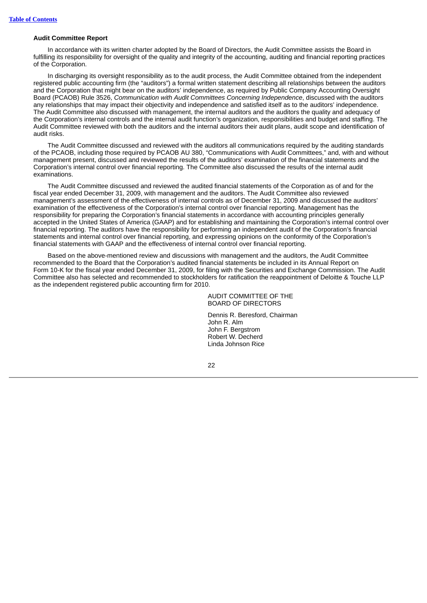# <span id="page-27-0"></span>**Audit Committee Report**

In accordance with its written charter adopted by the Board of Directors, the Audit Committee assists the Board in fulfilling its responsibility for oversight of the quality and integrity of the accounting, auditing and financial reporting practices of the Corporation.

In discharging its oversight responsibility as to the audit process, the Audit Committee obtained from the independent registered public accounting firm (the "auditors") a formal written statement describing all relationships between the auditors and the Corporation that might bear on the auditors' independence, as required by Public Company Accounting Oversight Board (PCAOB) Rule 3526, *Communication with Audit Committees Concerning Independence*, discussed with the auditors any relationships that may impact their objectivity and independence and satisfied itself as to the auditors' independence. The Audit Committee also discussed with management, the internal auditors and the auditors the quality and adequacy of the Corporation's internal controls and the internal audit function's organization, responsibilities and budget and staffing. The Audit Committee reviewed with both the auditors and the internal auditors their audit plans, audit scope and identification of audit risks.

The Audit Committee discussed and reviewed with the auditors all communications required by the auditing standards of the PCAOB, including those required by PCAOB AU 380, "Communications with Audit Committees," and, with and without management present, discussed and reviewed the results of the auditors' examination of the financial statements and the Corporation's internal control over financial reporting. The Committee also discussed the results of the internal audit examinations.

The Audit Committee discussed and reviewed the audited financial statements of the Corporation as of and for the fiscal year ended December 31, 2009, with management and the auditors. The Audit Committee also reviewed management's assessment of the effectiveness of internal controls as of December 31, 2009 and discussed the auditors' examination of the effectiveness of the Corporation's internal control over financial reporting. Management has the responsibility for preparing the Corporation's financial statements in accordance with accounting principles generally accepted in the United States of America (GAAP) and for establishing and maintaining the Corporation's internal control over financial reporting. The auditors have the responsibility for performing an independent audit of the Corporation's financial statements and internal control over financial reporting, and expressing opinions on the conformity of the Corporation's financial statements with GAAP and the effectiveness of internal control over financial reporting.

Based on the above-mentioned review and discussions with management and the auditors, the Audit Committee recommended to the Board that the Corporation's audited financial statements be included in its Annual Report on Form 10-K for the fiscal year ended December 31, 2009, for filing with the Securities and Exchange Commission. The Audit Committee also has selected and recommended to stockholders for ratification the reappointment of Deloitte & Touche LLP as the independent registered public accounting firm for 2010.

> AUDIT COMMITTEE OF THE BOARD OF DIRECTORS

Dennis R. Beresford, Chairman John R. Alm John F. Bergstrom Robert W. Decherd Linda Johnson Rice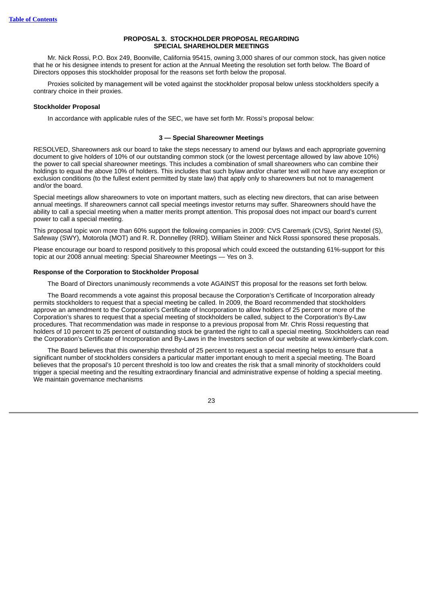# **PROPOSAL 3. STOCKHOLDER PROPOSAL REGARDING SPECIAL SHAREHOLDER MEETINGS**

<span id="page-28-0"></span>Mr. Nick Rossi, P.O. Box 249, Boonville, California 95415, owning 3,000 shares of our common stock, has given notice that he or his designee intends to present for action at the Annual Meeting the resolution set forth below. The Board of Directors opposes this stockholder proposal for the reasons set forth below the proposal.

Proxies solicited by management will be voted against the stockholder proposal below unless stockholders specify a contrary choice in their proxies.

# <span id="page-28-1"></span>**Stockholder Proposal**

In accordance with applicable rules of the SEC, we have set forth Mr. Rossi's proposal below:

# **3 — Special Shareowner Meetings**

RESOLVED, Shareowners ask our board to take the steps necessary to amend our bylaws and each appropriate governing document to give holders of 10% of our outstanding common stock (or the lowest percentage allowed by law above 10%) the power to call special shareowner meetings. This includes a combination of small shareowners who can combine their holdings to equal the above 10% of holders. This includes that such bylaw and/or charter text will not have any exception or exclusion conditions (to the fullest extent permitted by state law) that apply only to shareowners but not to management and/or the board.

Special meetings allow shareowners to vote on important matters, such as electing new directors, that can arise between annual meetings. If shareowners cannot call special meetings investor returns may suffer. Shareowners should have the ability to call a special meeting when a matter merits prompt attention. This proposal does not impact our board's current power to call a special meeting.

This proposal topic won more than 60% support the following companies in 2009: CVS Caremark (CVS), Sprint Nextel (S), Safeway (SWY), Motorola (MOT) and R. R. Donnelley (RRD). William Steiner and Nick Rossi sponsored these proposals.

Please encourage our board to respond positively to this proposal which could exceed the outstanding 61%-support for this topic at our 2008 annual meeting: Special Shareowner Meetings — Yes on 3.

# <span id="page-28-2"></span>**Response of the Corporation to Stockholder Proposal**

The Board of Directors unanimously recommends a vote AGAINST this proposal for the reasons set forth below.

The Board recommends a vote against this proposal because the Corporation's Certificate of Incorporation already permits stockholders to request that a special meeting be called. In 2009, the Board recommended that stockholders approve an amendment to the Corporation's Certificate of Incorporation to allow holders of 25 percent or more of the Corporation's shares to request that a special meeting of stockholders be called, subject to the Corporation's By-Law procedures. That recommendation was made in response to a previous proposal from Mr. Chris Rossi requesting that holders of 10 percent to 25 percent of outstanding stock be granted the right to call a special meeting. Stockholders can read the Corporation's Certificate of Incorporation and By-Laws in the Investors section of our website at www.kimberly-clark.com.

The Board believes that this ownership threshold of 25 percent to request a special meeting helps to ensure that a significant number of stockholders considers a particular matter important enough to merit a special meeting. The Board believes that the proposal's 10 percent threshold is too low and creates the risk that a small minority of stockholders could trigger a special meeting and the resulting extraordinary financial and administrative expense of holding a special meeting. We maintain governance mechanisms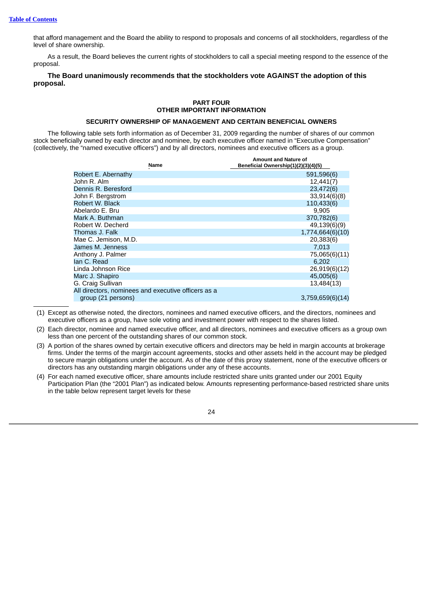that afford management and the Board the ability to respond to proposals and concerns of all stockholders, regardless of the level of share ownership.

As a result, the Board believes the current rights of stockholders to call a special meeting respond to the essence of the proposal.

# <span id="page-29-0"></span>**The Board unanimously recommends that the stockholders vote AGAINST the adoption of this proposal.**

# **PART FOUR OTHER IMPORTANT INFORMATION**

# **SECURITY OWNERSHIP OF MANAGEMENT AND CERTAIN BENEFICIAL OWNERS**

<span id="page-29-1"></span>The following table sets forth information as of December 31, 2009 regarding the number of shares of our common stock beneficially owned by each director and nominee, by each executive officer named in "Executive Compensation" (collectively, the "named executive officers") and by all directors, nominees and executive officers as a group.

|                                                     | <b>Name</b> | <b>Amount and Nature of</b><br>Beneficial Ownership(1)(2)(3)(4)(5) |
|-----------------------------------------------------|-------------|--------------------------------------------------------------------|
| Robert E. Abernathy                                 |             | 591,596(6)                                                         |
| John R. Alm                                         |             | 12,441(7)                                                          |
| Dennis R. Beresford                                 |             | 23,472(6)                                                          |
| John F. Bergstrom                                   |             | 33,914(6)(8)                                                       |
| Robert W. Black                                     |             | 110,433(6)                                                         |
| Abelardo E. Bru                                     |             | 9.905                                                              |
| Mark A. Buthman                                     |             | 370,782(6)                                                         |
| Robert W. Decherd                                   |             | 49,139(6)(9)                                                       |
| Thomas J. Falk                                      |             | 1,774,664(6)(10)                                                   |
| Mae C. Jemison, M.D.                                |             | 20,383(6)                                                          |
| James M. Jenness                                    |             | 7,013                                                              |
| Anthony J. Palmer                                   |             | 75,065(6)(11)                                                      |
| lan C. Read                                         |             | 6.202                                                              |
| Linda Johnson Rice                                  |             | 26,919(6)(12)                                                      |
| Marc J. Shapiro                                     |             | 45,005(6)                                                          |
| G. Craig Sullivan                                   |             | 13,484(13)                                                         |
| All directors, nominees and executive officers as a |             |                                                                    |
| group (21 persons)                                  |             | 3,759,659(6)(14)                                                   |

(1) Except as otherwise noted, the directors, nominees and named executive officers, and the directors, nominees and executive officers as a group, have sole voting and investment power with respect to the shares listed.

- (2) Each director, nominee and named executive officer, and all directors, nominees and executive officers as a group own less than one percent of the outstanding shares of our common stock.
- (3) A portion of the shares owned by certain executive officers and directors may be held in margin accounts at brokerage firms. Under the terms of the margin account agreements, stocks and other assets held in the account may be pledged to secure margin obligations under the account. As of the date of this proxy statement, none of the executive officers or directors has any outstanding margin obligations under any of these accounts.
- (4) For each named executive officer, share amounts include restricted share units granted under our 2001 Equity Participation Plan (the "2001 Plan") as indicated below. Amounts representing performance-based restricted share units in the table below represent target levels for these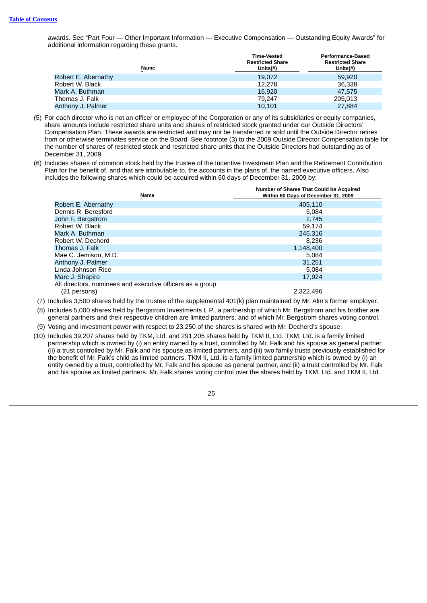awards. See "Part Four — Other Important Information — Executive Compensation — Outstanding Equity Awards" for additional information regarding these grants.

| <b>Name</b>         | <b>Time-Vested</b><br><b>Restricted Share</b><br>Units $(\#)$ | <b>Performance-Based</b><br><b>Restricted Share</b><br>Units $(\#)$ |
|---------------------|---------------------------------------------------------------|---------------------------------------------------------------------|
| Robert E. Abernathy | 19.072                                                        | 59,920                                                              |
| Robert W. Black     | 12.278                                                        | 36.338                                                              |
| Mark A. Buthman     | 16,920                                                        | 47,575                                                              |
| Thomas J. Falk      | 79.247                                                        | 205.013                                                             |
| Anthony J. Palmer   | 10,101                                                        | 27,884                                                              |

- (5) For each director who is not an officer or employee of the Corporation or any of its subsidiaries or equity companies, share amounts include restricted share units and shares of restricted stock granted under our Outside Directors' Compensation Plan. These awards are restricted and may not be transferred or sold until the Outside Director retires from or otherwise terminates service on the Board. See footnote (3) to the 2009 Outside Director Compensation table for the number of shares of restricted stock and restricted share units that the Outside Directors had outstanding as of December 31, 2009.
- (6) Includes shares of common stock held by the trustee of the Incentive Investment Plan and the Retirement Contribution Plan for the benefit of, and that are attributable to, the accounts in the plans of, the named executive officers. Also includes the following shares which could be acquired within 60 days of December 31, 2009 by:

| Name                                                                      | Number of Shares That Could be Acquired<br>Within 60 Days of December 31, 2009 |
|---------------------------------------------------------------------------|--------------------------------------------------------------------------------|
| Robert E. Abernathy                                                       | 405.110                                                                        |
| Dennis R. Beresford                                                       | 5.084                                                                          |
| John F. Bergstrom                                                         | 2,745                                                                          |
| Robert W. Black                                                           | 59.174                                                                         |
| Mark A. Buthman                                                           | 245.316                                                                        |
| Robert W. Decherd                                                         | 8.236                                                                          |
| Thomas J. Falk                                                            | 1,148,400                                                                      |
| Mae C. Jemison, M.D.                                                      | 5.084                                                                          |
| Anthony J. Palmer                                                         | 31.251                                                                         |
| Linda Johnson Rice                                                        | 5.084                                                                          |
| Marc J. Shapiro                                                           | 17.924                                                                         |
| All directors, nominees and executive officers as a group<br>(21 persons) | 2,322,496                                                                      |

(7) Includes 3,500 shares held by the trustee of the supplemental 401(k) plan maintained by Mr. Alm's former employer.

(8) Includes 5,000 shares held by Bergstrom Investments L.P., a partnership of which Mr. Bergstrom and his brother are general partners and their respective children are limited partners, and of which Mr. Bergstrom shares voting control.

(9) Voting and investment power with respect to 23,250 of the shares is shared with Mr. Decherd's spouse.

(10) Includes 39,207 shares held by TKM, Ltd. and 291,205 shares held by TKM II, Ltd. TKM, Ltd. is a family limited partnership which is owned by (i) an entity owned by a trust, controlled by Mr. Falk and his spouse as general partner, (ii) a trust controlled by Mr. Falk and his spouse as limited partners, and (iii) two family trusts previously established for the benefit of Mr. Falk's child as limited partners. TKM II, Ltd. is a family limited partnership which is owned by (i) an entity owned by a trust, controlled by Mr. Falk and his spouse as general partner, and (ii) a trust controlled by Mr. Falk and his spouse as limited partners. Mr. Falk shares voting control over the shares held by TKM, Ltd. and TKM II, Ltd.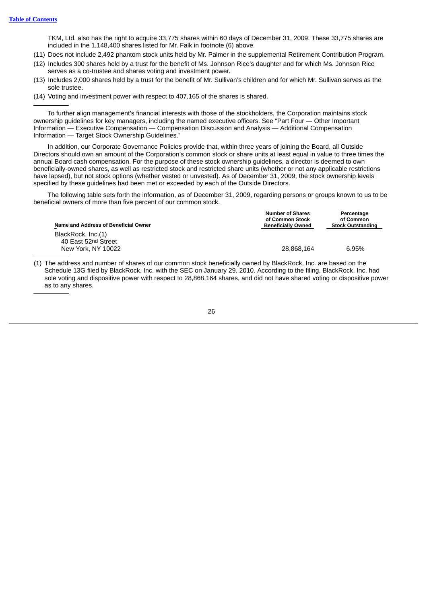TKM, Ltd. also has the right to acquire 33,775 shares within 60 days of December 31, 2009. These 33,775 shares are included in the 1,148,400 shares listed for Mr. Falk in footnote (6) above.

(11) Does not include 2,492 phantom stock units held by Mr. Palmer in the supplemental Retirement Contribution Program.

- (12) Includes 300 shares held by a trust for the benefit of Ms. Johnson Rice's daughter and for which Ms. Johnson Rice serves as a co-trustee and shares voting and investment power.
- (13) Includes 2,000 shares held by a trust for the benefit of Mr. Sullivan's children and for which Mr. Sullivan serves as the sole trustee.
- (14) Voting and investment power with respect to 407,165 of the shares is shared.

To further align management's financial interests with those of the stockholders, the Corporation maintains stock ownership guidelines for key managers, including the named executive officers. See "Part Four — Other Important Information — Executive Compensation — Compensation Discussion and Analysis — Additional Compensation Information — Target Stock Ownership Guidelines."

In addition, our Corporate Governance Policies provide that, within three years of joining the Board, all Outside Directors should own an amount of the Corporation's common stock or share units at least equal in value to three times the annual Board cash compensation. For the purpose of these stock ownership guidelines, a director is deemed to own beneficially-owned shares, as well as restricted stock and restricted share units (whether or not any applicable restrictions have lapsed), but not stock options (whether vested or unvested). As of December 31, 2009, the stock ownership levels specified by these guidelines had been met or exceeded by each of the Outside Directors.

The following table sets forth the information, as of December 31, 2009, regarding persons or groups known to us to be beneficial owners of more than five percent of our common stock.

| Name and Address of Beneficial Owner | <b>Number of Shares</b><br>of Common Stock<br><b>Beneficially Owned</b> | Percentage<br>of Common<br><b>Stock Outstanding</b> |
|--------------------------------------|-------------------------------------------------------------------------|-----------------------------------------------------|
| BlackRock, Inc.(1)                   |                                                                         |                                                     |
| 40 East 52nd Street                  |                                                                         |                                                     |
| New York, NY 10022                   | 28.868.164                                                              | 6.95%                                               |

(1) The address and number of shares of our common stock beneficially owned by BlackRock, Inc. are based on the Schedule 13G filed by BlackRock, Inc. with the SEC on January 29, 2010. According to the filing, BlackRock, Inc. had sole voting and dispositive power with respect to 28,868,164 shares, and did not have shared voting or dispositive power as to any shares.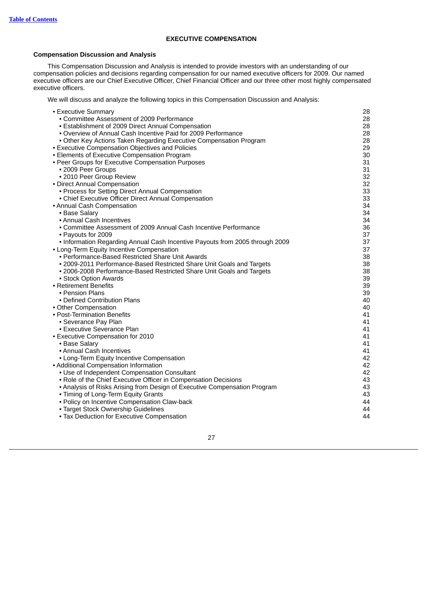# **EXECUTIVE COMPENSATION**

# <span id="page-32-1"></span><span id="page-32-0"></span>**Compensation Discussion and Analysis**

This Compensation Discussion and Analysis is intended to provide investors with an understanding of our compensation policies and decisions regarding compensation for our named executive officers for 2009. Our named executive officers are our Chief Executive Officer, Chief Financial Officer and our three other most highly compensated executive officers.

We will discuss and analyze the following topics in this Compensation Discussion and Analysis:

| • Executive Summary                                                          | 28 |
|------------------------------------------------------------------------------|----|
| • Committee Assessment of 2009 Performance                                   | 28 |
| • Establishment of 2009 Direct Annual Compensation                           | 28 |
| • Overview of Annual Cash Incentive Paid for 2009 Performance                | 28 |
| • Other Key Actions Taken Regarding Executive Compensation Program           | 28 |
| • Executive Compensation Objectives and Policies                             | 29 |
| • Elements of Executive Compensation Program                                 | 30 |
| • Peer Groups for Executive Compensation Purposes                            | 31 |
| • 2009 Peer Groups                                                           | 31 |
| • 2010 Peer Group Review                                                     | 32 |
| • Direct Annual Compensation                                                 | 32 |
| • Process for Setting Direct Annual Compensation                             | 33 |
| • Chief Executive Officer Direct Annual Compensation                         | 33 |
| • Annual Cash Compensation                                                   | 34 |
| • Base Salary                                                                | 34 |
| • Annual Cash Incentives                                                     | 34 |
| • Committee Assessment of 2009 Annual Cash Incentive Performance             | 36 |
| • Payouts for 2009                                                           | 37 |
| . Information Regarding Annual Cash Incentive Payouts from 2005 through 2009 | 37 |
| • Long-Term Equity Incentive Compensation                                    | 37 |
| • Performance-Based Restricted Share Unit Awards                             | 38 |
| • 2009-2011 Performance-Based Restricted Share Unit Goals and Targets        | 38 |
| • 2006-2008 Performance-Based Restricted Share Unit Goals and Targets        | 38 |
| • Stock Option Awards                                                        | 39 |
| • Retirement Benefits                                                        | 39 |
| • Pension Plans                                                              | 39 |
| • Defined Contribution Plans                                                 | 40 |
| • Other Compensation                                                         | 40 |
| • Post-Termination Benefits                                                  | 41 |
| • Severance Pay Plan                                                         | 41 |
| • Executive Severance Plan                                                   | 41 |
| • Executive Compensation for 2010                                            | 41 |
| • Base Salary                                                                | 41 |
| • Annual Cash Incentives                                                     | 41 |
| • Long-Term Equity Incentive Compensation                                    | 42 |
| • Additional Compensation Information                                        | 42 |
| • Use of Independent Compensation Consultant                                 | 42 |
| • Role of the Chief Executive Officer in Compensation Decisions              | 43 |
| • Analysis of Risks Arising from Design of Executive Compensation Program    | 43 |
| • Timing of Long-Term Equity Grants                                          | 43 |
| • Policy on Incentive Compensation Claw-back                                 | 44 |
| • Target Stock Ownership Guidelines                                          | 44 |
| • Tax Deduction for Executive Compensation                                   | 44 |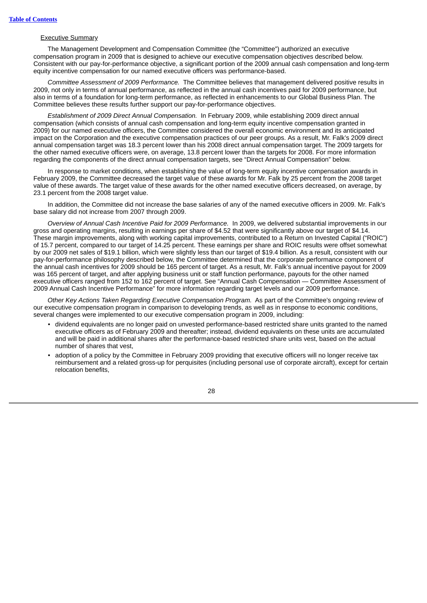# Executive Summary

The Management Development and Compensation Committee (the "Committee") authorized an executive compensation program in 2009 that is designed to achieve our executive compensation objectives described below. Consistent with our pay-for-performance objective, a significant portion of the 2009 annual cash compensation and long-term equity incentive compensation for our named executive officers was performance-based.

*Committee Assessment of 2009 Performance.* The Committee believes that management delivered positive results in 2009, not only in terms of annual performance, as reflected in the annual cash incentives paid for 2009 performance, but also in terms of a foundation for long-term performance, as reflected in enhancements to our Global Business Plan. The Committee believes these results further support our pay-for-performance objectives.

*Establishment of 2009 Direct Annual Compensation.* In February 2009, while establishing 2009 direct annual compensation (which consists of annual cash compensation and long-term equity incentive compensation granted in 2009) for our named executive officers, the Committee considered the overall economic environment and its anticipated impact on the Corporation and the executive compensation practices of our peer groups. As a result, Mr. Falk's 2009 direct annual compensation target was 18.3 percent lower than his 2008 direct annual compensation target. The 2009 targets for the other named executive officers were, on average, 13.8 percent lower than the targets for 2008. For more information regarding the components of the direct annual compensation targets, see "Direct Annual Compensation" below.

In response to market conditions, when establishing the value of long-term equity incentive compensation awards in February 2009, the Committee decreased the target value of these awards for Mr. Falk by 25 percent from the 2008 target value of these awards. The target value of these awards for the other named executive officers decreased, on average, by 23.1 percent from the 2008 target value.

In addition, the Committee did not increase the base salaries of any of the named executive officers in 2009. Mr. Falk's base salary did not increase from 2007 through 2009.

*Overview of Annual Cash Incentive Paid for 2009 Performance.* In 2009, we delivered substantial improvements in our gross and operating margins, resulting in earnings per share of \$4.52 that were significantly above our target of \$4.14. These margin improvements, along with working capital improvements, contributed to a Return on Invested Capital ("ROIC") of 15.7 percent, compared to our target of 14.25 percent. These earnings per share and ROIC results were offset somewhat by our 2009 net sales of \$19.1 billion, which were slightly less than our target of \$19.4 billion. As a result, consistent with our pay-for-performance philosophy described below, the Committee determined that the corporate performance component of the annual cash incentives for 2009 should be 165 percent of target. As a result, Mr. Falk's annual incentive payout for 2009 was 165 percent of target, and after applying business unit or staff function performance, payouts for the other named executive officers ranged from 152 to 162 percent of target. See "Annual Cash Compensation — Committee Assessment of 2009 Annual Cash Incentive Performance" for more information regarding target levels and our 2009 performance.

*Other Key Actions Taken Regarding Executive Compensation Program.* As part of the Committee's ongoing review of our executive compensation program in comparison to developing trends, as well as in response to economic conditions, several changes were implemented to our executive compensation program in 2009, including:

- dividend equivalents are no longer paid on unvested performance-based restricted share units granted to the named executive officers as of February 2009 and thereafter; instead, dividend equivalents on these units are accumulated and will be paid in additional shares after the performance-based restricted share units vest, based on the actual number of shares that vest,
- adoption of a policy by the Committee in February 2009 providing that executive officers will no longer receive tax reimbursement and a related gross-up for perquisites (including personal use of corporate aircraft), except for certain relocation benefits,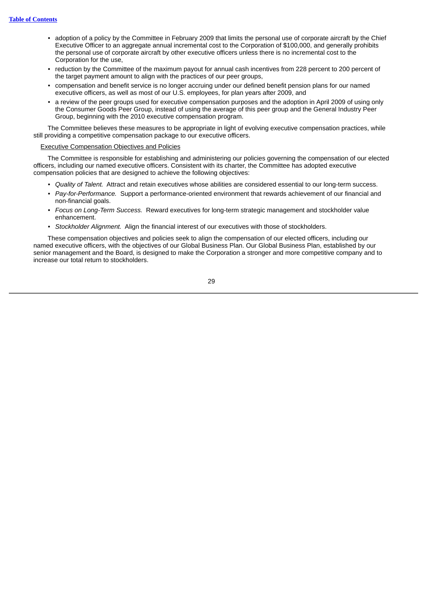- adoption of a policy by the Committee in February 2009 that limits the personal use of corporate aircraft by the Chief Executive Officer to an aggregate annual incremental cost to the Corporation of \$100,000, and generally prohibits the personal use of corporate aircraft by other executive officers unless there is no incremental cost to the Corporation for the use,
- reduction by the Committee of the maximum payout for annual cash incentives from 228 percent to 200 percent of the target payment amount to align with the practices of our peer groups,
- compensation and benefit service is no longer accruing under our defined benefit pension plans for our named executive officers, as well as most of our U.S. employees, for plan years after 2009, and
- a review of the peer groups used for executive compensation purposes and the adoption in April 2009 of using only the Consumer Goods Peer Group, instead of using the average of this peer group and the General Industry Peer Group, beginning with the 2010 executive compensation program.

The Committee believes these measures to be appropriate in light of evolving executive compensation practices, while still providing a competitive compensation package to our executive officers.

# Executive Compensation Objectives and Policies

The Committee is responsible for establishing and administering our policies governing the compensation of our elected officers, including our named executive officers. Consistent with its charter, the Committee has adopted executive compensation policies that are designed to achieve the following objectives:

- *Quality of Talent.* Attract and retain executives whose abilities are considered essential to our long-term success.
- *Pay-for-Performance.* Support a performance-oriented environment that rewards achievement of our financial and non-financial goals.
- *Focus on Long-Term Success.* Reward executives for long-term strategic management and stockholder value enhancement.
- *Stockholder Alignment.* Align the financial interest of our executives with those of stockholders.

These compensation objectives and policies seek to align the compensation of our elected officers, including our named executive officers, with the objectives of our Global Business Plan. Our Global Business Plan, established by our senior management and the Board, is designed to make the Corporation a stronger and more competitive company and to increase our total return to stockholders.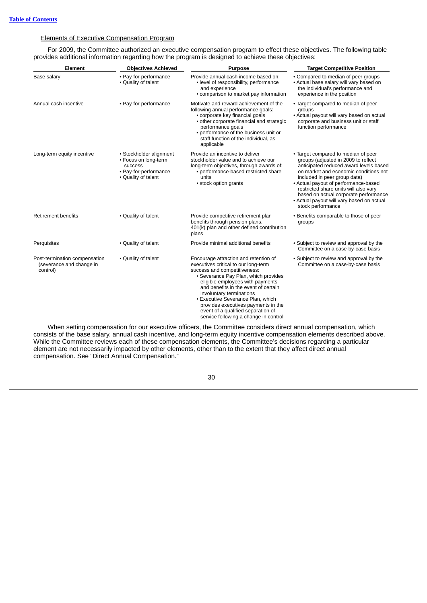# Elements of Executive Compensation Program

For 2009, the Committee authorized an executive compensation program to effect these objectives. The following table provides additional information regarding how the program is designed to achieve these objectives:

| Element                                                               | <b>Objectives Achieved</b>                                                                                 | <b>Purpose</b>                                                                                                                                                                                                                                                                                                                                                                                                           | <b>Target Competitive Position</b>                                                                                                                                                                                                                                                                                                                                                        |
|-----------------------------------------------------------------------|------------------------------------------------------------------------------------------------------------|--------------------------------------------------------------------------------------------------------------------------------------------------------------------------------------------------------------------------------------------------------------------------------------------------------------------------------------------------------------------------------------------------------------------------|-------------------------------------------------------------------------------------------------------------------------------------------------------------------------------------------------------------------------------------------------------------------------------------------------------------------------------------------------------------------------------------------|
| Base salary                                                           | • Pay-for-performance<br>• Quality of talent                                                               | Provide annual cash income based on:<br>• level of responsibility, performance<br>and experience<br>• comparison to market pay information                                                                                                                                                                                                                                                                               | • Compared to median of peer groups<br>• Actual base salary will vary based on<br>the individual's performance and<br>experience in the position                                                                                                                                                                                                                                          |
| Annual cash incentive                                                 | • Pay-for-performance                                                                                      | Motivate and reward achievement of the<br>following annual performance goals:<br>• corporate key financial goals<br>• other corporate financial and strategic<br>performance goals<br>• performance of the business unit or<br>staff function of the individual, as<br>applicable                                                                                                                                        | • Target compared to median of peer<br>groups<br>• Actual payout will vary based on actual<br>corporate and business unit or staff<br>function performance                                                                                                                                                                                                                                |
| Long-term equity incentive                                            | • Stockholder alignment<br>• Focus on long-term<br>success<br>• Pay-for-performance<br>• Quality of talent | Provide an incentive to deliver<br>stockholder value and to achieve our<br>long-term objectives, through awards of:<br>• performance-based restricted share<br>units<br>• stock option grants                                                                                                                                                                                                                            | • Target compared to median of peer<br>groups (adjusted in 2009 to reflect<br>anticipated reduced award levels based<br>on market and economic conditions not<br>included in peer group data)<br>• Actual payout of performance-based<br>restricted share units will also vary<br>based on actual corporate performance<br>• Actual payout will vary based on actual<br>stock performance |
| <b>Retirement benefits</b>                                            | • Quality of talent                                                                                        | Provide competitive retirement plan<br>benefits through pension plans,<br>401(k) plan and other defined contribution<br>plans                                                                                                                                                                                                                                                                                            | • Benefits comparable to those of peer<br>groups                                                                                                                                                                                                                                                                                                                                          |
| Perquisites                                                           | • Quality of talent                                                                                        | Provide minimal additional benefits                                                                                                                                                                                                                                                                                                                                                                                      | • Subject to review and approval by the<br>Committee on a case-by-case basis                                                                                                                                                                                                                                                                                                              |
| Post-termination compensation<br>(severance and change in<br>control) | • Quality of talent                                                                                        | Encourage attraction and retention of<br>executives critical to our long-term<br>success and competitiveness:<br>• Severance Pay Plan, which provides<br>eligible employees with payments<br>and benefits in the event of certain<br>involuntary terminations<br>• Executive Severance Plan, which<br>provides executives payments in the<br>event of a qualified separation of<br>service following a change in control | • Subject to review and approval by the<br>Committee on a case-by-case basis                                                                                                                                                                                                                                                                                                              |

When setting compensation for our executive officers, the Committee considers direct annual compensation, which consists of the base salary, annual cash incentive, and long-term equity incentive compensation elements described above. While the Committee reviews each of these compensation elements, the Committee's decisions regarding a particular element are not necessarily impacted by other elements, other than to the extent that they affect direct annual compensation. See "Direct Annual Compensation."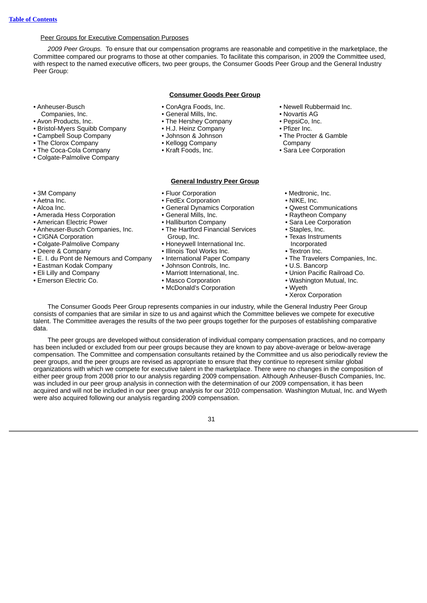# Peer Groups for Executive Compensation Purposes

*2009 Peer Groups.* To ensure that our compensation programs are reasonable and competitive in the marketplace, the Committee compared our programs to those at other companies. To facilitate this comparison, in 2009 the Committee used, with respect to the named executive officers, two peer groups, the Consumer Goods Peer Group and the General Industry Peer Group:

# **Consumer Goods Peer Group**

- ConAgra Foods, Inc.
	- General Mills, Inc.
	- The Hershey Company
	- H.J. Heinz Company
	- Johnson & Johnson
	- Kellogg Company
	- Kraft Foods, Inc.

# **General Industry Peer Group**

- Newell Rubbermaid Inc.
- Novartis AG
- PepsiCo, Inc. • Pfizer Inc.
- The Procter & Gamble Company
- Sara Lee Corporation

• The Coca-Cola Company • Colgate-Palmolive Company

• Bristol-Myers Squibb Company • Campbell Soup Company • The Clorox Company

- 
- 3M Company • Aetna Inc.

• Anheuser-Busch Companies, Inc. • Avon Products, Inc.

- Alcoa Inc.
- Amerada Hess Corporation
- American Electric Power
- Anheuser-Busch Companies, Inc.
- CIGNA Corporation
- Colgate-Palmolive Company
- Deere & Company
- E. I. du Pont de Nemours and Company
- Eastman Kodak Company
- Eli Lilly and Company
- Emerson Electric Co.
- Fluor Corporation
- FedEx Corporation
- General Dynamics Corporation
- General Mills, Inc.
- Halliburton Company
- The Hartford Financial Services Group, Inc.
- Honeywell International Inc.
- Illinois Tool Works Inc.
- International Paper Company
- Johnson Controls, Inc.
- Marriott International, Inc.
- Masco Corporation
- McDonald's Corporation
- Medtronic, Inc.
- NIKE, Inc.
- Qwest Communications
- Raytheon Company
- Sara Lee Corporation
- Staples, Inc.
- Texas Instruments Incorporated
- Textron Inc.
- The Travelers Companies, Inc.
- U.S. Bancorp
- Union Pacific Railroad Co.
- Washington Mutual, Inc.
- Wyeth
- Xerox Corporation

The Consumer Goods Peer Group represents companies in our industry, while the General Industry Peer Group consists of companies that are similar in size to us and against which the Committee believes we compete for executive talent. The Committee averages the results of the two peer groups together for the purposes of establishing comparative data.

The peer groups are developed without consideration of individual company compensation practices, and no company has been included or excluded from our peer groups because they are known to pay above-average or below-average compensation. The Committee and compensation consultants retained by the Committee and us also periodically review the peer groups, and the peer groups are revised as appropriate to ensure that they continue to represent similar global organizations with which we compete for executive talent in the marketplace. There were no changes in the composition of either peer group from 2008 prior to our analysis regarding 2009 compensation. Although Anheuser-Busch Companies, Inc. was included in our peer group analysis in connection with the determination of our 2009 compensation, it has been acquired and will not be included in our peer group analysis for our 2010 compensation. Washington Mutual, Inc. and Wyeth were also acquired following our analysis regarding 2009 compensation.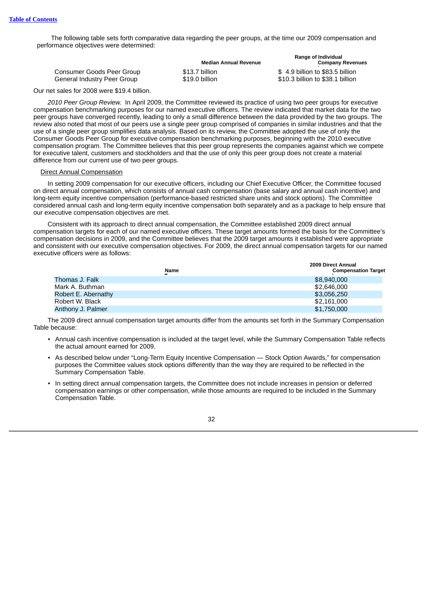The following table sets forth comparative data regarding the peer groups, at the time our 2009 compensation and performance objectives were determined:

|                             | <b>Median Annual Revenue</b> | <b>Range of Individual</b><br><b>Company Revenues</b> |
|-----------------------------|------------------------------|-------------------------------------------------------|
| Consumer Goods Peer Group   | \$13.7 billion               | \$4.9 billion to \$83.5 billion                       |
| General Industry Peer Group | \$19.0 billion               | \$10.3 billion to \$38.1 billion                      |

Our net sales for 2008 were \$19.4 billion.

*2010 Peer Group Review.* In April 2009, the Committee reviewed its practice of using two peer groups for executive compensation benchmarking purposes for our named executive officers. The review indicated that market data for the two peer groups have converged recently, leading to only a small difference between the data provided by the two groups. The review also noted that most of our peers use a single peer group comprised of companies in similar industries and that the use of a single peer group simplifies data analysis. Based on its review, the Committee adopted the use of only the Consumer Goods Peer Group for executive compensation benchmarking purposes, beginning with the 2010 executive compensation program. The Committee believes that this peer group represents the companies against which we compete for executive talent, customers and stockholders and that the use of only this peer group does not create a material difference from our current use of two peer groups.

## Direct Annual Compensation

In setting 2009 compensation for our executive officers, including our Chief Executive Officer, the Committee focused on direct annual compensation, which consists of annual cash compensation (base salary and annual cash incentive) and long-term equity incentive compensation (performance-based restricted share units and stock options). The Committee considered annual cash and long-term equity incentive compensation both separately and as a package to help ensure that our executive compensation objectives are met.

Consistent with its approach to direct annual compensation, the Committee established 2009 direct annual compensation targets for each of our named executive officers. These target amounts formed the basis for the Committee's compensation decisions in 2009, and the Committee believes that the 2009 target amounts it established were appropriate and consistent with our executive compensation objectives. For 2009, the direct annual compensation targets for our named executive officers were as follows:

|                     | 2009 Direct Annual                        |  |
|---------------------|-------------------------------------------|--|
|                     | <b>Compensation Target</b><br><b>Name</b> |  |
| Thomas J. Falk      | \$8,940,000                               |  |
| Mark A. Buthman     | \$2,646,000                               |  |
| Robert E. Abernathy | \$3,056,250                               |  |
| Robert W. Black     | \$2,161,000                               |  |
| Anthony J. Palmer   | \$1,750,000                               |  |

The 2009 direct annual compensation target amounts differ from the amounts set forth in the Summary Compensation Table because:

- Annual cash incentive compensation is included at the target level, while the Summary Compensation Table reflects the actual amount earned for 2009.
- As described below under "Long-Term Equity Incentive Compensation Stock Option Awards," for compensation purposes the Committee values stock options differently than the way they are required to be reflected in the Summary Compensation Table.
- In setting direct annual compensation targets, the Committee does not include increases in pension or deferred compensation earnings or other compensation, while those amounts are required to be included in the Summary Compensation Table.

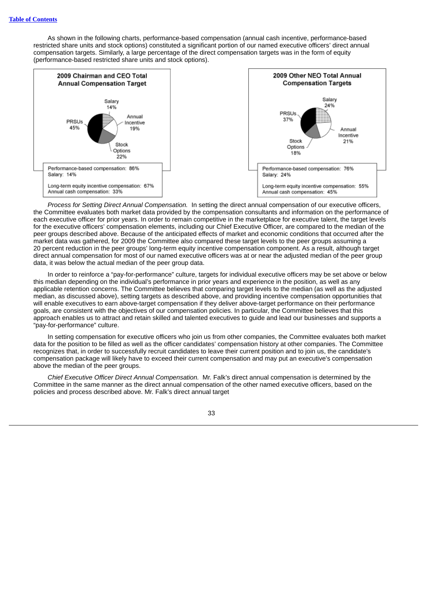As shown in the following charts, performance-based compensation (annual cash incentive, performance-based restricted share units and stock options) constituted a significant portion of our named executive officers' direct annual compensation targets. Similarly, a large percentage of the direct compensation targets was in the form of equity (performance-based restricted share units and stock options).



*Process for Setting Direct Annual Compensation.* In setting the direct annual compensation of our executive officers, the Committee evaluates both market data provided by the compensation consultants and information on the performance of each executive officer for prior years. In order to remain competitive in the marketplace for executive talent, the target levels for the executive officers' compensation elements, including our Chief Executive Officer, are compared to the median of the peer groups described above. Because of the anticipated effects of market and economic conditions that occurred after the market data was gathered, for 2009 the Committee also compared these target levels to the peer groups assuming a 20 percent reduction in the peer groups' long-term equity incentive compensation component. As a result, although target direct annual compensation for most of our named executive officers was at or near the adjusted median of the peer group data, it was below the actual median of the peer group data.

In order to reinforce a "pay-for-performance" culture, targets for individual executive officers may be set above or below this median depending on the individual's performance in prior years and experience in the position, as well as any applicable retention concerns. The Committee believes that comparing target levels to the median (as well as the adjusted median, as discussed above), setting targets as described above, and providing incentive compensation opportunities that will enable executives to earn above-target compensation if they deliver above-target performance on their performance goals, are consistent with the objectives of our compensation policies. In particular, the Committee believes that this approach enables us to attract and retain skilled and talented executives to guide and lead our businesses and supports a "pay-for-performance" culture.

In setting compensation for executive officers who join us from other companies, the Committee evaluates both market data for the position to be filled as well as the officer candidates' compensation history at other companies. The Committee recognizes that, in order to successfully recruit candidates to leave their current position and to join us, the candidate's compensation package will likely have to exceed their current compensation and may put an executive's compensation above the median of the peer groups.

*Chief Executive Officer Direct Annual Compensation.* Mr. Falk's direct annual compensation is determined by the Committee in the same manner as the direct annual compensation of the other named executive officers, based on the policies and process described above. Mr. Falk's direct annual target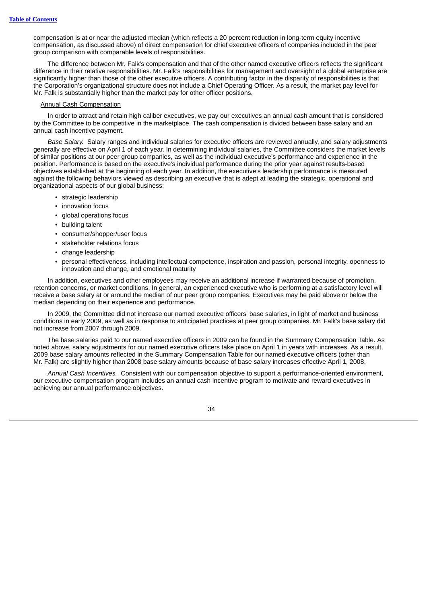compensation is at or near the adjusted median (which reflects a 20 percent reduction in long-term equity incentive compensation, as discussed above) of direct compensation for chief executive officers of companies included in the peer group comparison with comparable levels of responsibilities.

The difference between Mr. Falk's compensation and that of the other named executive officers reflects the significant difference in their relative responsibilities. Mr. Falk's responsibilities for management and oversight of a global enterprise are significantly higher than those of the other executive officers. A contributing factor in the disparity of responsibilities is that the Corporation's organizational structure does not include a Chief Operating Officer. As a result, the market pay level for Mr. Falk is substantially higher than the market pay for other officer positions.

#### Annual Cash Compensation

In order to attract and retain high caliber executives, we pay our executives an annual cash amount that is considered by the Committee to be competitive in the marketplace. The cash compensation is divided between base salary and an annual cash incentive payment.

*Base Salary.* Salary ranges and individual salaries for executive officers are reviewed annually, and salary adjustments generally are effective on April 1 of each year. In determining individual salaries, the Committee considers the market levels of similar positions at our peer group companies, as well as the individual executive's performance and experience in the position. Performance is based on the executive's individual performance during the prior year against results-based objectives established at the beginning of each year. In addition, the executive's leadership performance is measured against the following behaviors viewed as describing an executive that is adept at leading the strategic, operational and organizational aspects of our global business:

- strategic leadership
- innovation focus
- global operations focus
- building talent
- consumer/shopper/user focus
- stakeholder relations focus
- change leadership
- personal effectiveness, including intellectual competence, inspiration and passion, personal integrity, openness to innovation and change, and emotional maturity

In addition, executives and other employees may receive an additional increase if warranted because of promotion, retention concerns, or market conditions. In general, an experienced executive who is performing at a satisfactory level will receive a base salary at or around the median of our peer group companies. Executives may be paid above or below the median depending on their experience and performance.

In 2009, the Committee did not increase our named executive officers' base salaries, in light of market and business conditions in early 2009, as well as in response to anticipated practices at peer group companies. Mr. Falk's base salary did not increase from 2007 through 2009.

The base salaries paid to our named executive officers in 2009 can be found in the Summary Compensation Table. As noted above, salary adjustments for our named executive officers take place on April 1 in years with increases. As a result, 2009 base salary amounts reflected in the Summary Compensation Table for our named executive officers (other than Mr. Falk) are slightly higher than 2008 base salary amounts because of base salary increases effective April 1, 2008.

*Annual Cash Incentives.* Consistent with our compensation objective to support a performance-oriented environment, our executive compensation program includes an annual cash incentive program to motivate and reward executives in achieving our annual performance objectives.

![](_page_39_Picture_18.jpeg)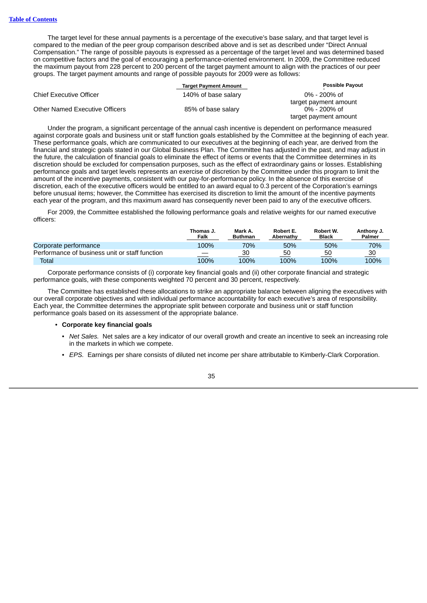The target level for these annual payments is a percentage of the executive's base salary, and that target level is compared to the median of the peer group comparison described above and is set as described under "Direct Annual Compensation." The range of possible payouts is expressed as a percentage of the target level and was determined based on competitive factors and the goal of encouraging a performance-oriented environment. In 2009, the Committee reduced the maximum payout from 228 percent to 200 percent of the target payment amount to align with the practices of our peer groups. The target payment amounts and range of possible payouts for 2009 were as follows:

|                                | <b>Target Payment Amount</b> | <b>Possible Payout</b> |
|--------------------------------|------------------------------|------------------------|
| Chief Executive Officer        | 140% of base salary          | $0\%$ - 200% of        |
|                                |                              | target payment amount  |
| Other Named Executive Officers | 85% of base salary           | $0\%$ - 200% of        |
|                                |                              | target payment amount  |

Under the program, a significant percentage of the annual cash incentive is dependent on performance measured against corporate goals and business unit or staff function goals established by the Committee at the beginning of each year. These performance goals, which are communicated to our executives at the beginning of each year, are derived from the financial and strategic goals stated in our Global Business Plan. The Committee has adjusted in the past, and may adjust in the future, the calculation of financial goals to eliminate the effect of items or events that the Committee determines in its discretion should be excluded for compensation purposes, such as the effect of extraordinary gains or losses. Establishing performance goals and target levels represents an exercise of discretion by the Committee under this program to limit the amount of the incentive payments, consistent with our pay-for-performance policy. In the absence of this exercise of discretion, each of the executive officers would be entitled to an award equal to 0.3 percent of the Corporation's earnings before unusual items; however, the Committee has exercised its discretion to limit the amount of the incentive payments each year of the program, and this maximum award has consequently never been paid to any of the executive officers.

For 2009, the Committee established the following performance goals and relative weights for our named executive officers:

|                                                | Thomas J.<br>Falk | Mark A.<br><b>Buthman</b> | Robert E.<br>Abernathy | Robert W.<br><b>Black</b> | Anthony J.<br><b>Palmer</b> |
|------------------------------------------------|-------------------|---------------------------|------------------------|---------------------------|-----------------------------|
| Corporate performance                          | 100%              | 70%                       | 50%                    | 50%                       | 70%                         |
| Performance of business unit or staff function |                   | 30                        | 50                     | 50                        | 30                          |
| Total                                          | 100%              | 100%                      | 100%                   | 100%                      | 100%                        |

Corporate performance consists of (i) corporate key financial goals and (ii) other corporate financial and strategic performance goals, with these components weighted 70 percent and 30 percent, respectively.

The Committee has established these allocations to strike an appropriate balance between aligning the executives with our overall corporate objectives and with individual performance accountability for each executive's area of responsibility. Each year, the Committee determines the appropriate split between corporate and business unit or staff function performance goals based on its assessment of the appropriate balance.

## • **Corporate key financial goals**

- *Net Sales.* Net sales are a key indicator of our overall growth and create an incentive to seek an increasing role in the markets in which we compete.
- *EPS.* Earnings per share consists of diluted net income per share attributable to Kimberly-Clark Corporation.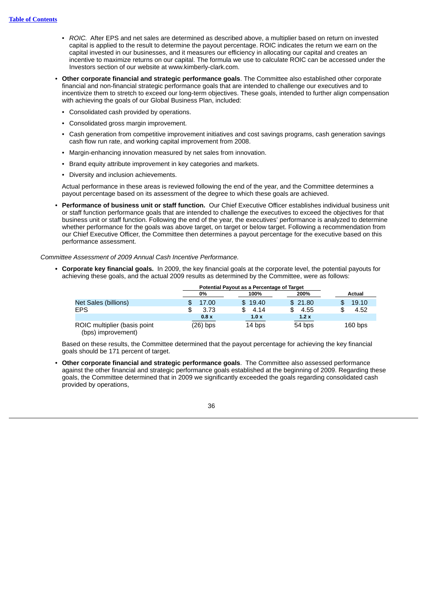- *ROIC.* After EPS and net sales are determined as described above, a multiplier based on return on invested capital is applied to the result to determine the payout percentage. ROIC indicates the return we earn on the capital invested in our businesses, and it measures our efficiency in allocating our capital and creates an incentive to maximize returns on our capital. The formula we use to calculate ROIC can be accessed under the Investors section of our website at www.kimberly-clark.com.
- **Other corporate financial and strategic performance goals**. The Committee also established other corporate financial and non-financial strategic performance goals that are intended to challenge our executives and to incentivize them to stretch to exceed our long-term objectives. These goals, intended to further align compensation with achieving the goals of our Global Business Plan, included:
	- Consolidated cash provided by operations.
	- Consolidated gross margin improvement.
	- Cash generation from competitive improvement initiatives and cost savings programs, cash generation savings cash flow run rate, and working capital improvement from 2008.
	- Margin-enhancing innovation measured by net sales from innovation.
	- Brand equity attribute improvement in key categories and markets.
	- Diversity and inclusion achievements.

Actual performance in these areas is reviewed following the end of the year, and the Committee determines a payout percentage based on its assessment of the degree to which these goals are achieved.

• **Performance of business unit or staff function.** Our Chief Executive Officer establishes individual business unit or staff function performance goals that are intended to challenge the executives to exceed the objectives for that business unit or staff function. Following the end of the year, the executives' performance is analyzed to determine whether performance for the goals was above target, on target or below target. Following a recommendation from our Chief Executive Officer, the Committee then determines a payout percentage for the executive based on this performance assessment.

*Committee Assessment of 2009 Annual Cash Incentive Performance.*

**• Corporate key financial goals.** In 2009, the key financial goals at the corporate level, the potential payouts for achieving these goals, and the actual 2009 results as determined by the Committee, were as follows:

|                                                    | Potential Payout as a Percentage of Target |         |             |           |
|----------------------------------------------------|--------------------------------------------|---------|-------------|-----------|
|                                                    | 0%                                         | 100%    | 200%        | Actual    |
| Net Sales (billions)                               | 17.00                                      | \$19.40 | \$21.80     | 19.10     |
| <b>EPS</b>                                         | 3.73                                       | 4.14    | 4.55<br>\$. | 4.52      |
|                                                    | 0.8x                                       | 1.0x    | 1.2x        |           |
| ROIC multiplier (basis point<br>(bps) improvement) | (26) bps                                   | 14 bps  | 54 bps      | $160$ bps |

Based on these results, the Committee determined that the payout percentage for achieving the key financial goals should be 171 percent of target.

• **Other corporate financial and strategic performance goals**. The Committee also assessed performance against the other financial and strategic performance goals established at the beginning of 2009. Regarding these goals, the Committee determined that in 2009 we significantly exceeded the goals regarding consolidated cash provided by operations,

![](_page_41_Picture_16.jpeg)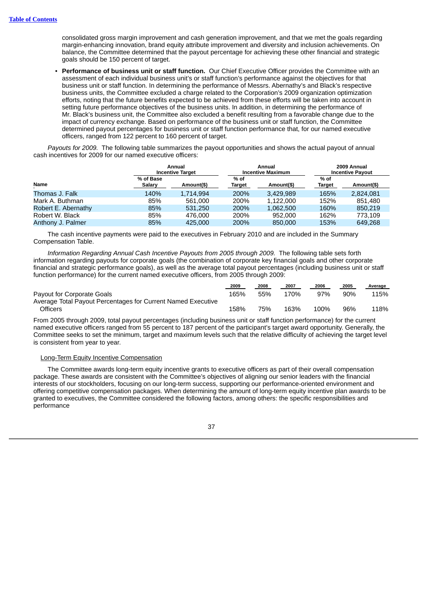consolidated gross margin improvement and cash generation improvement, and that we met the goals regarding margin-enhancing innovation, brand equity attribute improvement and diversity and inclusion achievements. On balance, the Committee determined that the payout percentage for achieving these other financial and strategic goals should be 150 percent of target.

• **Performance of business unit or staff function.** Our Chief Executive Officer provides the Committee with an assessment of each individual business unit's or staff function's performance against the objectives for that business unit or staff function. In determining the performance of Messrs. Abernathy's and Black's respective business units, the Committee excluded a charge related to the Corporation's 2009 organization optimization efforts, noting that the future benefits expected to be achieved from these efforts will be taken into account in setting future performance objectives of the business units. In addition, in determining the performance of Mr. Black's business unit, the Committee also excluded a benefit resulting from a favorable change due to the impact of currency exchange. Based on performance of the business unit or staff function, the Committee determined payout percentages for business unit or staff function performance that, for our named executive officers, ranged from 122 percent to 160 percent of target.

*Payouts for 2009.* The following table summarizes the payout opportunities and shows the actual payout of annual cash incentives for 2009 for our named executive officers:

|                     |                     | Annual<br><b>Incentive Target</b> |                       | Annual<br><b>Incentive Maximum</b> |                | 2009 Annual<br><b>Incentive Pavout</b> |
|---------------------|---------------------|-----------------------------------|-----------------------|------------------------------------|----------------|----------------------------------------|
| <b>Name</b>         | % of Base<br>Salary | Amount(\$)                        | % of<br><b>Target</b> | Amount(\$)                         | % of<br>Target | Amount(\$)                             |
| Thomas J. Falk      | 140%                | 1.714.994                         | 200%                  | 3.429.989                          | 165%           | 2,824,081                              |
| Mark A. Buthman     | 85%                 | 561,000                           | 200%                  | 1.122.000                          | 152%           | 851.480                                |
| Robert E. Abernathy | 85%                 | 531,250                           | 200%                  | 1.062.500                          | 160%           | 850.219                                |
| Robert W. Black     | 85%                 | 476.000                           | 200%                  | 952,000                            | 162%           | 773.109                                |
| Anthony J. Palmer   | 85%                 | 425,000                           | 200%                  | 850,000                            | 153%           | 649.268                                |

The cash incentive payments were paid to the executives in February 2010 and are included in the Summary Compensation Table.

*Information Regarding Annual Cash Incentive Payouts from 2005 through 2009.* The following table sets forth information regarding payouts for corporate goals (the combination of corporate key financial goals and other corporate financial and strategic performance goals), as well as the average total payout percentages (including business unit or staff function performance) for the current named executive officers, from 2005 through 2009:

|                                                              | 2009 | 2008 | 2007 | 2006 | 2005 | Average |
|--------------------------------------------------------------|------|------|------|------|------|---------|
| Payout for Corporate Goals                                   | 165% | 55%  | 170% | 97%  | 90%  | 115%    |
| Average Total Payout Percentages for Current Named Executive |      |      |      |      |      |         |
| <b>Officers</b>                                              | 158% | 75%  | 163% | 100% | 96%  | 118%    |

From 2005 through 2009, total payout percentages (including business unit or staff function performance) for the current named executive officers ranged from 55 percent to 187 percent of the participant's target award opportunity. Generally, the Committee seeks to set the minimum, target and maximum levels such that the relative difficulty of achieving the target level is consistent from year to year.

# Long-Term Equity Incentive Compensation

The Committee awards long-term equity incentive grants to executive officers as part of their overall compensation package. These awards are consistent with the Committee's objectives of aligning our senior leaders with the financial interests of our stockholders, focusing on our long-term success, supporting our performance-oriented environment and offering competitive compensation packages. When determining the amount of long-term equity incentive plan awards to be granted to executives, the Committee considered the following factors, among others: the specific responsibilities and performance

![](_page_42_Picture_11.jpeg)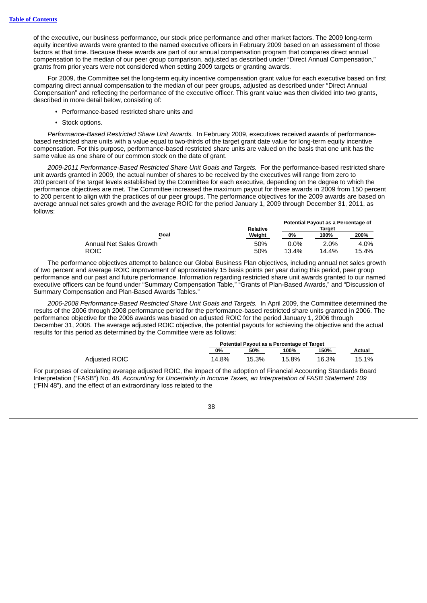of the executive, our business performance, our stock price performance and other market factors. The 2009 long-term equity incentive awards were granted to the named executive officers in February 2009 based on an assessment of those factors at that time. Because these awards are part of our annual compensation program that compares direct annual compensation to the median of our peer group comparison, adjusted as described under "Direct Annual Compensation," grants from prior years were not considered when setting 2009 targets or granting awards.

For 2009, the Committee set the long-term equity incentive compensation grant value for each executive based on first comparing direct annual compensation to the median of our peer groups, adjusted as described under "Direct Annual Compensation" and reflecting the performance of the executive officer. This grant value was then divided into two grants, described in more detail below, consisting of:

- Performance-based restricted share units and
- Stock options.

*Performance-Based Restricted Share Unit Awards.* In February 2009, executives received awards of performancebased restricted share units with a value equal to two-thirds of the target grant date value for long-term equity incentive compensation. For this purpose, performance-based restricted share units are valued on the basis that one unit has the same value as one share of our common stock on the date of grant.

*2009-2011 Performance-Based Restricted Share Unit Goals and Targets.* For the performance-based restricted share unit awards granted in 2009, the actual number of shares to be received by the executives will range from zero to 200 percent of the target levels established by the Committee for each executive, depending on the degree to which the performance objectives are met. The Committee increased the maximum payout for these awards in 2009 from 150 percent to 200 percent to align with the practices of our peer groups. The performance objectives for the 2009 awards are based on average annual net sales growth and the average ROIC for the period January 1, 2009 through December 31, 2011, as follows:

|                         |                 | Potential Payout as a Percentage of |         |       |
|-------------------------|-----------------|-------------------------------------|---------|-------|
|                         | <b>Relative</b> |                                     | Target  |       |
| Goal                    | Weight          | 0%                                  | 100%    | 200%  |
| Annual Net Sales Growth | 50%             | $0.0\%$                             | $2.0\%$ | 4.0%  |
| ROIC                    | 50%             | 13.4%                               | 14.4%   | 15.4% |

The performance objectives attempt to balance our Global Business Plan objectives, including annual net sales growth of two percent and average ROIC improvement of approximately 15 basis points per year during this period, peer group performance and our past and future performance. Information regarding restricted share unit awards granted to our named executive officers can be found under "Summary Compensation Table," "Grants of Plan-Based Awards," and "Discussion of Summary Compensation and Plan-Based Awards Tables."

*2006-2008 Performance-Based Restricted Share Unit Goals and Targets.* In April 2009, the Committee determined the results of the 2006 through 2008 performance period for the performance-based restricted share units granted in 2006. The performance objective for the 2006 awards was based on adjusted ROIC for the period January 1, 2006 through December 31, 2008. The average adjusted ROIC objective, the potential payouts for achieving the objective and the actual results for this period as determined by the Committee were as follows:

|               | Potential Pavout as a Percentage of Target |       |       |       |        |
|---------------|--------------------------------------------|-------|-------|-------|--------|
|               | 0%                                         | 50%   | 100%  | 150%  | Actual |
| Adiusted ROIC | 14.8%                                      | 15.3% | 15.8% | 16.3% | 15.1%  |

For purposes of calculating average adjusted ROIC, the impact of the adoption of Financial Accounting Standards Board Interpretation ("FASB") No. 48, *Accounting for Uncertainty in Income Taxes, an Interpretation of FASB Statement 109* ("FIN 48"), and the effect of an extraordinary loss related to the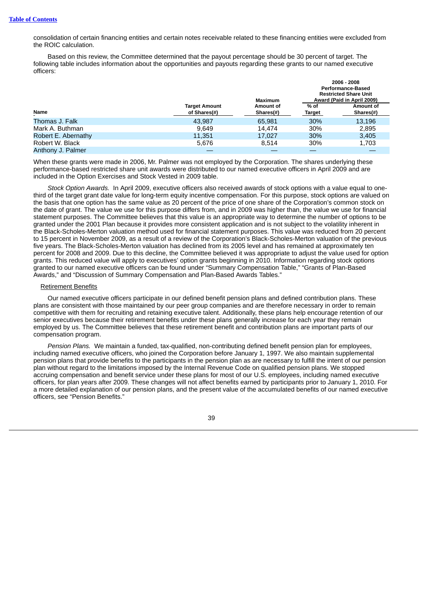consolidation of certain financing entities and certain notes receivable related to these financing entities were excluded from the ROIC calculation.

Based on this review, the Committee determined that the payout percentage should be 30 percent of target. The following table includes information about the opportunities and payouts regarding these grants to our named executive officers:

|                     | <b>Target Amount</b> | <b>Maximum</b><br>Amount of | % of   | 2006 - 2008<br><b>Performance-Based</b><br><b>Restricted Share Unit</b><br>Award (Paid in April 2009)<br>Amount of |
|---------------------|----------------------|-----------------------------|--------|--------------------------------------------------------------------------------------------------------------------|
| Name                | of Shares(#)         | $Shares$ $#)$               | Target | $Shares$ $#$                                                                                                       |
| Thomas J. Falk      | 43.987               | 65.981                      | 30%    | 13.196                                                                                                             |
| Mark A. Buthman     | 9.649                | 14.474                      | 30%    | 2.895                                                                                                              |
| Robert E. Abernathy | 11.351               | 17.027                      | 30%    | 3.405                                                                                                              |
| Robert W. Black     | 5,676                | 8.514                       | 30%    | 1,703                                                                                                              |
| Anthony J. Palmer   |                      |                             |        |                                                                                                                    |

When these grants were made in 2006, Mr. Palmer was not employed by the Corporation. The shares underlying these performance-based restricted share unit awards were distributed to our named executive officers in April 2009 and are included in the Option Exercises and Stock Vested in 2009 table.

*Stock Option Awards.* In April 2009, executive officers also received awards of stock options with a value equal to onethird of the target grant date value for long-term equity incentive compensation. For this purpose, stock options are valued on the basis that one option has the same value as 20 percent of the price of one share of the Corporation's common stock on the date of grant. The value we use for this purpose differs from, and in 2009 was higher than, the value we use for financial statement purposes. The Committee believes that this value is an appropriate way to determine the number of options to be granted under the 2001 Plan because it provides more consistent application and is not subject to the volatility inherent in the Black-Scholes-Merton valuation method used for financial statement purposes. This value was reduced from 20 percent to 15 percent in November 2009, as a result of a review of the Corporation's Black-Scholes-Merton valuation of the previous five years. The Black-Scholes-Merton valuation has declined from its 2005 level and has remained at approximately ten percent for 2008 and 2009. Due to this decline, the Committee believed it was appropriate to adjust the value used for option grants. This reduced value will apply to executives' option grants beginning in 2010. Information regarding stock options granted to our named executive officers can be found under "Summary Compensation Table," "Grants of Plan-Based Awards," and "Discussion of Summary Compensation and Plan-Based Awards Tables."

#### Retirement Benefits

Our named executive officers participate in our defined benefit pension plans and defined contribution plans. These plans are consistent with those maintained by our peer group companies and are therefore necessary in order to remain competitive with them for recruiting and retaining executive talent. Additionally, these plans help encourage retention of our senior executives because their retirement benefits under these plans generally increase for each year they remain employed by us. The Committee believes that these retirement benefit and contribution plans are important parts of our compensation program.

*Pension Plans.* We maintain a funded, tax-qualified, non-contributing defined benefit pension plan for employees, including named executive officers, who joined the Corporation before January 1, 1997. We also maintain supplemental pension plans that provide benefits to the participants in the pension plan as are necessary to fulfill the intent of our pension plan without regard to the limitations imposed by the Internal Revenue Code on qualified pension plans. We stopped accruing compensation and benefit service under these plans for most of our U.S. employees, including named executive officers, for plan years after 2009. These changes will not affect benefits earned by participants prior to January 1, 2010. For a more detailed explanation of our pension plans, and the present value of the accumulated benefits of our named executive officers, see "Pension Benefits."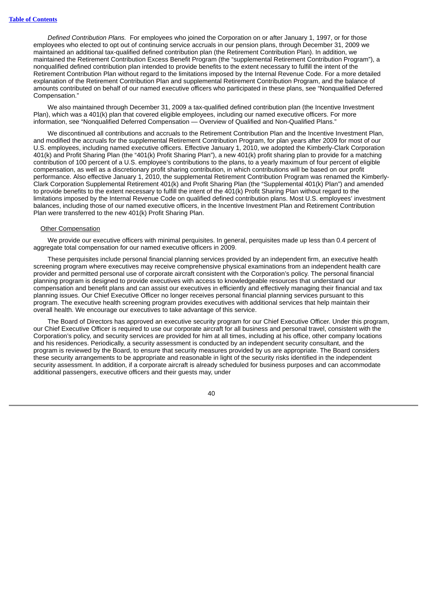*Defined Contribution Plans.* For employees who joined the Corporation on or after January 1, 1997, or for those employees who elected to opt out of continuing service accruals in our pension plans, through December 31, 2009 we maintained an additional tax-qualified defined contribution plan (the Retirement Contribution Plan). In addition, we maintained the Retirement Contribution Excess Benefit Program (the "supplemental Retirement Contribution Program"), a nonqualified defined contribution plan intended to provide benefits to the extent necessary to fulfill the intent of the Retirement Contribution Plan without regard to the limitations imposed by the Internal Revenue Code. For a more detailed explanation of the Retirement Contribution Plan and supplemental Retirement Contribution Program, and the balance of amounts contributed on behalf of our named executive officers who participated in these plans, see "Nonqualified Deferred Compensation."

We also maintained through December 31, 2009 a tax-qualified defined contribution plan (the Incentive Investment Plan), which was a 401(k) plan that covered eligible employees, including our named executive officers. For more information, see "Nonqualified Deferred Compensation — Overview of Qualified and Non-Qualified Plans."

We discontinued all contributions and accruals to the Retirement Contribution Plan and the Incentive Investment Plan, and modified the accruals for the supplemental Retirement Contribution Program, for plan years after 2009 for most of our U.S. employees, including named executive officers. Effective January 1, 2010, we adopted the Kimberly-Clark Corporation 401(k) and Profit Sharing Plan (the "401(k) Profit Sharing Plan"), a new 401(k) profit sharing plan to provide for a matching contribution of 100 percent of a U.S. employee's contributions to the plans, to a yearly maximum of four percent of eligible compensation, as well as a discretionary profit sharing contribution, in which contributions will be based on our profit performance. Also effective January 1, 2010, the supplemental Retirement Contribution Program was renamed the Kimberly-Clark Corporation Supplemental Retirement 401(k) and Profit Sharing Plan (the "Supplemental 401(k) Plan") and amended to provide benefits to the extent necessary to fulfill the intent of the 401(k) Profit Sharing Plan without regard to the limitations imposed by the Internal Revenue Code on qualified defined contribution plans. Most U.S. employees' investment balances, including those of our named executive officers, in the Incentive Investment Plan and Retirement Contribution Plan were transferred to the new 401(k) Profit Sharing Plan.

#### Other Compensation

We provide our executive officers with minimal perquisites. In general, perquisites made up less than 0.4 percent of aggregate total compensation for our named executive officers in 2009.

These perquisites include personal financial planning services provided by an independent firm, an executive health screening program where executives may receive comprehensive physical examinations from an independent health care provider and permitted personal use of corporate aircraft consistent with the Corporation's policy. The personal financial planning program is designed to provide executives with access to knowledgeable resources that understand our compensation and benefit plans and can assist our executives in efficiently and effectively managing their financial and tax planning issues. Our Chief Executive Officer no longer receives personal financial planning services pursuant to this program. The executive health screening program provides executives with additional services that help maintain their overall health. We encourage our executives to take advantage of this service.

The Board of Directors has approved an executive security program for our Chief Executive Officer. Under this program, our Chief Executive Officer is required to use our corporate aircraft for all business and personal travel, consistent with the Corporation's policy, and security services are provided for him at all times, including at his office, other company locations and his residences. Periodically, a security assessment is conducted by an independent security consultant, and the program is reviewed by the Board, to ensure that security measures provided by us are appropriate. The Board considers these security arrangements to be appropriate and reasonable in light of the security risks identified in the independent security assessment. In addition, if a corporate aircraft is already scheduled for business purposes and can accommodate additional passengers, executive officers and their guests may, under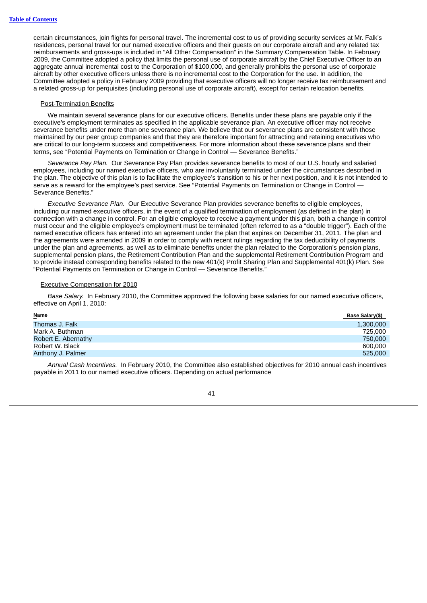certain circumstances, join flights for personal travel. The incremental cost to us of providing security services at Mr. Falk's residences, personal travel for our named executive officers and their guests on our corporate aircraft and any related tax reimbursements and gross-ups is included in "All Other Compensation" in the Summary Compensation Table. In February 2009, the Committee adopted a policy that limits the personal use of corporate aircraft by the Chief Executive Officer to an aggregate annual incremental cost to the Corporation of \$100,000, and generally prohibits the personal use of corporate aircraft by other executive officers unless there is no incremental cost to the Corporation for the use. In addition, the Committee adopted a policy in February 2009 providing that executive officers will no longer receive tax reimbursement and a related gross-up for perquisites (including personal use of corporate aircraft), except for certain relocation benefits.

#### Post-Termination Benefits

We maintain several severance plans for our executive officers. Benefits under these plans are payable only if the executive's employment terminates as specified in the applicable severance plan. An executive officer may not receive severance benefits under more than one severance plan. We believe that our severance plans are consistent with those maintained by our peer group companies and that they are therefore important for attracting and retaining executives who are critical to our long-term success and competitiveness. For more information about these severance plans and their terms, see "Potential Payments on Termination or Change in Control — Severance Benefits."

*Severance Pay Plan.* Our Severance Pay Plan provides severance benefits to most of our U.S. hourly and salaried employees, including our named executive officers, who are involuntarily terminated under the circumstances described in the plan. The objective of this plan is to facilitate the employee's transition to his or her next position, and it is not intended to serve as a reward for the employee's past service. See "Potential Payments on Termination or Change in Control — Severance Benefits."

*Executive Severance Plan.* Our Executive Severance Plan provides severance benefits to eligible employees, including our named executive officers, in the event of a qualified termination of employment (as defined in the plan) in connection with a change in control. For an eligible employee to receive a payment under this plan, both a change in control must occur and the eligible employee's employment must be terminated (often referred to as a "double trigger"). Each of the named executive officers has entered into an agreement under the plan that expires on December 31, 2011. The plan and the agreements were amended in 2009 in order to comply with recent rulings regarding the tax deductibility of payments under the plan and agreements, as well as to eliminate benefits under the plan related to the Corporation's pension plans, supplemental pension plans, the Retirement Contribution Plan and the supplemental Retirement Contribution Program and to provide instead corresponding benefits related to the new 401(k) Profit Sharing Plan and Supplemental 401(k) Plan. See "Potential Payments on Termination or Change in Control — Severance Benefits."

#### Executive Compensation for 2010

*Base Salary.* In February 2010, the Committee approved the following base salaries for our named executive officers, effective on April 1, 2010:

| Name                | Base Salary(\$) |
|---------------------|-----------------|
| Thomas J. Falk      | 1,300,000       |
| Mark A. Buthman     | 725,000         |
| Robert E. Abernathy | 750,000         |
| Robert W. Black     | 600,000         |
| Anthony J. Palmer   | 525,000         |

*Annual Cash Incentives.* In February 2010, the Committee also established objectives for 2010 annual cash incentives payable in 2011 to our named executive officers. Depending on actual performance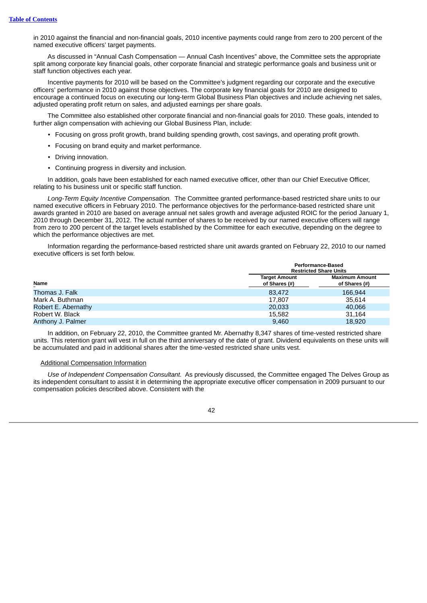in 2010 against the financial and non-financial goals, 2010 incentive payments could range from zero to 200 percent of the named executive officers' target payments.

As discussed in "Annual Cash Compensation — Annual Cash Incentives" above, the Committee sets the appropriate split among corporate key financial goals, other corporate financial and strategic performance goals and business unit or staff function objectives each year.

Incentive payments for 2010 will be based on the Committee's judgment regarding our corporate and the executive officers' performance in 2010 against those objectives. The corporate key financial goals for 2010 are designed to encourage a continued focus on executing our long-term Global Business Plan objectives and include achieving net sales, adjusted operating profit return on sales, and adjusted earnings per share goals.

The Committee also established other corporate financial and non-financial goals for 2010. These goals, intended to further align compensation with achieving our Global Business Plan, include:

- Focusing on gross profit growth, brand building spending growth, cost savings, and operating profit growth.
- Focusing on brand equity and market performance.
- Driving innovation.
- Continuing progress in diversity and inclusion.

In addition, goals have been established for each named executive officer, other than our Chief Executive Officer, relating to his business unit or specific staff function.

*Long-Term Equity Incentive Compensation.* The Committee granted performance-based restricted share units to our named executive officers in February 2010. The performance objectives for the performance-based restricted share unit awards granted in 2010 are based on average annual net sales growth and average adjusted ROIC for the period January 1, 2010 through December 31, 2012. The actual number of shares to be received by our named executive officers will range from zero to 200 percent of the target levels established by the Committee for each executive, depending on the degree to which the performance objectives are met.

Information regarding the performance-based restricted share unit awards granted on February 22, 2010 to our named executive officers is set forth below.

|                     | Performance-Based<br><b>Restricted Share Units</b> |                                        |  |
|---------------------|----------------------------------------------------|----------------------------------------|--|
| <b>Name</b>         | <b>Target Amount</b><br>of Shares (#)              | <b>Maximum Amount</b><br>of Shares (#) |  |
| Thomas J. Falk      | 83.472                                             | 166.944                                |  |
| Mark A. Buthman     | 17.807                                             | 35.614                                 |  |
| Robert E. Abernathy | 20,033                                             | 40.066                                 |  |
| Robert W. Black     | 15,582                                             | 31.164                                 |  |
| Anthony J. Palmer   | 9.460                                              | 18,920                                 |  |

In addition, on February 22, 2010, the Committee granted Mr. Abernathy 8,347 shares of time-vested restricted share units. This retention grant will vest in full on the third anniversary of the date of grant. Dividend equivalents on these units will be accumulated and paid in additional shares after the time-vested restricted share units vest.

## Additional Compensation Information

*Use of Independent Compensation Consultant.* As previously discussed, the Committee engaged The Delves Group as its independent consultant to assist it in determining the appropriate executive officer compensation in 2009 pursuant to our compensation policies described above. Consistent with the

![](_page_47_Picture_16.jpeg)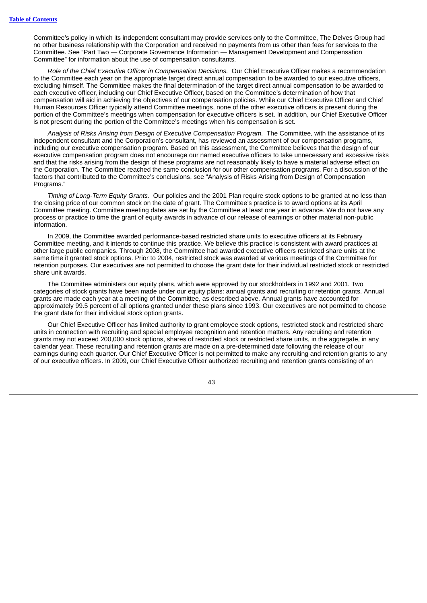Committee's policy in which its independent consultant may provide services only to the Committee, The Delves Group had no other business relationship with the Corporation and received no payments from us other than fees for services to the Committee. See "Part Two — Corporate Governance Information — Management Development and Compensation Committee" for information about the use of compensation consultants.

*Role of the Chief Executive Officer in Compensation Decisions.* Our Chief Executive Officer makes a recommendation to the Committee each year on the appropriate target direct annual compensation to be awarded to our executive officers, excluding himself. The Committee makes the final determination of the target direct annual compensation to be awarded to each executive officer, including our Chief Executive Officer, based on the Committee's determination of how that compensation will aid in achieving the objectives of our compensation policies. While our Chief Executive Officer and Chief Human Resources Officer typically attend Committee meetings, none of the other executive officers is present during the portion of the Committee's meetings when compensation for executive officers is set. In addition, our Chief Executive Officer is not present during the portion of the Committee's meetings when his compensation is set.

*Analysis of Risks Arising from Design of Executive Compensation Program.* The Committee, with the assistance of its independent consultant and the Corporation's consultant, has reviewed an assessment of our compensation programs, including our executive compensation program. Based on this assessment, the Committee believes that the design of our executive compensation program does not encourage our named executive officers to take unnecessary and excessive risks and that the risks arising from the design of these programs are not reasonably likely to have a material adverse effect on the Corporation. The Committee reached the same conclusion for our other compensation programs. For a discussion of the factors that contributed to the Committee's conclusions, see "Analysis of Risks Arising from Design of Compensation Programs."

*Timing of Long-Term Equity Grants.* Our policies and the 2001 Plan require stock options to be granted at no less than the closing price of our common stock on the date of grant. The Committee's practice is to award options at its April Committee meeting. Committee meeting dates are set by the Committee at least one year in advance. We do not have any process or practice to time the grant of equity awards in advance of our release of earnings or other material non-public information.

In 2009, the Committee awarded performance-based restricted share units to executive officers at its February Committee meeting, and it intends to continue this practice. We believe this practice is consistent with award practices at other large public companies. Through 2008, the Committee had awarded executive officers restricted share units at the same time it granted stock options. Prior to 2004, restricted stock was awarded at various meetings of the Committee for retention purposes. Our executives are not permitted to choose the grant date for their individual restricted stock or restricted share unit awards.

The Committee administers our equity plans, which were approved by our stockholders in 1992 and 2001. Two categories of stock grants have been made under our equity plans: annual grants and recruiting or retention grants. Annual grants are made each year at a meeting of the Committee, as described above. Annual grants have accounted for approximately 99.5 percent of all options granted under these plans since 1993. Our executives are not permitted to choose the grant date for their individual stock option grants.

Our Chief Executive Officer has limited authority to grant employee stock options, restricted stock and restricted share units in connection with recruiting and special employee recognition and retention matters. Any recruiting and retention grants may not exceed 200,000 stock options, shares of restricted stock or restricted share units, in the aggregate, in any calendar year. These recruiting and retention grants are made on a pre-determined date following the release of our earnings during each quarter. Our Chief Executive Officer is not permitted to make any recruiting and retention grants to any of our executive officers. In 2009, our Chief Executive Officer authorized recruiting and retention grants consisting of an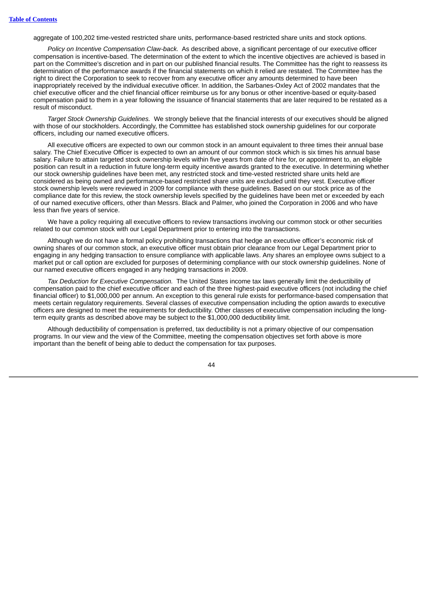aggregate of 100,202 time-vested restricted share units, performance-based restricted share units and stock options.

*Policy on Incentive Compensation Claw-back.* As described above, a significant percentage of our executive officer compensation is incentive-based. The determination of the extent to which the incentive objectives are achieved is based in part on the Committee's discretion and in part on our published financial results. The Committee has the right to reassess its determination of the performance awards if the financial statements on which it relied are restated. The Committee has the right to direct the Corporation to seek to recover from any executive officer any amounts determined to have been inappropriately received by the individual executive officer. In addition, the Sarbanes-Oxley Act of 2002 mandates that the chief executive officer and the chief financial officer reimburse us for any bonus or other incentive-based or equity-based compensation paid to them in a year following the issuance of financial statements that are later required to be restated as a result of misconduct.

*Target Stock Ownership Guidelines.* We strongly believe that the financial interests of our executives should be aligned with those of our stockholders. Accordingly, the Committee has established stock ownership guidelines for our corporate officers, including our named executive officers.

All executive officers are expected to own our common stock in an amount equivalent to three times their annual base salary. The Chief Executive Officer is expected to own an amount of our common stock which is six times his annual base salary. Failure to attain targeted stock ownership levels within five years from date of hire for, or appointment to, an eligible position can result in a reduction in future long-term equity incentive awards granted to the executive. In determining whether our stock ownership guidelines have been met, any restricted stock and time-vested restricted share units held are considered as being owned and performance-based restricted share units are excluded until they vest. Executive officer stock ownership levels were reviewed in 2009 for compliance with these guidelines. Based on our stock price as of the compliance date for this review, the stock ownership levels specified by the guidelines have been met or exceeded by each of our named executive officers, other than Messrs. Black and Palmer, who joined the Corporation in 2006 and who have less than five years of service.

We have a policy requiring all executive officers to review transactions involving our common stock or other securities related to our common stock with our Legal Department prior to entering into the transactions.

Although we do not have a formal policy prohibiting transactions that hedge an executive officer's economic risk of owning shares of our common stock, an executive officer must obtain prior clearance from our Legal Department prior to engaging in any hedging transaction to ensure compliance with applicable laws. Any shares an employee owns subject to a market put or call option are excluded for purposes of determining compliance with our stock ownership guidelines. None of our named executive officers engaged in any hedging transactions in 2009.

*Tax Deduction for Executive Compensation.* The United States income tax laws generally limit the deductibility of compensation paid to the chief executive officer and each of the three highest-paid executive officers (not including the chief financial officer) to \$1,000,000 per annum. An exception to this general rule exists for performance-based compensation that meets certain regulatory requirements. Several classes of executive compensation including the option awards to executive officers are designed to meet the requirements for deductibility. Other classes of executive compensation including the longterm equity grants as described above may be subject to the \$1,000,000 deductibility limit.

Although deductibility of compensation is preferred, tax deductibility is not a primary objective of our compensation programs. In our view and the view of the Committee, meeting the compensation objectives set forth above is more important than the benefit of being able to deduct the compensation for tax purposes.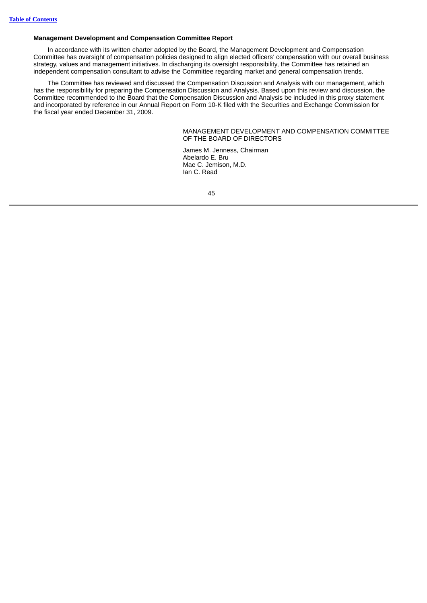# **Management Development and Compensation Committee Report**

In accordance with its written charter adopted by the Board, the Management Development and Compensation Committee has oversight of compensation policies designed to align elected officers' compensation with our overall business strategy, values and management initiatives. In discharging its oversight responsibility, the Committee has retained an independent compensation consultant to advise the Committee regarding market and general compensation trends.

The Committee has reviewed and discussed the Compensation Discussion and Analysis with our management, which has the responsibility for preparing the Compensation Discussion and Analysis. Based upon this review and discussion, the Committee recommended to the Board that the Compensation Discussion and Analysis be included in this proxy statement and incorporated by reference in our Annual Report on Form 10-K filed with the Securities and Exchange Commission for the fiscal year ended December 31, 2009.

> MANAGEMENT DEVELOPMENT AND COMPENSATION COMMITTEE OF THE BOARD OF DIRECTORS

James M. Jenness, Chairman Abelardo E. Bru Mae C. Jemison, M.D. Ian C. Read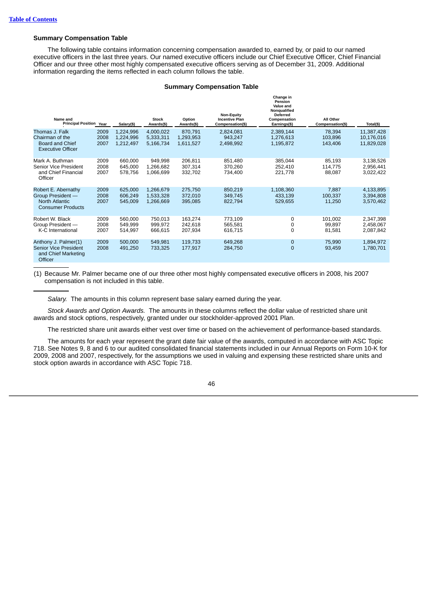# **Summary Compensation Table**

The following table contains information concerning compensation awarded to, earned by, or paid to our named executive officers in the last three years. Our named executive officers include our Chief Executive Officer, Chief Financial Officer and our three other most highly compensated executive officers serving as of December 31, 2009. Additional information regarding the items reflected in each column follows the table.

## **Summary Compensation Table**

| Name and<br><b>Principal Position Year</b>                                             |                      | Salary(\$)                          | Stock<br>Awards(\$)                 | Option<br>Awards(\$)              | <b>Non-Equity</b><br><b>Incentive Plan</b><br>Compensation(\$) | Change in<br>Pension<br>Value and<br>Nonqualified<br><b>Deferred</b><br>Compensation<br>Earnings(\$) | All Other<br>Compensation(\$) | Total(\$)                              |
|----------------------------------------------------------------------------------------|----------------------|-------------------------------------|-------------------------------------|-----------------------------------|----------------------------------------------------------------|------------------------------------------------------------------------------------------------------|-------------------------------|----------------------------------------|
| Thomas J. Falk<br>Chairman of the<br>Board and Chief<br><b>Executive Officer</b>       | 2009<br>2008<br>2007 | 1,224,996<br>1,224,996<br>1,212,497 | 4,000,022<br>5,333,311<br>5,166,734 | 870,791<br>1,293,953<br>1,611,527 | 2,824,081<br>943,247<br>2,498,992                              | 2,389,144<br>1,276,613<br>1,195,872                                                                  | 78,394<br>103,896<br>143,406  | 11,387,428<br>10,176,016<br>11,829,028 |
| Mark A. Buthman<br>Senior Vice President<br>and Chief Financial<br>Officer             | 2009<br>2008<br>2007 | 660,000<br>645.000<br>578,756       | 949,998<br>1,266,682<br>1,066,699   | 206,811<br>307,314<br>332,702     | 851,480<br>370,260<br>734.400                                  | 385,044<br>252,410<br>221,778                                                                        | 85,193<br>114,775<br>88,087   | 3,138,526<br>2,956,441<br>3,022,422    |
| Robert E. Abernathy<br>Group President -<br>North Atlantic<br><b>Consumer Products</b> | 2009<br>2008<br>2007 | 625,000<br>606,249<br>545,009       | 1,266,679<br>1,533,328<br>1,266,669 | 275,750<br>372,010<br>395,085     | 850,219<br>349.745<br>822,794                                  | 1,108,360<br>433.139<br>529.655                                                                      | 7,887<br>100,337<br>11.250    | 4,133,895<br>3,394,808<br>3,570,462    |
| Robert W. Black<br>Group President -<br>K-C International                              | 2009<br>2008<br>2007 | 560,000<br>549.999<br>514.997       | 750,013<br>999.972<br>666,615       | 163,274<br>242,618<br>207,934     | 773,109<br>565,581<br>616.715                                  | 0<br>0<br>$\Omega$                                                                                   | 101,002<br>99.897<br>81,581   | 2,347,398<br>2,458,067<br>2,087,842    |
| Anthony J. Palmer(1)<br>Senior Vice President<br>and Chief Marketing<br>Officer        | 2009<br>2008         | 500,000<br>491,250                  | 549,981<br>733,325                  | 119,733<br>177,917                | 649,268<br>284,750                                             | 0<br>$\Omega$                                                                                        | 75,990<br>93,459              | 1,894,972<br>1,780,701                 |

(1) Because Mr. Palmer became one of our three other most highly compensated executive officers in 2008, his 2007 compensation is not included in this table.

*Salary.* The amounts in this column represent base salary earned during the year.

*Stock Awards and Option Awards.* The amounts in these columns reflect the dollar value of restricted share unit awards and stock options, respectively, granted under our stockholder-approved 2001 Plan.

The restricted share unit awards either vest over time or based on the achievement of performance-based standards.

The amounts for each year represent the grant date fair value of the awards, computed in accordance with ASC Topic 718. See Notes 9, 8 and 6 to our audited consolidated financial statements included in our Annual Reports on Form 10-K for 2009, 2008 and 2007, respectively, for the assumptions we used in valuing and expensing these restricted share units and stock option awards in accordance with ASC Topic 718.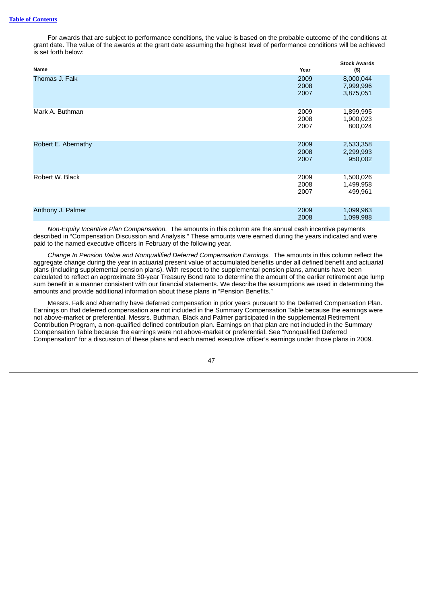For awards that are subject to performance conditions, the value is based on the probable outcome of the conditions at grant date. The value of the awards at the grant date assuming the highest level of performance conditions will be achieved is set forth below:

| Name                | Year                 | <b>Stock Awards</b><br>$($ \$)      |
|---------------------|----------------------|-------------------------------------|
| Thomas J. Falk      | 2009<br>2008<br>2007 | 8,000,044<br>7,999,996<br>3,875,051 |
| Mark A. Buthman     | 2009<br>2008<br>2007 | 1,899,995<br>1,900,023<br>800,024   |
| Robert E. Abernathy | 2009<br>2008<br>2007 | 2,533,358<br>2,299,993<br>950,002   |
| Robert W. Black     | 2009<br>2008<br>2007 | 1,500,026<br>1,499,958<br>499,961   |
| Anthony J. Palmer   | 2009<br>2008         | 1,099,963<br>1,099,988              |

*Non-Equity Incentive Plan Compensation.* The amounts in this column are the annual cash incentive payments described in "Compensation Discussion and Analysis." These amounts were earned during the years indicated and were paid to the named executive officers in February of the following year.

*Change In Pension Value and Nonqualified Deferred Compensation Earnings.* The amounts in this column reflect the aggregate change during the year in actuarial present value of accumulated benefits under all defined benefit and actuarial plans (including supplemental pension plans). With respect to the supplemental pension plans, amounts have been calculated to reflect an approximate 30-year Treasury Bond rate to determine the amount of the earlier retirement age lump sum benefit in a manner consistent with our financial statements. We describe the assumptions we used in determining the amounts and provide additional information about these plans in "Pension Benefits."

Messrs. Falk and Abernathy have deferred compensation in prior years pursuant to the Deferred Compensation Plan. Earnings on that deferred compensation are not included in the Summary Compensation Table because the earnings were not above-market or preferential. Messrs. Buthman, Black and Palmer participated in the supplemental Retirement Contribution Program, a non-qualified defined contribution plan. Earnings on that plan are not included in the Summary Compensation Table because the earnings were not above-market or preferential. See "Nonqualified Deferred Compensation" for a discussion of these plans and each named executive officer's earnings under those plans in 2009.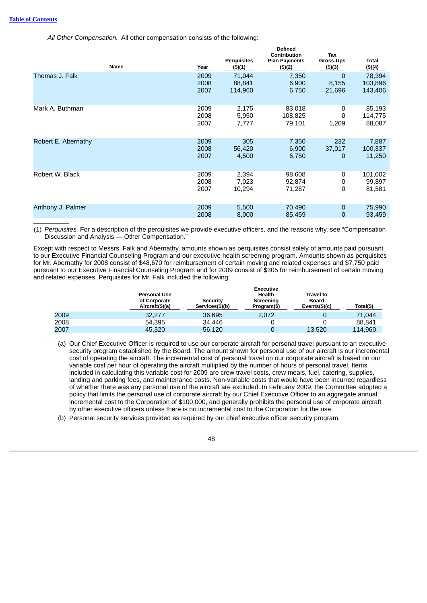*All Other Compensation.* All other compensation consists of the following:

|                     | Name | Year                 | <b>Perquisites</b><br>(\$)(1) | <b>Defined</b><br>Contribution<br><b>Plan Payments</b><br>$($ \$) $(2)$ | <b>Tax</b><br>Gross-Ups<br>$($ \$) $($ 3) | <b>Total</b><br>(\$)(4)      |
|---------------------|------|----------------------|-------------------------------|-------------------------------------------------------------------------|-------------------------------------------|------------------------------|
| Thomas J. Falk      |      | 2009<br>2008<br>2007 | 71,044<br>88,841<br>114,960   | 7,350<br>6,900<br>6,750                                                 | 0<br>8,155<br>21,696                      | 78,394<br>103,896<br>143,406 |
| Mark A. Buthman     |      | 2009<br>2008<br>2007 | 2,175<br>5,950<br>7,777       | 83,018<br>108,825<br>79,101                                             | 0<br>0<br>1,209                           | 85,193<br>114,775<br>88,087  |
| Robert E. Abernathy |      | 2009<br>2008<br>2007 | 305<br>56,420<br>4,500        | 7,350<br>6,900<br>6,750                                                 | 232<br>37,017<br>0                        | 7,887<br>100,337<br>11,250   |
| Robert W. Black     |      | 2009<br>2008<br>2007 | 2,394<br>7,023<br>10,294      | 98,608<br>92,874<br>71,287                                              | 0<br>0<br>0                               | 101,002<br>99,897<br>81,581  |
| Anthony J. Palmer   |      | 2009<br>2008         | 5,500<br>8,000                | 70,490<br>85,459                                                        | 0<br>0                                    | 75,990<br>93,459             |

(1) *Perquisites.* For a description of the perquisites we provide executive officers, and the reasons why, see "Compensation Discussion and Analysis — Other Compensation."

Except with respect to Messrs. Falk and Abernathy, amounts shown as perquisites consist solely of amounts paid pursuant to our Executive Financial Counseling Program and our executive health screening program. Amounts shown as perquisites for Mr. Abernathy for 2008 consist of \$48,670 for reimbursement of certain moving and related expenses and \$7,750 paid pursuant to our Executive Financial Counseling Program and for 2009 consist of \$305 for reimbursement of certain moving and related expenses. Perquisites for Mr. Falk included the following:

|      | <b>Personal Use</b><br>of Corporate<br>Aircraft(\$)(a) | <b>Security</b><br>Services(\$)(b) | <b>Executive</b><br>Health<br>Screening<br>Program(\$) | <b>Travel to</b><br><b>Board</b><br>Events(\$)(c) | Total(\$) |
|------|--------------------------------------------------------|------------------------------------|--------------------------------------------------------|---------------------------------------------------|-----------|
| 2009 | 32,277                                                 | 36.695                             | 2,072                                                  |                                                   | 71,044    |
| 2008 | 54.395                                                 | 34.446                             |                                                        |                                                   | 88,841    |
| 2007 | 45,320                                                 | 56,120                             |                                                        | 13.520                                            | 114.960   |

- (a) Our Chief Executive Officer is required to use our corporate aircraft for personal travel pursuant to an executive security program established by the Board. The amount shown for personal use of our aircraft is our incremental cost of operating the aircraft. The incremental cost of personal travel on our corporate aircraft is based on our variable cost per hour of operating the aircraft multiplied by the number of hours of personal travel. Items included in calculating this variable cost for 2009 are crew travel costs, crew meals, fuel, catering, supplies, landing and parking fees, and maintenance costs. Non-variable costs that would have been incurred regardless of whether there was any personal use of the aircraft are excluded. In February 2009, the Committee adopted a policy that limits the personal use of corporate aircraft by our Chief Executive Officer to an aggregate annual incremental cost to the Corporation of \$100,000, and generally prohibits the personal use of corporate aircraft by other executive officers unless there is no incremental cost to the Corporation for the use.
- (b) Personal security services provided as required by our chief executive officer security program.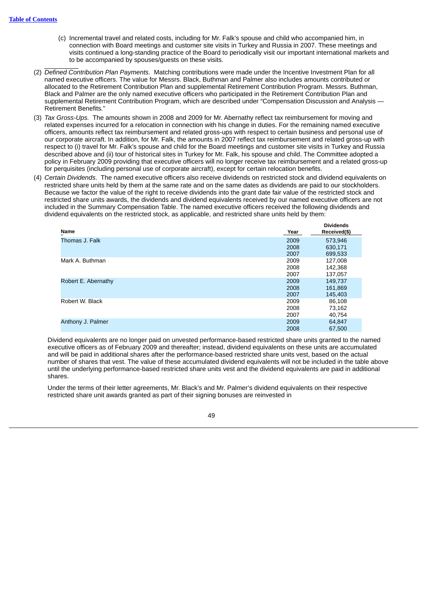- (c) Incremental travel and related costs, including for Mr. Falk's spouse and child who accompanied him, in connection with Board meetings and customer site visits in Turkey and Russia in 2007. These meetings and visits continued a long-standing practice of the Board to periodically visit our important international markets and to be accompanied by spouses/guests on these visits.
- (2) *Defined Contribution Plan Payments*. Matching contributions were made under the Incentive Investment Plan for all named executive officers. The value for Messrs. Black, Buthman and Palmer also includes amounts contributed or allocated to the Retirement Contribution Plan and supplemental Retirement Contribution Program. Messrs. Buthman, Black and Palmer are the only named executive officers who participated in the Retirement Contribution Plan and supplemental Retirement Contribution Program, which are described under "Compensation Discussion and Analysis — Retirement Benefits*.*"
- (3) *Tax Gross-Ups.* The amounts shown in 2008 and 2009 for Mr. Abernathy reflect tax reimbursement for moving and related expenses incurred for a relocation in connection with his change in duties. For the remaining named executive officers, amounts reflect tax reimbursement and related gross-ups with respect to certain business and personal use of our corporate aircraft. In addition, for Mr. Falk, the amounts in 2007 reflect tax reimbursement and related gross-up with respect to (i) travel for Mr. Falk's spouse and child for the Board meetings and customer site visits in Turkey and Russia described above and (ii) tour of historical sites in Turkey for Mr. Falk, his spouse and child. The Committee adopted a policy in February 2009 providing that executive officers will no longer receive tax reimbursement and a related gross-up for perquisites (including personal use of corporate aircraft), except for certain relocation benefits.
- (4) *Certain Dividends*. The named executive officers also receive dividends on restricted stock and dividend equivalents on restricted share units held by them at the same rate and on the same dates as dividends are paid to our stockholders. Because we factor the value of the right to receive dividends into the grant date fair value of the restricted stock and restricted share units awards, the dividends and dividend equivalents received by our named executive officers are not included in the Summary Compensation Table. The named executive officers received the following dividends and dividend equivalents on the restricted stock, as applicable, and restricted share units held by them:

|                     |      | <b>Dividends</b> |
|---------------------|------|------------------|
| Name                | Year | Received(\$)     |
| Thomas J. Falk      | 2009 | 573,946          |
|                     | 2008 | 630,171          |
|                     | 2007 | 699,533          |
| Mark A. Buthman     | 2009 | 127,008          |
|                     | 2008 | 142,368          |
|                     | 2007 | 137,057          |
| Robert E. Abernathy | 2009 | 149,737          |
|                     | 2008 | 161,869          |
|                     | 2007 | 145,403          |
| Robert W. Black     | 2009 | 86,108           |
|                     | 2008 | 73,162           |
|                     | 2007 | 40,754           |
| Anthony J. Palmer   | 2009 | 64,847           |
|                     | 2008 | 67,500           |

Dividend equivalents are no longer paid on unvested performance-based restricted share units granted to the named executive officers as of February 2009 and thereafter; instead, dividend equivalents on these units are accumulated and will be paid in additional shares after the performance-based restricted share units vest, based on the actual number of shares that vest. The value of these accumulated dividend equivalents will not be included in the table above until the underlying performance-based restricted share units vest and the dividend equivalents are paid in additional shares.

Under the terms of their letter agreements, Mr. Black's and Mr. Palmer's dividend equivalents on their respective restricted share unit awards granted as part of their signing bonuses are reinvested in

![](_page_54_Picture_8.jpeg)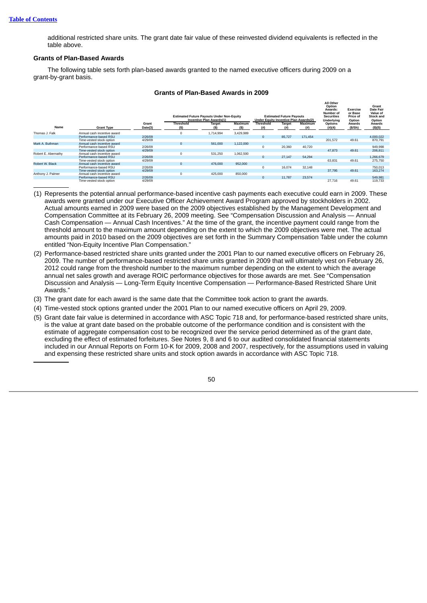additional restricted share units. The grant date fair value of these reinvested dividend equivalents is reflected in the table above.

# **Grants of Plan-Based Awards**

The following table sets forth plan-based awards granted to the named executive officers during 2009 on a grant-by-grant basis.

|                     |                             |         |                  | <b>Estimated Future Payouts Under Non-Equity</b><br>Incentive Plan Awards(1) |           | <b>Under Equity Incentive Plan Awards(2)</b> | <b>Estimated Future Payouts</b> |         | All Other<br>Option<br>Awards:<br>Number of<br><b>Securities</b><br><b>Underlying</b> | Exercise<br>or Base<br>Price of<br>Option | Grant<br><b>Date Fair</b><br>Value of<br><b>Stock and</b><br>Option |
|---------------------|-----------------------------|---------|------------------|------------------------------------------------------------------------------|-----------|----------------------------------------------|---------------------------------|---------|---------------------------------------------------------------------------------------|-------------------------------------------|---------------------------------------------------------------------|
|                     |                             | Grant   | <b>Threshold</b> | <b>Target</b>                                                                | Maximum   | <b>Threshold</b>                             | <b>Target</b>                   | Maximum | Options                                                                               | Awards                                    | Awards                                                              |
| Name                | <b>Grant Type</b>           | Date(3) | (S)              | (S)                                                                          | (S)       | (# )                                         |                                 | (#)     | (#)(4)                                                                                | (S/Sh)                                    | (S)(5)                                                              |
| Thomas J. Falk      | Annual cash incentive award |         |                  | 1.714.994                                                                    | 3.429.989 |                                              |                                 |         |                                                                                       |                                           |                                                                     |
|                     | Performance-based RSU       | 2/26/09 |                  |                                                                              |           | $\mathbf{0}$                                 | 85,727                          | 171.454 |                                                                                       |                                           | 4.000.022                                                           |
|                     | Time-vested stock option    | 4/29/09 |                  |                                                                              |           |                                              |                                 |         | 201.572                                                                               | 49.61                                     | 870.791                                                             |
| Mark A. Buthman     | Annual cash incentive award |         |                  | 561,000                                                                      | 1,122,000 |                                              |                                 |         |                                                                                       |                                           |                                                                     |
|                     | Performance-based RSU       | 2/26/09 |                  |                                                                              |           | 0                                            | 20,360                          | 40,720  |                                                                                       |                                           | 949,998                                                             |
|                     | Time-vested stock option    | 4/29/09 |                  |                                                                              |           |                                              |                                 |         | 47.873                                                                                | 49.61                                     | 206.811                                                             |
| Robert E. Abernathy | Annual cash incentive award |         |                  | 531.250                                                                      | 1.062.500 |                                              |                                 |         |                                                                                       |                                           |                                                                     |
|                     | Performance-based RSU       | 2/26/09 |                  |                                                                              |           | $\Omega$                                     | 27,147                          | 54.294  |                                                                                       |                                           | 1.266.679                                                           |
|                     | Time-vested stock option    | 4/29/09 |                  |                                                                              |           |                                              |                                 |         | 63,831                                                                                | 49.61                                     | 275,750                                                             |
| Robert W. Black     | Annual cash incentive award |         |                  | 476,000                                                                      | 952.000   |                                              |                                 |         |                                                                                       |                                           |                                                                     |
|                     | Performance-based RSU       | 2/26/09 |                  |                                                                              |           | 0                                            | 16.074                          | 32.148  |                                                                                       |                                           | 750.013                                                             |
|                     | Time-vested stock option    | 4/29/09 |                  |                                                                              |           |                                              |                                 |         | 37.795                                                                                | 49.61                                     | 163,274                                                             |
| Anthony J. Palmer   | Annual cash incentive award |         |                  | 425,000                                                                      | 850,000   |                                              |                                 |         |                                                                                       |                                           |                                                                     |
|                     | Performance-based RSU       | 2/26/09 |                  |                                                                              |           | $\mathbf{0}$                                 | 11,787                          | 23,574  |                                                                                       |                                           | 549,981                                                             |
|                     | Time-vested stock option    | 4/29/09 |                  |                                                                              |           |                                              |                                 |         | 27.716                                                                                | 49.61                                     | 119.733                                                             |

### **Grants of Plan-Based Awards in 2009**

- (1) Represents the potential annual performance-based incentive cash payments each executive could earn in 2009. These awards were granted under our Executive Officer Achievement Award Program approved by stockholders in 2002. Actual amounts earned in 2009 were based on the 2009 objectives established by the Management Development and Compensation Committee at its February 26, 2009 meeting. See "Compensation Discussion and Analysis — Annual Cash Compensation — Annual Cash Incentives." At the time of the grant, the incentive payment could range from the threshold amount to the maximum amount depending on the extent to which the 2009 objectives were met. The actual amounts paid in 2010 based on the 2009 objectives are set forth in the Summary Compensation Table under the column entitled "Non-Equity Incentive Plan Compensation."
- (2) Performance-based restricted share units granted under the 2001 Plan to our named executive officers on February 26, 2009. The number of performance-based restricted share units granted in 2009 that will ultimately vest on February 26, 2012 could range from the threshold number to the maximum number depending on the extent to which the average annual net sales growth and average ROIC performance objectives for those awards are met. See "Compensation Discussion and Analysis — Long-Term Equity Incentive Compensation — Performance-Based Restricted Share Unit Awards."
- (3) The grant date for each award is the same date that the Committee took action to grant the awards.
- (4) Time-vested stock options granted under the 2001 Plan to our named executive officers on April 29, 2009.
- (5) Grant date fair value is determined in accordance with ASC Topic 718 and, for performance-based restricted share units, is the value at grant date based on the probable outcome of the performance condition and is consistent with the estimate of aggregate compensation cost to be recognized over the service period determined as of the grant date, excluding the effect of estimated forfeitures. See Notes 9, 8 and 6 to our audited consolidated financial statements included in our Annual Reports on Form 10-K for 2009, 2008 and 2007, respectively, for the assumptions used in valuing and expensing these restricted share units and stock option awards in accordance with ASC Topic 718.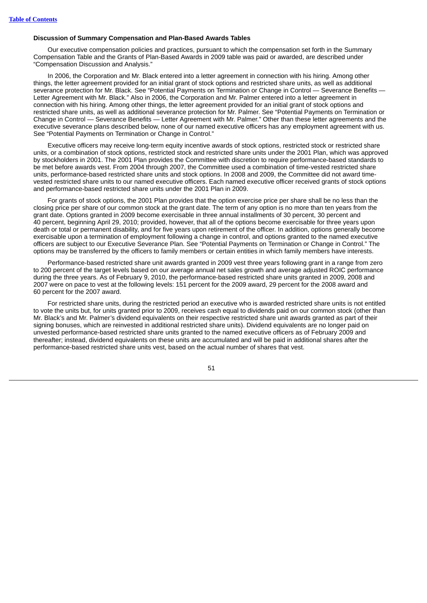# **Discussion of Summary Compensation and Plan-Based Awards Tables**

Our executive compensation policies and practices, pursuant to which the compensation set forth in the Summary Compensation Table and the Grants of Plan-Based Awards in 2009 table was paid or awarded, are described under "Compensation Discussion and Analysis."

In 2006, the Corporation and Mr. Black entered into a letter agreement in connection with his hiring. Among other things, the letter agreement provided for an initial grant of stock options and restricted share units, as well as additional severance protection for Mr. Black. See "Potential Payments on Termination or Change in Control — Severance Benefits — Letter Agreement with Mr. Black." Also in 2006, the Corporation and Mr. Palmer entered into a letter agreement in connection with his hiring. Among other things, the letter agreement provided for an initial grant of stock options and restricted share units, as well as additional severance protection for Mr. Palmer. See "Potential Payments on Termination or Change in Control — Severance Benefits — Letter Agreement with Mr. Palmer." Other than these letter agreements and the executive severance plans described below, none of our named executive officers has any employment agreement with us. See "Potential Payments on Termination or Change in Control."

Executive officers may receive long-term equity incentive awards of stock options, restricted stock or restricted share units, or a combination of stock options, restricted stock and restricted share units under the 2001 Plan, which was approved by stockholders in 2001. The 2001 Plan provides the Committee with discretion to require performance-based standards to be met before awards vest. From 2004 through 2007, the Committee used a combination of time-vested restricted share units, performance-based restricted share units and stock options. In 2008 and 2009, the Committee did not award timevested restricted share units to our named executive officers. Each named executive officer received grants of stock options and performance-based restricted share units under the 2001 Plan in 2009.

For grants of stock options, the 2001 Plan provides that the option exercise price per share shall be no less than the closing price per share of our common stock at the grant date. The term of any option is no more than ten years from the grant date. Options granted in 2009 become exercisable in three annual installments of 30 percent, 30 percent and 40 percent, beginning April 29, 2010; provided, however, that all of the options become exercisable for three years upon death or total or permanent disability, and for five years upon retirement of the officer. In addition, options generally become exercisable upon a termination of employment following a change in control, and options granted to the named executive officers are subject to our Executive Severance Plan. See "Potential Payments on Termination or Change in Control." The options may be transferred by the officers to family members or certain entities in which family members have interests.

Performance-based restricted share unit awards granted in 2009 vest three years following grant in a range from zero to 200 percent of the target levels based on our average annual net sales growth and average adjusted ROIC performance during the three years. As of February 9, 2010, the performance-based restricted share units granted in 2009, 2008 and 2007 were on pace to vest at the following levels: 151 percent for the 2009 award, 29 percent for the 2008 award and 60 percent for the 2007 award.

For restricted share units, during the restricted period an executive who is awarded restricted share units is not entitled to vote the units but, for units granted prior to 2009, receives cash equal to dividends paid on our common stock (other than Mr. Black's and Mr. Palmer's dividend equivalents on their respective restricted share unit awards granted as part of their signing bonuses, which are reinvested in additional restricted share units). Dividend equivalents are no longer paid on unvested performance-based restricted share units granted to the named executive officers as of February 2009 and thereafter; instead, dividend equivalents on these units are accumulated and will be paid in additional shares after the performance-based restricted share units vest, based on the actual number of shares that vest.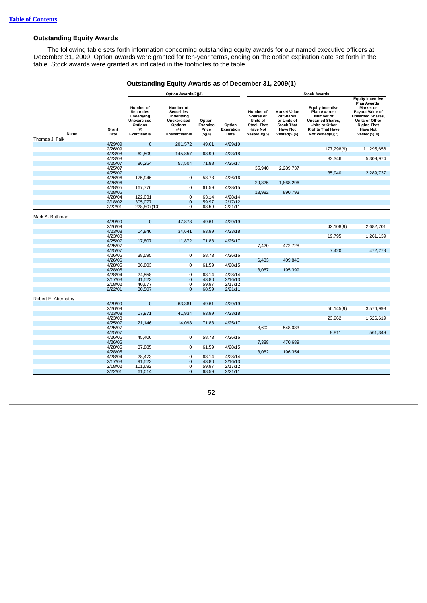# **Outstanding Equity Awards**

The following table sets forth information concerning outstanding equity awards for our named executive officers at December 31, 2009. Option awards were granted for ten-year terms, ending on the option expiration date set forth in the table. Stock awards were granted as indicated in the footnotes to the table.

# **Outstanding Equity Awards as of December 31, 2009(1)**

|                        |                    |                                                                                              | Option Awards(2)(3)                                                                                                  |                                               |                              | <b>Stock Awards</b>                                                                            |                                                                                                          |                                                                                                                                                         |                                                                                                                                                                                                     |
|------------------------|--------------------|----------------------------------------------------------------------------------------------|----------------------------------------------------------------------------------------------------------------------|-----------------------------------------------|------------------------------|------------------------------------------------------------------------------------------------|----------------------------------------------------------------------------------------------------------|---------------------------------------------------------------------------------------------------------------------------------------------------------|-----------------------------------------------------------------------------------------------------------------------------------------------------------------------------------------------------|
| Name<br>Thomas J. Falk | Grant<br>Date      | Number of<br><b>Securities</b><br>Underlying<br>Unexercised<br>Options<br>(#)<br>Exercisable | Number of<br><b>Securities</b><br><b>Underlying</b><br><b>Unexercised</b><br><b>Options</b><br>(# )<br>Unexercisable | Option<br><b>Exercise</b><br>Price<br>(\$)(4) | Option<br>Expiration<br>Date | Number of<br>Shares or<br>Units of<br><b>Stock That</b><br><b>Have Not</b><br>Vested $(\#)(5)$ | <b>Market Value</b><br>of Shares<br>or Units of<br><b>Stock That</b><br><b>Have Not</b><br>Vested(\$)(6) | <b>Equity Incentive</b><br>Plan Awards:<br>Number of<br><b>Unearned Shares,</b><br><b>Units or Other</b><br><b>Rights That Have</b><br>Not Vested(#)(7) | <b>Equity Incentive</b><br>Plan Awards:<br><b>Market or</b><br><b>Payout Value of</b><br><b>Unearned Shares,</b><br><b>Units or Other</b><br><b>Rights That</b><br><b>Have Not</b><br>Vested(\$)(8) |
|                        | 4/29/09            | $\Omega$                                                                                     | 201,572                                                                                                              | 49.61                                         | 4/29/19                      |                                                                                                |                                                                                                          |                                                                                                                                                         |                                                                                                                                                                                                     |
|                        | 2/26/09            |                                                                                              |                                                                                                                      |                                               |                              |                                                                                                |                                                                                                          | 177,298(9)                                                                                                                                              | 11,295,656                                                                                                                                                                                          |
|                        | 4/23/08            | 62,509                                                                                       | 145,857                                                                                                              | 63.99                                         | 4/23/18                      |                                                                                                |                                                                                                          |                                                                                                                                                         |                                                                                                                                                                                                     |
|                        | 4/23/08            |                                                                                              |                                                                                                                      |                                               |                              |                                                                                                |                                                                                                          | 83,346                                                                                                                                                  | 5,309,974                                                                                                                                                                                           |
|                        | 4/25/07            | 86,254                                                                                       | 57,504                                                                                                               | 71.88                                         | 4/25/17                      |                                                                                                |                                                                                                          |                                                                                                                                                         |                                                                                                                                                                                                     |
|                        | 4/25/07            |                                                                                              |                                                                                                                      |                                               |                              | 35,940                                                                                         | 2,289,737                                                                                                |                                                                                                                                                         |                                                                                                                                                                                                     |
|                        | 4/25/07            |                                                                                              |                                                                                                                      |                                               |                              |                                                                                                |                                                                                                          | 35,940                                                                                                                                                  | 2,289,737                                                                                                                                                                                           |
|                        | 4/26/06            | 175,946                                                                                      | 0                                                                                                                    | 58.73                                         | 4/26/16                      |                                                                                                |                                                                                                          |                                                                                                                                                         |                                                                                                                                                                                                     |
|                        | 4/26/06            |                                                                                              |                                                                                                                      |                                               |                              | 29,325                                                                                         | 1,868,296                                                                                                |                                                                                                                                                         |                                                                                                                                                                                                     |
|                        | 4/28/05            | 167,776                                                                                      | 0                                                                                                                    | 61.59                                         | 4/28/15                      |                                                                                                |                                                                                                          |                                                                                                                                                         |                                                                                                                                                                                                     |
|                        | 4/28/05            |                                                                                              |                                                                                                                      |                                               |                              | 13,982                                                                                         | 890,793                                                                                                  |                                                                                                                                                         |                                                                                                                                                                                                     |
|                        | 4/28/04            | 122,031                                                                                      | $\overline{0}$                                                                                                       | 63.14                                         | 4/28/14                      |                                                                                                |                                                                                                          |                                                                                                                                                         |                                                                                                                                                                                                     |
|                        | 2/18/02            | 305,077                                                                                      | $\mathbf 0$                                                                                                          | 59.97                                         | 2/17/12                      |                                                                                                |                                                                                                          |                                                                                                                                                         |                                                                                                                                                                                                     |
|                        | 2/22/01            | 228,807(10)                                                                                  | $\overline{0}$                                                                                                       | 68.59                                         | 2/21/11                      |                                                                                                |                                                                                                          |                                                                                                                                                         |                                                                                                                                                                                                     |
|                        |                    |                                                                                              |                                                                                                                      |                                               |                              |                                                                                                |                                                                                                          |                                                                                                                                                         |                                                                                                                                                                                                     |
| Mark A. Buthman        |                    | $\overline{0}$                                                                               |                                                                                                                      |                                               |                              |                                                                                                |                                                                                                          |                                                                                                                                                         |                                                                                                                                                                                                     |
|                        | 4/29/09<br>2/26/09 |                                                                                              | 47,873                                                                                                               | 49.61                                         | 4/29/19                      |                                                                                                |                                                                                                          |                                                                                                                                                         |                                                                                                                                                                                                     |
|                        |                    | 14,846                                                                                       |                                                                                                                      | 63.99                                         | 4/23/18                      |                                                                                                |                                                                                                          | 42,108(9)                                                                                                                                               | 2,682,701                                                                                                                                                                                           |
|                        | 4/23/08<br>4/23/08 |                                                                                              | 34,641                                                                                                               |                                               |                              |                                                                                                |                                                                                                          | 19,795                                                                                                                                                  | 1,261,139                                                                                                                                                                                           |
|                        | 4/25/07            | 17,807                                                                                       | 11,872                                                                                                               | 71.88                                         | 4/25/17                      |                                                                                                |                                                                                                          |                                                                                                                                                         |                                                                                                                                                                                                     |
|                        | 4/25/07            |                                                                                              |                                                                                                                      |                                               |                              | 7,420                                                                                          | 472,728                                                                                                  |                                                                                                                                                         |                                                                                                                                                                                                     |
|                        | 4/25/07            |                                                                                              |                                                                                                                      |                                               |                              |                                                                                                |                                                                                                          | 7.420                                                                                                                                                   | 472.278                                                                                                                                                                                             |
|                        | 4/26/06            | 38,595                                                                                       | $\overline{0}$                                                                                                       | 58.73                                         | 4/26/16                      |                                                                                                |                                                                                                          |                                                                                                                                                         |                                                                                                                                                                                                     |
|                        | 4/26/06            |                                                                                              |                                                                                                                      |                                               |                              | 6,433                                                                                          | 409,846                                                                                                  |                                                                                                                                                         |                                                                                                                                                                                                     |
|                        | 4/28/05            | 36,803                                                                                       | $\overline{0}$                                                                                                       | 61.59                                         | 4/28/15                      |                                                                                                |                                                                                                          |                                                                                                                                                         |                                                                                                                                                                                                     |
|                        | 4/28/05            |                                                                                              |                                                                                                                      |                                               |                              | 3,067                                                                                          | 195,399                                                                                                  |                                                                                                                                                         |                                                                                                                                                                                                     |
|                        | 4/28/04            | 24,558                                                                                       | $\overline{0}$                                                                                                       | 63.14                                         | 4/28/14                      |                                                                                                |                                                                                                          |                                                                                                                                                         |                                                                                                                                                                                                     |
|                        | 2/17/03            | 41,523                                                                                       | $\overline{0}$                                                                                                       | 43.80                                         | 2/16/13                      |                                                                                                |                                                                                                          |                                                                                                                                                         |                                                                                                                                                                                                     |
|                        | 2/18/02            | 40,677                                                                                       | $\overline{0}$                                                                                                       | 59.97                                         | 2/17/12                      |                                                                                                |                                                                                                          |                                                                                                                                                         |                                                                                                                                                                                                     |
|                        | 2/22/01            | 30,507                                                                                       | $\mathbf{0}$                                                                                                         | 68.59                                         | 2/21/11                      |                                                                                                |                                                                                                          |                                                                                                                                                         |                                                                                                                                                                                                     |
|                        |                    |                                                                                              |                                                                                                                      |                                               |                              |                                                                                                |                                                                                                          |                                                                                                                                                         |                                                                                                                                                                                                     |
| Robert E. Abernathy    |                    |                                                                                              |                                                                                                                      |                                               |                              |                                                                                                |                                                                                                          |                                                                                                                                                         |                                                                                                                                                                                                     |
|                        | 4/29/09            | $\overline{0}$                                                                               | 63.381                                                                                                               | 49.61                                         | 4/29/19                      |                                                                                                |                                                                                                          |                                                                                                                                                         |                                                                                                                                                                                                     |
|                        | 2/26/09            |                                                                                              |                                                                                                                      |                                               |                              |                                                                                                |                                                                                                          | 56,145(9)                                                                                                                                               | 3,576,998                                                                                                                                                                                           |
|                        | 4/23/08            | 17,971                                                                                       | 41,934                                                                                                               | 63.99                                         | 4/23/18                      |                                                                                                |                                                                                                          |                                                                                                                                                         |                                                                                                                                                                                                     |
|                        | 4/23/08            |                                                                                              |                                                                                                                      |                                               |                              |                                                                                                |                                                                                                          | 23,962                                                                                                                                                  | 1,526,619                                                                                                                                                                                           |
|                        | 4/25/07            | 21,146                                                                                       | 14,098                                                                                                               | 71.88                                         | 4/25/17                      |                                                                                                |                                                                                                          |                                                                                                                                                         |                                                                                                                                                                                                     |
|                        | 4/25/07            |                                                                                              |                                                                                                                      |                                               |                              | 8,602                                                                                          | 548,033                                                                                                  | 8,811                                                                                                                                                   |                                                                                                                                                                                                     |
|                        | 4/25/07<br>4/26/06 | 45,406                                                                                       | $\overline{0}$                                                                                                       | 58.73                                         | 4/26/16                      |                                                                                                |                                                                                                          |                                                                                                                                                         | 561,349                                                                                                                                                                                             |
|                        | 4/26/06            |                                                                                              |                                                                                                                      |                                               |                              | 7,388                                                                                          | 470,689                                                                                                  |                                                                                                                                                         |                                                                                                                                                                                                     |
|                        | 4/28/05            | 37,885                                                                                       | $\overline{0}$                                                                                                       | 61.59                                         | 4/28/15                      |                                                                                                |                                                                                                          |                                                                                                                                                         |                                                                                                                                                                                                     |
|                        | 4/28/05            |                                                                                              |                                                                                                                      |                                               |                              | 3,082                                                                                          | 196,354                                                                                                  |                                                                                                                                                         |                                                                                                                                                                                                     |
|                        | 4/28/04            | 28,473                                                                                       | $\overline{0}$                                                                                                       | 63.14                                         | 4/28/14                      |                                                                                                |                                                                                                          |                                                                                                                                                         |                                                                                                                                                                                                     |
|                        | 2/17/03            | 91,523                                                                                       | $\mathbf{0}$                                                                                                         | 43.80                                         | 2/16/13                      |                                                                                                |                                                                                                          |                                                                                                                                                         |                                                                                                                                                                                                     |
|                        | 2/18/02            | 101,692                                                                                      | $\overline{0}$                                                                                                       | 59.97                                         | 2/17/12                      |                                                                                                |                                                                                                          |                                                                                                                                                         |                                                                                                                                                                                                     |
|                        | 2/22/01            | 61,014                                                                                       | $\Omega$                                                                                                             | 68.59                                         | 2/21/11                      |                                                                                                |                                                                                                          |                                                                                                                                                         |                                                                                                                                                                                                     |
|                        |                    |                                                                                              |                                                                                                                      |                                               |                              |                                                                                                |                                                                                                          |                                                                                                                                                         |                                                                                                                                                                                                     |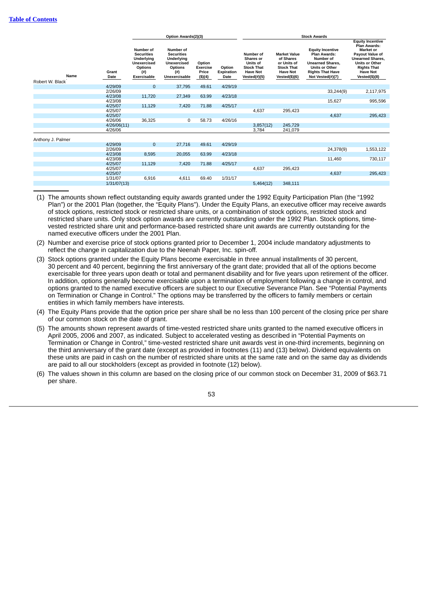|                         |               | Option Awards(2)(3)                                                                                  |                                                                                                               |                                               |                              | <b>Stock Awards</b>                                                                                         |                                                                                                          |                                                                                                                                                         |                                                                                                                                                                                                     |
|-------------------------|---------------|------------------------------------------------------------------------------------------------------|---------------------------------------------------------------------------------------------------------------|-----------------------------------------------|------------------------------|-------------------------------------------------------------------------------------------------------------|----------------------------------------------------------------------------------------------------------|---------------------------------------------------------------------------------------------------------------------------------------------------------|-----------------------------------------------------------------------------------------------------------------------------------------------------------------------------------------------------|
| Name<br>Robert W. Black | Grant<br>Date | Number of<br><b>Securities</b><br>Underlying<br><b>Unexercised</b><br>Options<br>(# )<br>Exercisable | Number of<br><b>Securities</b><br>Underlying<br><b>Unexercised</b><br><b>Options</b><br>(# )<br>Unexercisable | Option<br><b>Exercise</b><br>Price<br>(\$)(4) | Option<br>Expiration<br>Date | Number of<br><b>Shares or</b><br><b>Units of</b><br><b>Stock That</b><br><b>Have Not</b><br>$Vested(\#)(5)$ | <b>Market Value</b><br>of Shares<br>or Units of<br><b>Stock That</b><br><b>Have Not</b><br>Vested(\$)(6) | <b>Equity Incentive</b><br>Plan Awards:<br>Number of<br><b>Unearned Shares,</b><br><b>Units or Other</b><br><b>Rights That Have</b><br>Not Vested(#)(7) | <b>Equity Incentive</b><br><b>Plan Awards:</b><br><b>Market or</b><br>Payout Value of<br><b>Unearned Shares,</b><br><b>Units or Other</b><br><b>Rights That</b><br><b>Have Not</b><br>Vested(\$)(8) |
|                         | 4/29/09       | $\mathbf{0}$                                                                                         | 37,795                                                                                                        | 49.61                                         | 4/29/19                      |                                                                                                             |                                                                                                          |                                                                                                                                                         |                                                                                                                                                                                                     |
|                         | 2/26/09       |                                                                                                      |                                                                                                               |                                               |                              |                                                                                                             |                                                                                                          | 33,244(9)                                                                                                                                               | 2,117,975                                                                                                                                                                                           |
|                         | 4/23/08       | 11,720                                                                                               | 27,349                                                                                                        | 63.99                                         | 4/23/18                      |                                                                                                             |                                                                                                          |                                                                                                                                                         |                                                                                                                                                                                                     |
|                         | 4/23/08       |                                                                                                      |                                                                                                               |                                               |                              |                                                                                                             |                                                                                                          | 15,627                                                                                                                                                  | 995,596                                                                                                                                                                                             |
|                         | 4/25/07       | 11,129                                                                                               | 7,420                                                                                                         | 71.88                                         | 4/25/17                      |                                                                                                             |                                                                                                          |                                                                                                                                                         |                                                                                                                                                                                                     |
|                         | 4/25/07       |                                                                                                      |                                                                                                               |                                               |                              | 4,637                                                                                                       | 295,423                                                                                                  |                                                                                                                                                         |                                                                                                                                                                                                     |
|                         | 4/25/07       |                                                                                                      |                                                                                                               |                                               |                              |                                                                                                             |                                                                                                          | 4,637                                                                                                                                                   | 295,423                                                                                                                                                                                             |
|                         | 4/26/06       | 36,325                                                                                               | 0                                                                                                             | 58.73                                         | 4/26/16                      |                                                                                                             |                                                                                                          |                                                                                                                                                         |                                                                                                                                                                                                     |
|                         | 4/26/06(11)   |                                                                                                      |                                                                                                               |                                               |                              | 3,857(12)                                                                                                   | 245,729                                                                                                  |                                                                                                                                                         |                                                                                                                                                                                                     |
|                         | 4/26/06       |                                                                                                      |                                                                                                               |                                               |                              | 3,784                                                                                                       | 241,079                                                                                                  |                                                                                                                                                         |                                                                                                                                                                                                     |
| Anthony J. Palmer       |               |                                                                                                      |                                                                                                               |                                               |                              |                                                                                                             |                                                                                                          |                                                                                                                                                         |                                                                                                                                                                                                     |
|                         | 4/29/09       | $\mathbf{0}$                                                                                         | 27,716                                                                                                        | 49.61                                         | 4/29/19                      |                                                                                                             |                                                                                                          |                                                                                                                                                         |                                                                                                                                                                                                     |
|                         | 2/26/09       |                                                                                                      |                                                                                                               |                                               |                              |                                                                                                             |                                                                                                          | 24,378(9)                                                                                                                                               | 1,553,122                                                                                                                                                                                           |
|                         | 4/23/08       | 8,595                                                                                                | 20,055                                                                                                        | 63.99                                         | 4/23/18                      |                                                                                                             |                                                                                                          |                                                                                                                                                         |                                                                                                                                                                                                     |
|                         | 4/23/08       |                                                                                                      |                                                                                                               |                                               |                              |                                                                                                             |                                                                                                          | 11,460                                                                                                                                                  | 730,117                                                                                                                                                                                             |
|                         | 4/25/07       | 11,129                                                                                               | 7,420                                                                                                         | 71.88                                         | 4/25/17                      |                                                                                                             |                                                                                                          |                                                                                                                                                         |                                                                                                                                                                                                     |
|                         | 4/25/07       |                                                                                                      |                                                                                                               |                                               |                              | 4,637                                                                                                       | 295,423                                                                                                  |                                                                                                                                                         |                                                                                                                                                                                                     |
|                         | 4/25/07       |                                                                                                      |                                                                                                               |                                               |                              |                                                                                                             |                                                                                                          | 4,637                                                                                                                                                   | 295,423                                                                                                                                                                                             |
|                         | 1/31/07       | 6,916                                                                                                | 4,611                                                                                                         | 69.40                                         | 1/31/17                      |                                                                                                             |                                                                                                          |                                                                                                                                                         |                                                                                                                                                                                                     |
|                         | 1/31/07(13)   |                                                                                                      |                                                                                                               |                                               |                              | 5,464(12)                                                                                                   | 348,111                                                                                                  |                                                                                                                                                         |                                                                                                                                                                                                     |

(1) The amounts shown reflect outstanding equity awards granted under the 1992 Equity Participation Plan (the "1992 Plan") or the 2001 Plan (together, the "Equity Plans"). Under the Equity Plans, an executive officer may receive awards of stock options, restricted stock or restricted share units, or a combination of stock options, restricted stock and restricted share units. Only stock option awards are currently outstanding under the 1992 Plan. Stock options, timevested restricted share unit and performance-based restricted share unit awards are currently outstanding for the named executive officers under the 2001 Plan.

- (2) Number and exercise price of stock options granted prior to December 1, 2004 include mandatory adjustments to reflect the change in capitalization due to the Neenah Paper, Inc. spin-off.
- (3) Stock options granted under the Equity Plans become exercisable in three annual installments of 30 percent, 30 percent and 40 percent, beginning the first anniversary of the grant date; provided that all of the options become exercisable for three years upon death or total and permanent disability and for five years upon retirement of the officer. In addition, options generally become exercisable upon a termination of employment following a change in control, and options granted to the named executive officers are subject to our Executive Severance Plan. See "Potential Payments on Termination or Change in Control." The options may be transferred by the officers to family members or certain entities in which family members have interests.
- (4) The Equity Plans provide that the option price per share shall be no less than 100 percent of the closing price per share of our common stock on the date of grant.
- (5) The amounts shown represent awards of time-vested restricted share units granted to the named executive officers in April 2005, 2006 and 2007, as indicated. Subject to accelerated vesting as described in "Potential Payments on Termination or Change in Control," time-vested restricted share unit awards vest in one-third increments, beginning on the third anniversary of the grant date (except as provided in footnotes (11) and (13) below). Dividend equivalents on these units are paid in cash on the number of restricted share units at the same rate and on the same day as dividends are paid to all our stockholders (except as provided in footnote (12) below).
- (6) The values shown in this column are based on the closing price of our common stock on December 31, 2009 of \$63.71 per share.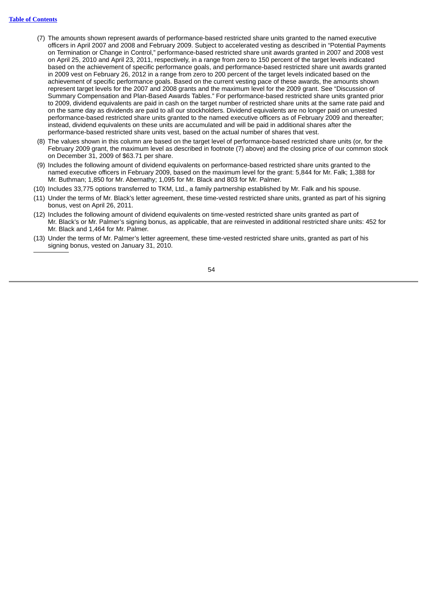- (7) The amounts shown represent awards of performance-based restricted share units granted to the named executive officers in April 2007 and 2008 and February 2009. Subject to accelerated vesting as described in "Potential Payments on Termination or Change in Control," performance-based restricted share unit awards granted in 2007 and 2008 vest on April 25, 2010 and April 23, 2011, respectively, in a range from zero to 150 percent of the target levels indicated based on the achievement of specific performance goals, and performance-based restricted share unit awards granted in 2009 vest on February 26, 2012 in a range from zero to 200 percent of the target levels indicated based on the achievement of specific performance goals. Based on the current vesting pace of these awards, the amounts shown represent target levels for the 2007 and 2008 grants and the maximum level for the 2009 grant. See "Discussion of Summary Compensation and Plan-Based Awards Tables." For performance-based restricted share units granted prior to 2009, dividend equivalents are paid in cash on the target number of restricted share units at the same rate paid and on the same day as dividends are paid to all our stockholders. Dividend equivalents are no longer paid on unvested performance-based restricted share units granted to the named executive officers as of February 2009 and thereafter; instead, dividend equivalents on these units are accumulated and will be paid in additional shares after the performance-based restricted share units vest, based on the actual number of shares that vest.
- (8) The values shown in this column are based on the target level of performance-based restricted share units (or, for the February 2009 grant, the maximum level as described in footnote (7) above) and the closing price of our common stock on December 31, 2009 of \$63.71 per share.
- (9) Includes the following amount of dividend equivalents on performance-based restricted share units granted to the named executive officers in February 2009, based on the maximum level for the grant: 5,844 for Mr. Falk; 1,388 for Mr. Buthman; 1,850 for Mr. Abernathy; 1,095 for Mr. Black and 803 for Mr. Palmer.
- (10) Includes 33,775 options transferred to TKM, Ltd., a family partnership established by Mr. Falk and his spouse.
- (11) Under the terms of Mr. Black's letter agreement, these time-vested restricted share units, granted as part of his signing bonus, vest on April 26, 2011.
- (12) Includes the following amount of dividend equivalents on time-vested restricted share units granted as part of Mr. Black's or Mr. Palmer's signing bonus, as applicable, that are reinvested in additional restricted share units: 452 for Mr. Black and 1,464 for Mr. Palmer.
- (13) Under the terms of Mr. Palmer's letter agreement, these time-vested restricted share units, granted as part of his signing bonus, vested on January 31, 2010.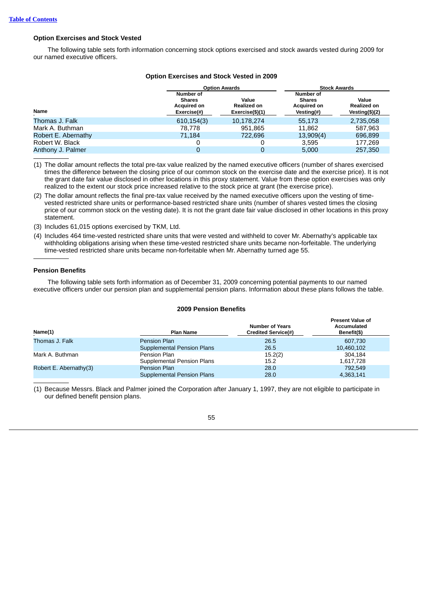# **Option Exercises and Stock Vested**

The following table sets forth information concerning stock options exercised and stock awards vested during 2009 for our named executive officers.

|                     |                                                                 | <b>Option Awards</b>                           | <b>Stock Awards</b>                                                |                                          |  |
|---------------------|-----------------------------------------------------------------|------------------------------------------------|--------------------------------------------------------------------|------------------------------------------|--|
| <b>Name</b>         | Number of<br><b>Shares</b><br><b>Acquired on</b><br>Exercise(#) | Value<br><b>Realized on</b><br>Exercise(\$)(1) | Number of<br><b>Shares</b><br><b>Acquired on</b><br>Vesting $(\#)$ | Value<br>Realized on<br>Vesting $($)(2)$ |  |
| Thomas J. Falk      | 610, 154(3)                                                     | 10,178,274                                     | 55.173                                                             | 2,735,058                                |  |
| Mark A. Buthman     | 78.778                                                          | 951.865                                        | 11.862                                                             | 587.963                                  |  |
| Robert E. Abernathy | 71.184                                                          | 722,696                                        | 13,909(4)                                                          | 696,899                                  |  |
| Robert W. Black     | 0                                                               |                                                | 3.595                                                              | 177.269                                  |  |
| Anthony J. Palmer   | 0                                                               | 0                                              | 5.000                                                              | 257,350                                  |  |

# **Option Exercises and Stock Vested in 2009**

(1) The dollar amount reflects the total pre-tax value realized by the named executive officers (number of shares exercised times the difference between the closing price of our common stock on the exercise date and the exercise price). It is not the grant date fair value disclosed in other locations in this proxy statement. Value from these option exercises was only realized to the extent our stock price increased relative to the stock price at grant (the exercise price).

- (2) The dollar amount reflects the final pre-tax value received by the named executive officers upon the vesting of timevested restricted share units or performance-based restricted share units (number of shares vested times the closing price of our common stock on the vesting date). It is not the grant date fair value disclosed in other locations in this proxy statement.
- (3) Includes 61,015 options exercised by TKM, Ltd.
- (4) Includes 464 time-vested restricted share units that were vested and withheld to cover Mr. Abernathy's applicable tax withholding obligations arising when these time-vested restricted share units became non-forfeitable. The underlying time-vested restricted share units became non-forfeitable when Mr. Abernathy turned age 55.

# **Pension Benefits**

The following table sets forth information as of December 31, 2009 concerning potential payments to our named executive officers under our pension plan and supplemental pension plans. Information about these plans follows the table.

# **2009 Pension Benefits**

| Name(1)                | <b>Plan Name</b>                  | <b>Number of Years</b><br><b>Credited Service(#)</b> | <b>Present Value of</b><br><b>Accumulated</b><br>Benefit(\$) |
|------------------------|-----------------------------------|------------------------------------------------------|--------------------------------------------------------------|
| Thomas J. Falk         | <b>Pension Plan</b>               | 26.5                                                 | 607.730                                                      |
|                        | <b>Supplemental Pension Plans</b> | 26.5                                                 | 10,460,102                                                   |
| Mark A. Buthman        | Pension Plan                      | 15.2(2)                                              | 304.184                                                      |
|                        | Supplemental Pension Plans        | 15.2                                                 | 1,617,728                                                    |
| Robert E. Abernathy(3) | Pension Plan                      | 28.0                                                 | 792.549                                                      |
|                        | <b>Supplemental Pension Plans</b> | 28.0                                                 | 4,363,141                                                    |

(1) Because Messrs. Black and Palmer joined the Corporation after January 1, 1997, they are not eligible to participate in our defined benefit pension plans.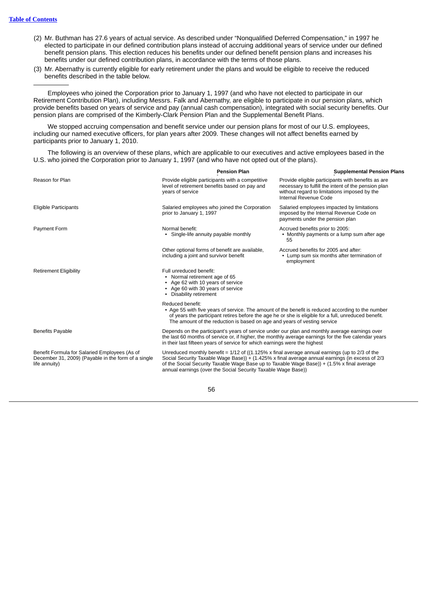- (2) Mr. Buthman has 27.6 years of actual service. As described under "Nonqualified Deferred Compensation," in 1997 he elected to participate in our defined contribution plans instead of accruing additional years of service under our defined benefit pension plans. This election reduces his benefits under our defined benefit pension plans and increases his benefits under our defined contribution plans, in accordance with the terms of those plans.
- (3) Mr. Abernathy is currently eligible for early retirement under the plans and would be eligible to receive the reduced benefits described in the table below.

Employees who joined the Corporation prior to January 1, 1997 (and who have not elected to participate in our Retirement Contribution Plan), including Messrs. Falk and Abernathy, are eligible to participate in our pension plans, which provide benefits based on years of service and pay (annual cash compensation), integrated with social security benefits. Our pension plans are comprised of the Kimberly-Clark Pension Plan and the Supplemental Benefit Plans.

We stopped accruing compensation and benefit service under our pension plans for most of our U.S. employees, including our named executive officers, for plan years after 2009. These changes will not affect benefits earned by participants prior to January 1, 2010.

The following is an overview of these plans, which are applicable to our executives and active employees based in the U.S. who joined the Corporation prior to January 1, 1997 (and who have not opted out of the plans).

|                                                                                                                       | <b>Pension Plan</b>                                                                                                                                                                                                                                                                                                                                                         | <b>Supplemental Pension Plans</b>                                                                                                                                                  |
|-----------------------------------------------------------------------------------------------------------------------|-----------------------------------------------------------------------------------------------------------------------------------------------------------------------------------------------------------------------------------------------------------------------------------------------------------------------------------------------------------------------------|------------------------------------------------------------------------------------------------------------------------------------------------------------------------------------|
| Reason for Plan                                                                                                       | Provide eligible participants with a competitive<br>level of retirement benefits based on pay and<br>years of service                                                                                                                                                                                                                                                       | Provide eligible participants with benefits as are<br>necessary to fulfill the intent of the pension plan<br>without regard to limitations imposed by the<br>Internal Revenue Code |
| Eligible Participants                                                                                                 | Salaried employees who joined the Corporation<br>prior to January 1, 1997                                                                                                                                                                                                                                                                                                   | Salaried employees impacted by limitations<br>imposed by the Internal Revenue Code on<br>payments under the pension plan                                                           |
| Payment Form                                                                                                          | Normal benefit:<br>• Single-life annuity payable monthly                                                                                                                                                                                                                                                                                                                    | Accrued benefits prior to 2005:<br>• Monthly payments or a lump sum after age<br>55                                                                                                |
|                                                                                                                       | Other optional forms of benefit are available,<br>including a joint and survivor benefit                                                                                                                                                                                                                                                                                    | Accrued benefits for 2005 and after:<br>• Lump sum six months after termination of<br>employment                                                                                   |
| <b>Retirement Eligibility</b>                                                                                         | Full unreduced benefit:<br>• Normal retirement age of 65<br>• Age 62 with 10 years of service<br>• Age 60 with 30 years of service<br>• Disability retirement                                                                                                                                                                                                               |                                                                                                                                                                                    |
|                                                                                                                       | Reduced benefit:<br>• Age 55 with five years of service. The amount of the benefit is reduced according to the number<br>of years the participant retires before the age he or she is eligible for a full, unreduced benefit.<br>The amount of the reduction is based on age and years of vesting service                                                                   |                                                                                                                                                                                    |
| <b>Benefits Payable</b>                                                                                               | Depends on the participant's years of service under our plan and monthly average earnings over<br>the last 60 months of service or, if higher, the monthly average earnings for the five calendar years<br>in their last fifteen years of service for which earnings were the highest                                                                                       |                                                                                                                                                                                    |
| Benefit Formula for Salaried Employees (As of<br>December 31, 2009) (Payable in the form of a single<br>life annuity) | Unreduced monthly benefit = $1/12$ of ( $(1.125\% \times$ final average annual earnings (up to 2/3 of the<br>Social Security Taxable Wage Base)) + (1.425% x final average annual earnings (in excess of 2/3<br>of the Social Security Taxable Wage Base up to Taxable Wage Base)) + (1.5% x final average<br>annual earnings (over the Social Security Taxable Wage Base)) |                                                                                                                                                                                    |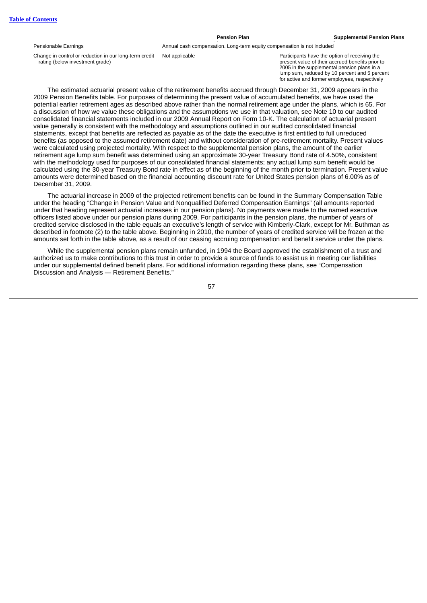#### Pensionable Earnings **Annual cash compensation.** Long-term equity compensation is not included

Change in control or reduction in our long-term credit rating (below investment grade)

Not applicable **Participants have the option of receiving the** present value of their accrued benefits prior to 2005 in the supplemental pension plans in a lump sum, reduced by 10 percent and 5 percent for active and former employees, respectively

The estimated actuarial present value of the retirement benefits accrued through December 31, 2009 appears in the 2009 Pension Benefits table. For purposes of determining the present value of accumulated benefits, we have used the potential earlier retirement ages as described above rather than the normal retirement age under the plans, which is 65. For a discussion of how we value these obligations and the assumptions we use in that valuation, see Note 10 to our audited consolidated financial statements included in our 2009 Annual Report on Form 10-K. The calculation of actuarial present value generally is consistent with the methodology and assumptions outlined in our audited consolidated financial statements, except that benefits are reflected as payable as of the date the executive is first entitled to full unreduced benefits (as opposed to the assumed retirement date) and without consideration of pre-retirement mortality. Present values were calculated using projected mortality. With respect to the supplemental pension plans, the amount of the earlier retirement age lump sum benefit was determined using an approximate 30-year Treasury Bond rate of 4.50%, consistent with the methodology used for purposes of our consolidated financial statements; any actual lump sum benefit would be calculated using the 30-year Treasury Bond rate in effect as of the beginning of the month prior to termination. Present value amounts were determined based on the financial accounting discount rate for United States pension plans of 6.00% as of December 31, 2009.

The actuarial increase in 2009 of the projected retirement benefits can be found in the Summary Compensation Table under the heading "Change in Pension Value and Nonqualified Deferred Compensation Earnings" (all amounts reported under that heading represent actuarial increases in our pension plans). No payments were made to the named executive officers listed above under our pension plans during 2009. For participants in the pension plans, the number of years of credited service disclosed in the table equals an executive's length of service with Kimberly-Clark, except for Mr. Buthman as described in footnote (2) to the table above. Beginning in 2010, the number of years of credited service will be frozen at the amounts set forth in the table above, as a result of our ceasing accruing compensation and benefit service under the plans.

While the supplemental pension plans remain unfunded, in 1994 the Board approved the establishment of a trust and authorized us to make contributions to this trust in order to provide a source of funds to assist us in meeting our liabilities under our supplemental defined benefit plans. For additional information regarding these plans, see "Compensation Discussion and Analysis — Retirement Benefits."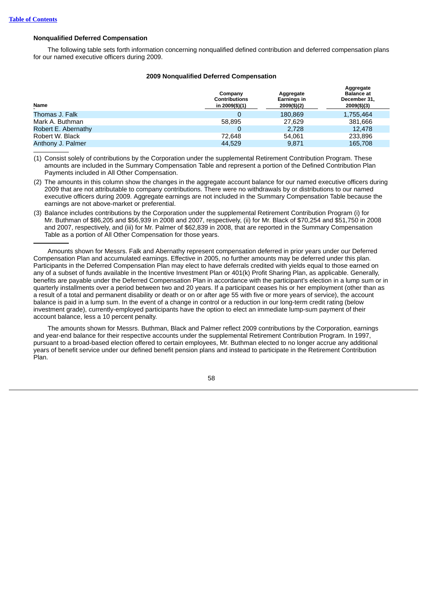# **Nonqualified Deferred Compensation**

The following table sets forth information concerning nonqualified defined contribution and deferred compensation plans for our named executive officers during 2009.

### **2009 Nonqualified Deferred Compensation**

| Name                | Company<br><b>Contributions</b><br>in 2009(\$)(1) | Aggregate<br>Earnings in<br>2009(\$)(2) | Aggregate<br><b>Balance</b> at<br>December 31.<br>2009(\$)(3) |
|---------------------|---------------------------------------------------|-----------------------------------------|---------------------------------------------------------------|
| Thomas J. Falk      |                                                   | 180.869                                 | 1,755,464                                                     |
| Mark A. Buthman     | 58.895                                            | 27,629                                  | 381.666                                                       |
| Robert E. Abernathy | 0                                                 | 2.728                                   | 12,478                                                        |
| Robert W. Black     | 72.648                                            | 54.061                                  | 233,896                                                       |
| Anthony J. Palmer   | 44.529                                            | 9.871                                   | 165,708                                                       |

(1) Consist solely of contributions by the Corporation under the supplemental Retirement Contribution Program. These amounts are included in the Summary Compensation Table and represent a portion of the Defined Contribution Plan Payments included in All Other Compensation.

(2) The amounts in this column show the changes in the aggregate account balance for our named executive officers during 2009 that are not attributable to company contributions. There were no withdrawals by or distributions to our named executive officers during 2009. Aggregate earnings are not included in the Summary Compensation Table because the earnings are not above-market or preferential.

(3) Balance includes contributions by the Corporation under the supplemental Retirement Contribution Program (i) for Mr. Buthman of \$86,205 and \$56,939 in 2008 and 2007, respectively, (ii) for Mr. Black of \$70,254 and \$51,750 in 2008 and 2007, respectively, and (iii) for Mr. Palmer of \$62,839 in 2008, that are reported in the Summary Compensation Table as a portion of All Other Compensation for those years.

Amounts shown for Messrs. Falk and Abernathy represent compensation deferred in prior years under our Deferred Compensation Plan and accumulated earnings. Effective in 2005, no further amounts may be deferred under this plan. Participants in the Deferred Compensation Plan may elect to have deferrals credited with yields equal to those earned on any of a subset of funds available in the Incentive Investment Plan or 401(k) Profit Sharing Plan, as applicable. Generally, benefits are payable under the Deferred Compensation Plan in accordance with the participant's election in a lump sum or in quarterly installments over a period between two and 20 years. If a participant ceases his or her employment (other than as a result of a total and permanent disability or death or on or after age 55 with five or more years of service), the account balance is paid in a lump sum. In the event of a change in control or a reduction in our long-term credit rating (below investment grade), currently-employed participants have the option to elect an immediate lump-sum payment of their account balance, less a 10 percent penalty.

The amounts shown for Messrs. Buthman, Black and Palmer reflect 2009 contributions by the Corporation, earnings and year-end balance for their respective accounts under the supplemental Retirement Contribution Program. In 1997, pursuant to a broad-based election offered to certain employees, Mr. Buthman elected to no longer accrue any additional years of benefit service under our defined benefit pension plans and instead to participate in the Retirement Contribution Plan.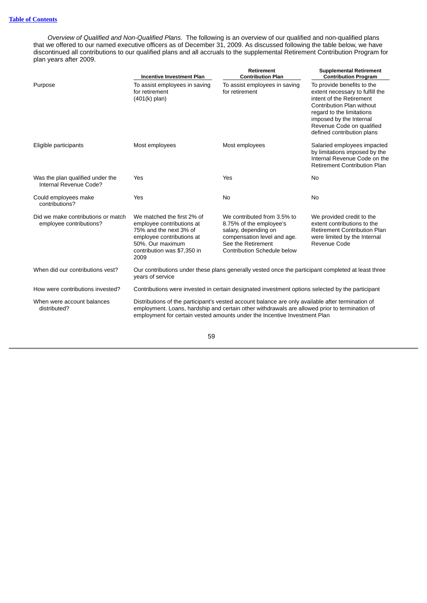*Overview of Qualified and Non-Qualified Plans.* The following is an overview of our qualified and non-qualified plans that we offered to our named executive officers as of December 31, 2009. As discussed following the table below, we have discontinued all contributions to our qualified plans and all accruals to the supplemental Retirement Contribution Program for plan years after 2009.

|                                                               | <b>Incentive Investment Plan</b>                                                                                                                                                                                                                                                | <b>Retirement</b><br><b>Contribution Plan</b>                                                                                                                      | <b>Supplemental Retirement</b><br><b>Contribution Program</b>                                                                                                                                                                             |
|---------------------------------------------------------------|---------------------------------------------------------------------------------------------------------------------------------------------------------------------------------------------------------------------------------------------------------------------------------|--------------------------------------------------------------------------------------------------------------------------------------------------------------------|-------------------------------------------------------------------------------------------------------------------------------------------------------------------------------------------------------------------------------------------|
| Purpose                                                       | To assist employees in saving<br>for retirement<br>$(401(k)$ plan)                                                                                                                                                                                                              | To assist employees in saving<br>for retirement                                                                                                                    | To provide benefits to the<br>extent necessary to fulfill the<br>intent of the Retirement<br>Contribution Plan without<br>regard to the limitations<br>imposed by the Internal<br>Revenue Code on qualified<br>defined contribution plans |
| Eligible participants                                         | Most employees                                                                                                                                                                                                                                                                  | Most employees                                                                                                                                                     | Salaried employees impacted<br>by limitations imposed by the<br>Internal Revenue Code on the<br><b>Retirement Contribution Plan</b>                                                                                                       |
| Was the plan qualified under the<br>Internal Revenue Code?    | Yes                                                                                                                                                                                                                                                                             | Yes                                                                                                                                                                | <b>No</b>                                                                                                                                                                                                                                 |
| Could employees make<br>contributions?                        | Yes                                                                                                                                                                                                                                                                             | <b>No</b>                                                                                                                                                          | N <sub>0</sub>                                                                                                                                                                                                                            |
| Did we make contributions or match<br>employee contributions? | We matched the first 2% of<br>employee contributions at<br>75% and the next 3% of<br>employee contributions at<br>50%. Our maximum<br>contribution was \$7,350 in<br>2009                                                                                                       | We contributed from 3.5% to<br>8.75% of the employee's<br>salary, depending on<br>compensation level and age.<br>See the Retirement<br>Contribution Schedule below | We provided credit to the<br>extent contributions to the<br>Retirement Contribution Plan<br>were limited by the Internal<br>Revenue Code                                                                                                  |
| When did our contributions vest?                              | Our contributions under these plans generally vested once the participant completed at least three<br>vears of service                                                                                                                                                          |                                                                                                                                                                    |                                                                                                                                                                                                                                           |
| How were contributions invested?                              | Contributions were invested in certain designated investment options selected by the participant                                                                                                                                                                                |                                                                                                                                                                    |                                                                                                                                                                                                                                           |
| When were account balances<br>distributed?                    | Distributions of the participant's vested account balance are only available after termination of<br>employment. Loans, hardship and certain other withdrawals are allowed prior to termination of<br>employment for certain vested amounts under the Incentive Investment Plan |                                                                                                                                                                    |                                                                                                                                                                                                                                           |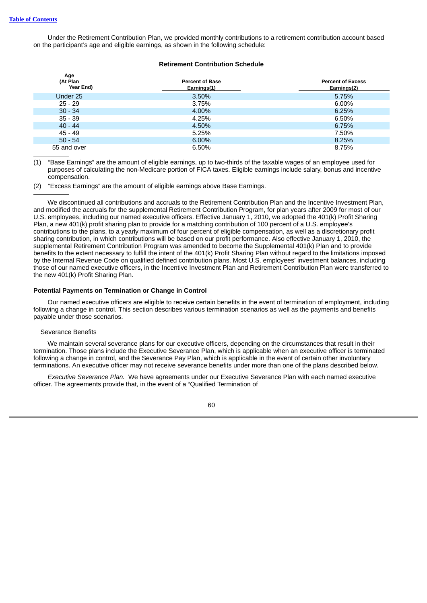Under the Retirement Contribution Plan, we provided monthly contributions to a retirement contribution account based on the participant's age and eligible earnings, as shown in the following schedule:

# **Retirement Contribution Schedule**

| Age<br>(At Plan<br>Year End) | <b>Percent of Base</b><br>Earnings(1) | <b>Percent of Excess</b><br>Earnings(2) |
|------------------------------|---------------------------------------|-----------------------------------------|
| Under 25                     | 3.50%                                 | 5.75%                                   |
| $25 - 29$                    | 3.75%                                 | 6.00%                                   |
| $30 - 34$                    | 4.00%                                 | 6.25%                                   |
| $35 - 39$                    | 4.25%                                 | 6.50%                                   |
| $40 - 44$                    | 4.50%                                 | 6.75%                                   |
| 45 - 49                      | 5.25%                                 | 7.50%                                   |
| $50 - 54$                    | 6.00%                                 | 8.25%                                   |
| 55 and over                  | 6.50%                                 | 8.75%                                   |
|                              |                                       |                                         |

(1) "Base Earnings" are the amount of eligible earnings, up to two-thirds of the taxable wages of an employee used for purposes of calculating the non-Medicare portion of FICA taxes. Eligible earnings include salary, bonus and incentive compensation.

(2) "Excess Earnings" are the amount of eligible earnings above Base Earnings.

We discontinued all contributions and accruals to the Retirement Contribution Plan and the Incentive Investment Plan, and modified the accruals for the supplemental Retirement Contribution Program, for plan years after 2009 for most of our U.S. employees, including our named executive officers. Effective January 1, 2010, we adopted the 401(k) Profit Sharing Plan, a new 401(k) profit sharing plan to provide for a matching contribution of 100 percent of a U.S. employee's contributions to the plans, to a yearly maximum of four percent of eligible compensation, as well as a discretionary profit sharing contribution, in which contributions will be based on our profit performance. Also effective January 1, 2010, the supplemental Retirement Contribution Program was amended to become the Supplemental 401(k) Plan and to provide benefits to the extent necessary to fulfill the intent of the 401(k) Profit Sharing Plan without regard to the limitations imposed by the Internal Revenue Code on qualified defined contribution plans. Most U.S. employees' investment balances, including those of our named executive officers, in the Incentive Investment Plan and Retirement Contribution Plan were transferred to the new 401(k) Profit Sharing Plan.

### **Potential Payments on Termination or Change in Control**

Our named executive officers are eligible to receive certain benefits in the event of termination of employment, including following a change in control. This section describes various termination scenarios as well as the payments and benefits payable under those scenarios.

# **Severance Benefits**

We maintain several severance plans for our executive officers, depending on the circumstances that result in their termination. Those plans include the Executive Severance Plan, which is applicable when an executive officer is terminated following a change in control, and the Severance Pay Plan, which is applicable in the event of certain other involuntary terminations. An executive officer may not receive severance benefits under more than one of the plans described below.

*Executive Severance Plan.* We have agreements under our Executive Severance Plan with each named executive officer. The agreements provide that, in the event of a "Qualified Termination of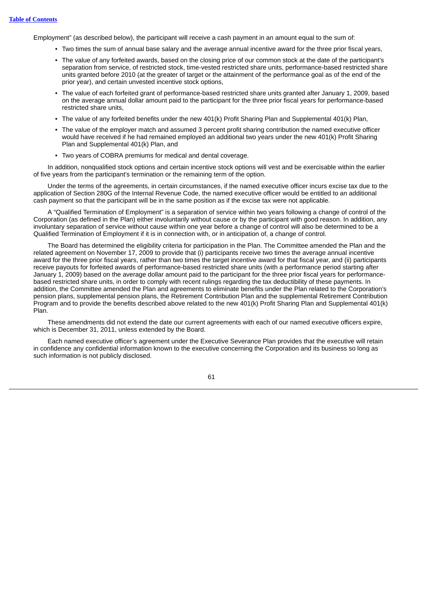Employment" (as described below), the participant will receive a cash payment in an amount equal to the sum of:

- Two times the sum of annual base salary and the average annual incentive award for the three prior fiscal years,
- The value of any forfeited awards, based on the closing price of our common stock at the date of the participant's separation from service, of restricted stock, time-vested restricted share units, performance-based restricted share units granted before 2010 (at the greater of target or the attainment of the performance goal as of the end of the prior year), and certain unvested incentive stock options,
- The value of each forfeited grant of performance-based restricted share units granted after January 1, 2009, based on the average annual dollar amount paid to the participant for the three prior fiscal years for performance-based restricted share units,
- The value of any forfeited benefits under the new 401(k) Profit Sharing Plan and Supplemental 401(k) Plan,
- The value of the employer match and assumed 3 percent profit sharing contribution the named executive officer would have received if he had remained employed an additional two years under the new 401(k) Profit Sharing Plan and Supplemental 401(k) Plan, and
- Two years of COBRA premiums for medical and dental coverage.

In addition, nonqualified stock options and certain incentive stock options will vest and be exercisable within the earlier of five years from the participant's termination or the remaining term of the option.

Under the terms of the agreements, in certain circumstances, if the named executive officer incurs excise tax due to the application of Section 280G of the Internal Revenue Code, the named executive officer would be entitled to an additional cash payment so that the participant will be in the same position as if the excise tax were not applicable.

A "Qualified Termination of Employment" is a separation of service within two years following a change of control of the Corporation (as defined in the Plan) either involuntarily without cause or by the participant with good reason. In addition, any involuntary separation of service without cause within one year before a change of control will also be determined to be a Qualified Termination of Employment if it is in connection with, or in anticipation of, a change of control.

The Board has determined the eligibility criteria for participation in the Plan. The Committee amended the Plan and the related agreement on November 17, 2009 to provide that (i) participants receive two times the average annual incentive award for the three prior fiscal years, rather than two times the target incentive award for that fiscal year, and (ii) participants receive payouts for forfeited awards of performance-based restricted share units (with a performance period starting after January 1, 2009) based on the average dollar amount paid to the participant for the three prior fiscal years for performancebased restricted share units, in order to comply with recent rulings regarding the tax deductibility of these payments. In addition, the Committee amended the Plan and agreements to eliminate benefits under the Plan related to the Corporation's pension plans, supplemental pension plans, the Retirement Contribution Plan and the supplemental Retirement Contribution Program and to provide the benefits described above related to the new 401(k) Profit Sharing Plan and Supplemental 401(k) Plan.

These amendments did not extend the date our current agreements with each of our named executive officers expire, which is December 31, 2011, unless extended by the Board.

Each named executive officer's agreement under the Executive Severance Plan provides that the executive will retain in confidence any confidential information known to the executive concerning the Corporation and its business so long as such information is not publicly disclosed.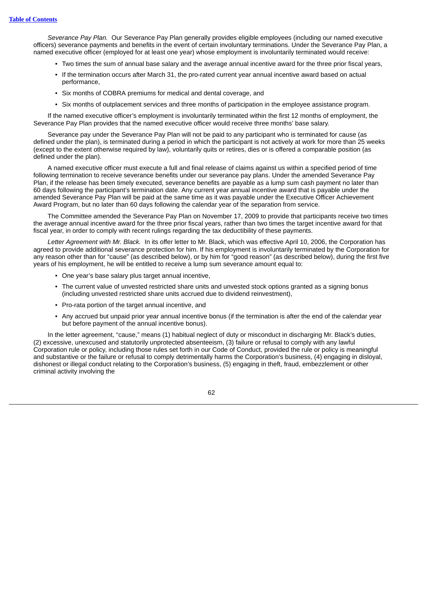*Severance Pay Plan.* Our Severance Pay Plan generally provides eligible employees (including our named executive officers) severance payments and benefits in the event of certain involuntary terminations. Under the Severance Pay Plan, a named executive officer (employed for at least one year) whose employment is involuntarily terminated would receive:

- Two times the sum of annual base salary and the average annual incentive award for the three prior fiscal years,
- If the termination occurs after March 31, the pro-rated current year annual incentive award based on actual performance,
- Six months of COBRA premiums for medical and dental coverage, and
- Six months of outplacement services and three months of participation in the employee assistance program.

If the named executive officer's employment is involuntarily terminated within the first 12 months of employment, the Severance Pay Plan provides that the named executive officer would receive three months' base salary.

Severance pay under the Severance Pay Plan will not be paid to any participant who is terminated for cause (as defined under the plan), is terminated during a period in which the participant is not actively at work for more than 25 weeks (except to the extent otherwise required by law), voluntarily quits or retires, dies or is offered a comparable position (as defined under the plan).

A named executive officer must execute a full and final release of claims against us within a specified period of time following termination to receive severance benefits under our severance pay plans. Under the amended Severance Pay Plan, if the release has been timely executed, severance benefits are payable as a lump sum cash payment no later than 60 days following the participant's termination date. Any current year annual incentive award that is payable under the amended Severance Pay Plan will be paid at the same time as it was payable under the Executive Officer Achievement Award Program, but no later than 60 days following the calendar year of the separation from service.

The Committee amended the Severance Pay Plan on November 17, 2009 to provide that participants receive two times the average annual incentive award for the three prior fiscal years, rather than two times the target incentive award for that fiscal year, in order to comply with recent rulings regarding the tax deductibility of these payments.

*Letter Agreement with Mr. Black.* In its offer letter to Mr. Black, which was effective April 10, 2006, the Corporation has agreed to provide additional severance protection for him. If his employment is involuntarily terminated by the Corporation for any reason other than for "cause" (as described below), or by him for "good reason" (as described below), during the first five years of his employment, he will be entitled to receive a lump sum severance amount equal to:

- One year's base salary plus target annual incentive,
- The current value of unvested restricted share units and unvested stock options granted as a signing bonus (including unvested restricted share units accrued due to dividend reinvestment),
- Pro-rata portion of the target annual incentive, and
- Any accrued but unpaid prior year annual incentive bonus (if the termination is after the end of the calendar year but before payment of the annual incentive bonus).

In the letter agreement, "cause," means (1) habitual neglect of duty or misconduct in discharging Mr. Black's duties, (2) excessive, unexcused and statutorily unprotected absenteeism, (3) failure or refusal to comply with any lawful Corporation rule or policy, including those rules set forth in our Code of Conduct, provided the rule or policy is meaningful and substantive or the failure or refusal to comply detrimentally harms the Corporation's business, (4) engaging in disloyal, dishonest or illegal conduct relating to the Corporation's business, (5) engaging in theft, fraud, embezzlement or other criminal activity involving the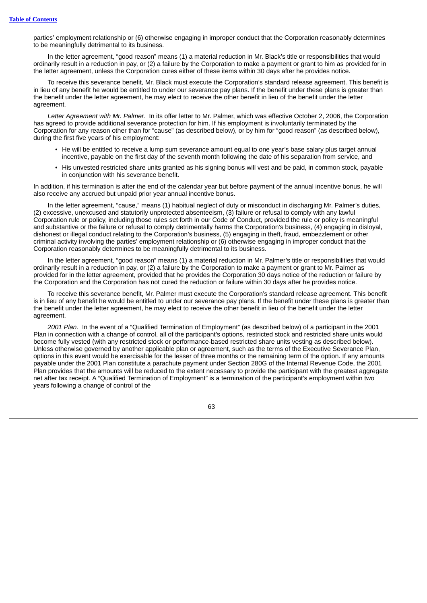parties' employment relationship or (6) otherwise engaging in improper conduct that the Corporation reasonably determines to be meaningfully detrimental to its business.

In the letter agreement, "good reason" means (1) a material reduction in Mr. Black's title or responsibilities that would ordinarily result in a reduction in pay, or (2) a failure by the Corporation to make a payment or grant to him as provided for in the letter agreement, unless the Corporation cures either of these items within 30 days after he provides notice.

To receive this severance benefit, Mr. Black must execute the Corporation's standard release agreement. This benefit is in lieu of any benefit he would be entitled to under our severance pay plans. If the benefit under these plans is greater than the benefit under the letter agreement, he may elect to receive the other benefit in lieu of the benefit under the letter agreement.

*Letter Agreement with Mr. Palmer.* In its offer letter to Mr. Palmer, which was effective October 2, 2006, the Corporation has agreed to provide additional severance protection for him. If his employment is involuntarily terminated by the Corporation for any reason other than for "cause" (as described below), or by him for "good reason" (as described below), during the first five years of his employment:

- He will be entitled to receive a lump sum severance amount equal to one year's base salary plus target annual incentive, payable on the first day of the seventh month following the date of his separation from service, and
- His unvested restricted share units granted as his signing bonus will vest and be paid, in common stock, payable in conjunction with his severance benefit.

In addition, if his termination is after the end of the calendar year but before payment of the annual incentive bonus, he will also receive any accrued but unpaid prior year annual incentive bonus.

In the letter agreement, "cause," means (1) habitual neglect of duty or misconduct in discharging Mr. Palmer's duties, (2) excessive, unexcused and statutorily unprotected absenteeism, (3) failure or refusal to comply with any lawful Corporation rule or policy, including those rules set forth in our Code of Conduct, provided the rule or policy is meaningful and substantive or the failure or refusal to comply detrimentally harms the Corporation's business, (4) engaging in disloyal, dishonest or illegal conduct relating to the Corporation's business, (5) engaging in theft, fraud, embezzlement or other criminal activity involving the parties' employment relationship or (6) otherwise engaging in improper conduct that the Corporation reasonably determines to be meaningfully detrimental to its business.

In the letter agreement, "good reason" means (1) a material reduction in Mr. Palmer's title or responsibilities that would ordinarily result in a reduction in pay, or (2) a failure by the Corporation to make a payment or grant to Mr. Palmer as provided for in the letter agreement, provided that he provides the Corporation 30 days notice of the reduction or failure by the Corporation and the Corporation has not cured the reduction or failure within 30 days after he provides notice.

To receive this severance benefit, Mr. Palmer must execute the Corporation's standard release agreement. This benefit is in lieu of any benefit he would be entitled to under our severance pay plans. If the benefit under these plans is greater than the benefit under the letter agreement, he may elect to receive the other benefit in lieu of the benefit under the letter agreement

*2001 Plan.* In the event of a "Qualified Termination of Employment" (as described below) of a participant in the 2001 Plan in connection with a change of control, all of the participant's options, restricted stock and restricted share units would become fully vested (with any restricted stock or performance-based restricted share units vesting as described below). Unless otherwise governed by another applicable plan or agreement, such as the terms of the Executive Severance Plan, options in this event would be exercisable for the lesser of three months or the remaining term of the option. If any amounts payable under the 2001 Plan constitute a parachute payment under Section 280G of the Internal Revenue Code, the 2001 Plan provides that the amounts will be reduced to the extent necessary to provide the participant with the greatest aggregate net after tax receipt. A "Qualified Termination of Employment" is a termination of the participant's employment within two years following a change of control of the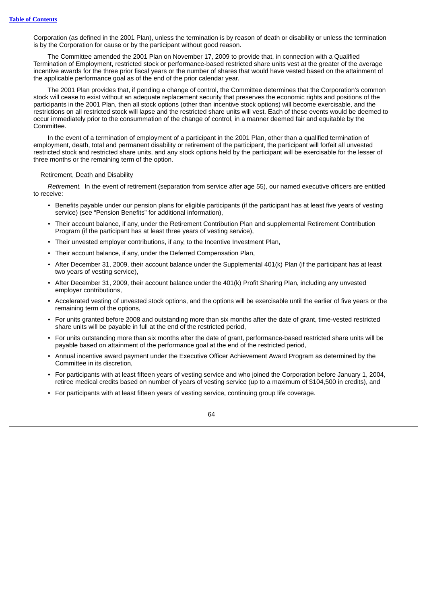Corporation (as defined in the 2001 Plan), unless the termination is by reason of death or disability or unless the termination is by the Corporation for cause or by the participant without good reason.

The Committee amended the 2001 Plan on November 17, 2009 to provide that, in connection with a Qualified Termination of Employment, restricted stock or performance-based restricted share units vest at the greater of the average incentive awards for the three prior fiscal years or the number of shares that would have vested based on the attainment of the applicable performance goal as of the end of the prior calendar year.

The 2001 Plan provides that, if pending a change of control, the Committee determines that the Corporation's common stock will cease to exist without an adequate replacement security that preserves the economic rights and positions of the participants in the 2001 Plan, then all stock options (other than incentive stock options) will become exercisable, and the restrictions on all restricted stock will lapse and the restricted share units will vest. Each of these events would be deemed to occur immediately prior to the consummation of the change of control, in a manner deemed fair and equitable by the **Committee** 

In the event of a termination of employment of a participant in the 2001 Plan, other than a qualified termination of employment, death, total and permanent disability or retirement of the participant, the participant will forfeit all unvested restricted stock and restricted share units, and any stock options held by the participant will be exercisable for the lesser of three months or the remaining term of the option.

## Retirement, Death and Disability

*Retirement.* In the event of retirement (separation from service after age 55), our named executive officers are entitled to receive:

- Benefits payable under our pension plans for eligible participants (if the participant has at least five years of vesting service) (see "Pension Benefits" for additional information),
- Their account balance, if any, under the Retirement Contribution Plan and supplemental Retirement Contribution Program (if the participant has at least three years of vesting service),
- Their unvested employer contributions, if any, to the Incentive Investment Plan,
- Their account balance, if any, under the Deferred Compensation Plan,
- After December 31, 2009, their account balance under the Supplemental 401(k) Plan (if the participant has at least two years of vesting service),
- After December 31, 2009, their account balance under the 401(k) Profit Sharing Plan, including any unvested employer contributions,
- Accelerated vesting of unvested stock options, and the options will be exercisable until the earlier of five years or the remaining term of the options,
- For units granted before 2008 and outstanding more than six months after the date of grant, time-vested restricted share units will be payable in full at the end of the restricted period,
- For units outstanding more than six months after the date of grant, performance-based restricted share units will be payable based on attainment of the performance goal at the end of the restricted period,
- Annual incentive award payment under the Executive Officer Achievement Award Program as determined by the Committee in its discretion,
- For participants with at least fifteen years of vesting service and who joined the Corporation before January 1, 2004, retiree medical credits based on number of years of vesting service (up to a maximum of \$104,500 in credits), and
- For participants with at least fifteen years of vesting service, continuing group life coverage.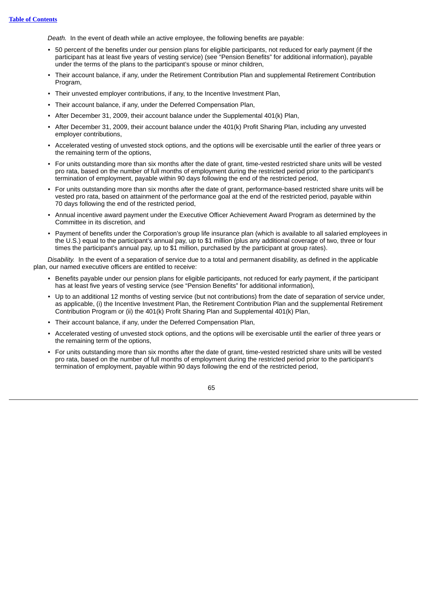*Death.* In the event of death while an active employee, the following benefits are payable:

- 50 percent of the benefits under our pension plans for eligible participants, not reduced for early payment (if the participant has at least five years of vesting service) (see "Pension Benefits" for additional information), payable under the terms of the plans to the participant's spouse or minor children,
- Their account balance, if any, under the Retirement Contribution Plan and supplemental Retirement Contribution Program,
- Their unvested employer contributions, if any, to the Incentive Investment Plan,
- Their account balance, if any, under the Deferred Compensation Plan,
- After December 31, 2009, their account balance under the Supplemental 401(k) Plan,
- After December 31, 2009, their account balance under the 401(k) Profit Sharing Plan, including any unvested employer contributions,
- Accelerated vesting of unvested stock options, and the options will be exercisable until the earlier of three years or the remaining term of the options,
- For units outstanding more than six months after the date of grant, time-vested restricted share units will be vested pro rata, based on the number of full months of employment during the restricted period prior to the participant's termination of employment, payable within 90 days following the end of the restricted period,
- For units outstanding more than six months after the date of grant, performance-based restricted share units will be vested pro rata, based on attainment of the performance goal at the end of the restricted period, payable within 70 days following the end of the restricted period,
- Annual incentive award payment under the Executive Officer Achievement Award Program as determined by the Committee in its discretion, and
- Payment of benefits under the Corporation's group life insurance plan (which is available to all salaried employees in the U.S.) equal to the participant's annual pay, up to \$1 million (plus any additional coverage of two, three or four times the participant's annual pay, up to \$1 million, purchased by the participant at group rates).

*Disability.* In the event of a separation of service due to a total and permanent disability, as defined in the applicable plan, our named executive officers are entitled to receive:

- Benefits payable under our pension plans for eligible participants, not reduced for early payment, if the participant has at least five years of vesting service (see "Pension Benefits" for additional information).
- Up to an additional 12 months of vesting service (but not contributions) from the date of separation of service under, as applicable, (i) the Incentive Investment Plan, the Retirement Contribution Plan and the supplemental Retirement Contribution Program or (ii) the 401(k) Profit Sharing Plan and Supplemental 401(k) Plan,
- Their account balance, if any, under the Deferred Compensation Plan,
- Accelerated vesting of unvested stock options, and the options will be exercisable until the earlier of three years or the remaining term of the options,
- For units outstanding more than six months after the date of grant, time-vested restricted share units will be vested pro rata, based on the number of full months of employment during the restricted period prior to the participant's termination of employment, payable within 90 days following the end of the restricted period,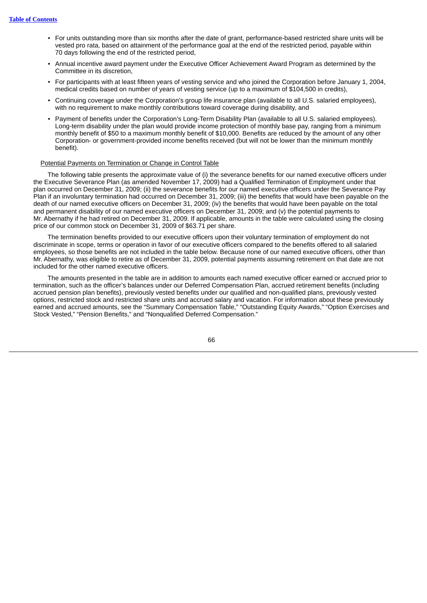- For units outstanding more than six months after the date of grant, performance-based restricted share units will be vested pro rata, based on attainment of the performance goal at the end of the restricted period, payable within 70 days following the end of the restricted period,
- Annual incentive award payment under the Executive Officer Achievement Award Program as determined by the Committee in its discretion,
- For participants with at least fifteen years of vesting service and who joined the Corporation before January 1, 2004, medical credits based on number of years of vesting service (up to a maximum of \$104,500 in credits),
- Continuing coverage under the Corporation's group life insurance plan (available to all U.S. salaried employees), with no requirement to make monthly contributions toward coverage during disability, and
- Payment of benefits under the Corporation's Long-Term Disability Plan (available to all U.S. salaried employees). Long-term disability under the plan would provide income protection of monthly base pay, ranging from a minimum monthly benefit of \$50 to a maximum monthly benefit of \$10,000. Benefits are reduced by the amount of any other Corporation- or government-provided income benefits received (but will not be lower than the minimum monthly benefit).

# Potential Payments on Termination or Change in Control Table

The following table presents the approximate value of (i) the severance benefits for our named executive officers under the Executive Severance Plan (as amended November 17, 2009) had a Qualified Termination of Employment under that plan occurred on December 31, 2009; (ii) the severance benefits for our named executive officers under the Severance Pay Plan if an involuntary termination had occurred on December 31, 2009; (iii) the benefits that would have been payable on the death of our named executive officers on December 31, 2009; (iv) the benefits that would have been payable on the total and permanent disability of our named executive officers on December 31, 2009; and (v) the potential payments to Mr. Abernathy if he had retired on December 31, 2009. If applicable, amounts in the table were calculated using the closing price of our common stock on December 31, 2009 of \$63.71 per share.

The termination benefits provided to our executive officers upon their voluntary termination of employment do not discriminate in scope, terms or operation in favor of our executive officers compared to the benefits offered to all salaried employees, so those benefits are not included in the table below. Because none of our named executive officers, other than Mr. Abernathy, was eligible to retire as of December 31, 2009, potential payments assuming retirement on that date are not included for the other named executive officers.

The amounts presented in the table are in addition to amounts each named executive officer earned or accrued prior to termination, such as the officer's balances under our Deferred Compensation Plan, accrued retirement benefits (including accrued pension plan benefits), previously vested benefits under our qualified and non-qualified plans, previously vested options, restricted stock and restricted share units and accrued salary and vacation. For information about these previously earned and accrued amounts, see the "Summary Compensation Table," "Outstanding Equity Awards," "Option Exercises and Stock Vested," "Pension Benefits," and "Nonqualified Deferred Compensation."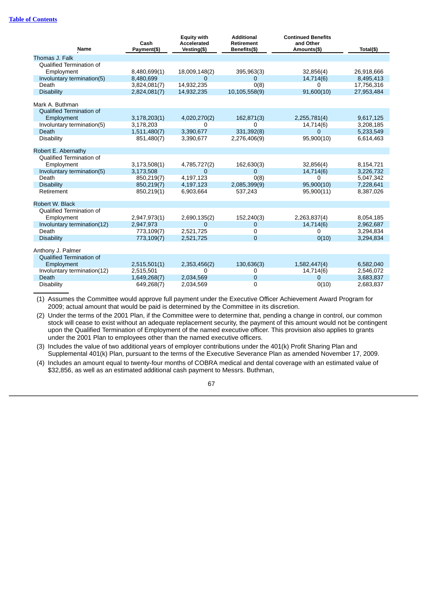## **Table of [Contents](#page-4-0)**

| <b>Name</b>                                          | Cash<br>Payment(\$) | <b>Equity with</b><br>Accelerated<br>Vesting(\$) | <b>Additional</b><br><b>Retirement</b><br>Benefits(\$) | <b>Continued Benefits</b><br>and Other<br>Amounts(\$) | Total(\$)  |
|------------------------------------------------------|---------------------|--------------------------------------------------|--------------------------------------------------------|-------------------------------------------------------|------------|
| Thomas J. Falk                                       |                     |                                                  |                                                        |                                                       |            |
| Qualified Termination of                             |                     |                                                  |                                                        |                                                       |            |
| Employment                                           | 8,480,699(1)        | 18,009,148(2)                                    | 395,963(3)                                             | 32,856(4)                                             | 26,918,666 |
| Involuntary termination(5)                           | 8,480,699           | 0                                                | 0                                                      | 14,714(6)                                             | 8,495,413  |
| Death                                                | 3,824,081(7)        | 14,932,235                                       | O(8)                                                   | 0                                                     | 17,756,316 |
| <b>Disability</b>                                    | 2,824,081(7)        | 14,932,235                                       | 10,105,558(9)                                          | 91,600(10)                                            | 27,953,484 |
|                                                      |                     |                                                  |                                                        |                                                       |            |
| Mark A. Buthman                                      |                     |                                                  |                                                        |                                                       |            |
| <b>Oualified Termination of</b>                      |                     |                                                  |                                                        |                                                       |            |
| Employment                                           | 3,178,203(1)        | 4,020,270(2)                                     | 162,871(3)                                             | 2,255,781(4)                                          | 9,617,125  |
| Involuntary termination(5)                           | 3,178,203           | 0                                                | $\Omega$                                               | 14,714(6)                                             | 3,208,185  |
| Death                                                | 1,511,480(7)        | 3,390,677                                        | 331,392(8)                                             | $\Omega$                                              | 5,233,549  |
| <b>Disability</b>                                    | 851,480(7)          | 3,390,677                                        | 2,276,406(9)                                           | 95,900(10)                                            | 6,614,463  |
|                                                      |                     |                                                  |                                                        |                                                       |            |
| Robert E. Abernathy                                  |                     |                                                  |                                                        |                                                       |            |
| <b>Oualified Termination of</b>                      |                     |                                                  |                                                        |                                                       |            |
| Employment                                           | 3,173,508(1)        | 4,785,727(2)                                     | 162,630(3)                                             | 32,856(4)                                             | 8,154,721  |
| Involuntary termination(5)                           | 3,173,508           | $\mathbf{0}$                                     | $\Omega$                                               | 14,714(6)                                             | 3,226,732  |
| Death                                                | 850,219(7)          | 4.197.123                                        | O(8)                                                   | 0                                                     | 5.047.342  |
| <b>Disability</b>                                    | 850,219(7)          | 4,197,123                                        | 2,085,399(9)                                           | 95,900(10)                                            | 7,228,641  |
| Retirement                                           | 850,219(1)          | 6,903,664                                        | 537,243                                                | 95,900(11)                                            | 8,387,026  |
|                                                      |                     |                                                  |                                                        |                                                       |            |
| Robert W. Black                                      |                     |                                                  |                                                        |                                                       |            |
| Qualified Termination of                             |                     |                                                  |                                                        |                                                       |            |
| Employment                                           | 2,947,973(1)        | 2,690,135(2)                                     | 152,240(3)                                             | 2,263,837(4)                                          | 8,054,185  |
| Involuntary termination(12)                          | 2,947,973           | 0                                                | $\mathbf 0$                                            | 14,714(6)                                             | 2,962,687  |
| Death                                                | 773,109(7)          | 2,521,725                                        | 0                                                      | 0                                                     | 3,294,834  |
| <b>Disability</b>                                    | 773,109(7)          | 2,521,725                                        | $\Omega$                                               | 0(10)                                                 | 3,294,834  |
|                                                      |                     |                                                  |                                                        |                                                       |            |
| Anthony J. Palmer<br><b>Oualified Termination of</b> |                     |                                                  |                                                        |                                                       |            |
|                                                      |                     |                                                  |                                                        |                                                       |            |
| Employment                                           | 2,515,501(1)        | 2,353,456(2)                                     | 130,636(3)                                             | 1,582,447(4)                                          | 6,582,040  |
| Involuntary termination(12)                          | 2,515,501           | 0                                                | 0                                                      | 14,714(6)                                             | 2,546,072  |
| Death                                                | 1,649,268(7)        | 2,034,569                                        | $\mathbf 0$                                            | 0                                                     | 3,683,837  |
| <b>Disability</b>                                    | 649,268(7)          | 2,034,569                                        | 0                                                      | 0(10)                                                 | 2,683,837  |

(1) Assumes the Committee would approve full payment under the Executive Officer Achievement Award Program for 2009; actual amount that would be paid is determined by the Committee in its discretion.

(2) Under the terms of the 2001 Plan, if the Committee were to determine that, pending a change in control, our common stock will cease to exist without an adequate replacement security, the payment of this amount would not be contingent upon the Qualified Termination of Employment of the named executive officer. This provision also applies to grants under the 2001 Plan to employees other than the named executive officers.

(3) Includes the value of two additional years of employer contributions under the 401(k) Profit Sharing Plan and Supplemental 401(k) Plan, pursuant to the terms of the Executive Severance Plan as amended November 17, 2009.

(4) Includes an amount equal to twenty-four months of COBRA medical and dental coverage with an estimated value of \$32,856, as well as an estimated additional cash payment to Messrs. Buthman,

67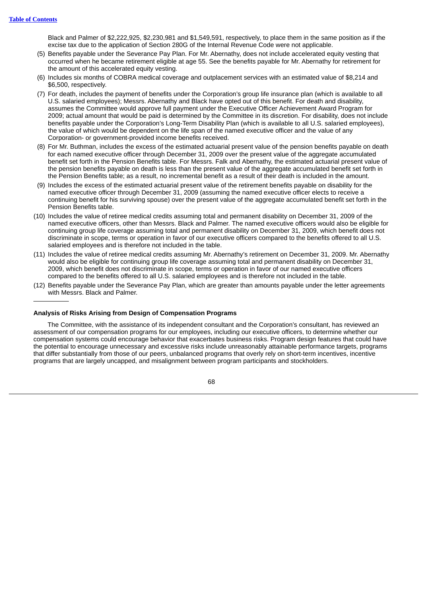Black and Palmer of \$2,222,925, \$2,230,981 and \$1,549,591, respectively, to place them in the same position as if the excise tax due to the application of Section 280G of the Internal Revenue Code were not applicable.

- (5) Benefits payable under the Severance Pay Plan. For Mr. Abernathy, does not include accelerated equity vesting that occurred when he became retirement eligible at age 55. See the benefits payable for Mr. Abernathy for retirement for the amount of this accelerated equity vesting.
- (6) Includes six months of COBRA medical coverage and outplacement services with an estimated value of \$8,214 and \$6,500, respectively.
- (7) For death, includes the payment of benefits under the Corporation's group life insurance plan (which is available to all U.S. salaried employees); Messrs. Abernathy and Black have opted out of this benefit. For death and disability, assumes the Committee would approve full payment under the Executive Officer Achievement Award Program for 2009; actual amount that would be paid is determined by the Committee in its discretion. For disability, does not include benefits payable under the Corporation's Long-Term Disability Plan (which is available to all U.S. salaried employees), the value of which would be dependent on the life span of the named executive officer and the value of any Corporation- or government-provided income benefits received.
- (8) For Mr. Buthman, includes the excess of the estimated actuarial present value of the pension benefits payable on death for each named executive officer through December 31, 2009 over the present value of the aggregate accumulated benefit set forth in the Pension Benefits table. For Messrs. Falk and Abernathy, the estimated actuarial present value of the pension benefits payable on death is less than the present value of the aggregate accumulated benefit set forth in the Pension Benefits table; as a result, no incremental benefit as a result of their death is included in the amount.
- (9) Includes the excess of the estimated actuarial present value of the retirement benefits payable on disability for the named executive officer through December 31, 2009 (assuming the named executive officer elects to receive a continuing benefit for his surviving spouse) over the present value of the aggregate accumulated benefit set forth in the Pension Benefits table.
- (10) Includes the value of retiree medical credits assuming total and permanent disability on December 31, 2009 of the named executive officers, other than Messrs. Black and Palmer. The named executive officers would also be eligible for continuing group life coverage assuming total and permanent disability on December 31, 2009, which benefit does not discriminate in scope, terms or operation in favor of our executive officers compared to the benefits offered to all U.S. salaried employees and is therefore not included in the table.
- (11) Includes the value of retiree medical credits assuming Mr. Abernathy's retirement on December 31, 2009. Mr. Abernathy would also be eligible for continuing group life coverage assuming total and permanent disability on December 31, 2009, which benefit does not discriminate in scope, terms or operation in favor of our named executive officers compared to the benefits offered to all U.S. salaried employees and is therefore not included in the table.
- (12) Benefits payable under the Severance Pay Plan, which are greater than amounts payable under the letter agreements with Messrs. Black and Palmer.

#### **Analysis of Risks Arising from Design of Compensation Programs**

The Committee, with the assistance of its independent consultant and the Corporation's consultant, has reviewed an assessment of our compensation programs for our employees, including our executive officers, to determine whether our compensation systems could encourage behavior that exacerbates business risks. Program design features that could have the potential to encourage unnecessary and excessive risks include unreasonably attainable performance targets, programs that differ substantially from those of our peers, unbalanced programs that overly rely on short-term incentives, incentive programs that are largely uncapped, and misalignment between program participants and stockholders.

68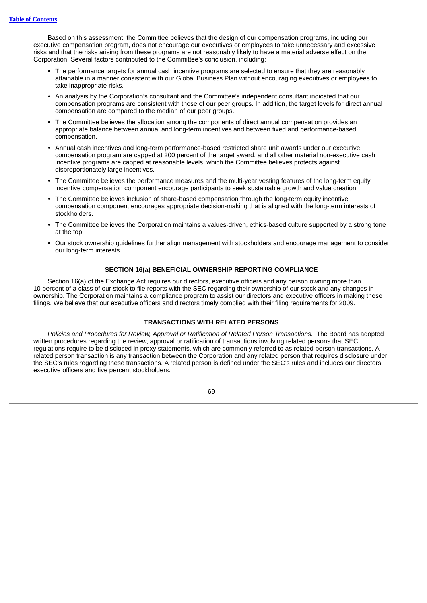Based on this assessment, the Committee believes that the design of our compensation programs, including our executive compensation program, does not encourage our executives or employees to take unnecessary and excessive risks and that the risks arising from these programs are not reasonably likely to have a material adverse effect on the Corporation. Several factors contributed to the Committee's conclusion, including:

- The performance targets for annual cash incentive programs are selected to ensure that they are reasonably attainable in a manner consistent with our Global Business Plan without encouraging executives or employees to take inappropriate risks.
- An analysis by the Corporation's consultant and the Committee's independent consultant indicated that our compensation programs are consistent with those of our peer groups. In addition, the target levels for direct annual compensation are compared to the median of our peer groups.
- The Committee believes the allocation among the components of direct annual compensation provides an appropriate balance between annual and long-term incentives and between fixed and performance-based compensation.
- Annual cash incentives and long-term performance-based restricted share unit awards under our executive compensation program are capped at 200 percent of the target award, and all other material non-executive cash incentive programs are capped at reasonable levels, which the Committee believes protects against disproportionately large incentives.
- The Committee believes the performance measures and the multi-year vesting features of the long-term equity incentive compensation component encourage participants to seek sustainable growth and value creation.
- The Committee believes inclusion of share-based compensation through the long-term equity incentive compensation component encourages appropriate decision-making that is aligned with the long-term interests of stockholders.
- The Committee believes the Corporation maintains a values-driven, ethics-based culture supported by a strong tone at the top.
- Our stock ownership guidelines further align management with stockholders and encourage management to consider our long-term interests.

## **SECTION 16(a) BENEFICIAL OWNERSHIP REPORTING COMPLIANCE**

Section 16(a) of the Exchange Act requires our directors, executive officers and any person owning more than 10 percent of a class of our stock to file reports with the SEC regarding their ownership of our stock and any changes in ownership. The Corporation maintains a compliance program to assist our directors and executive officers in making these filings. We believe that our executive officers and directors timely complied with their filing requirements for 2009.

## **TRANSACTIONS WITH RELATED PERSONS**

*Policies and Procedures for Review, Approval or Ratification of Related Person Transactions.* The Board has adopted written procedures regarding the review, approval or ratification of transactions involving related persons that SEC regulations require to be disclosed in proxy statements, which are commonly referred to as related person transactions. A related person transaction is any transaction between the Corporation and any related person that requires disclosure under the SEC's rules regarding these transactions. A related person is defined under the SEC's rules and includes our directors, executive officers and five percent stockholders.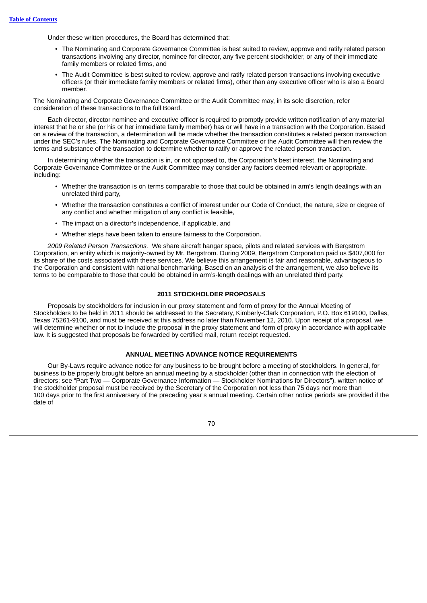Under these written procedures, the Board has determined that:

- The Nominating and Corporate Governance Committee is best suited to review, approve and ratify related person transactions involving any director, nominee for director, any five percent stockholder, or any of their immediate family members or related firms, and
- The Audit Committee is best suited to review, approve and ratify related person transactions involving executive officers (or their immediate family members or related firms), other than any executive officer who is also a Board member.

The Nominating and Corporate Governance Committee or the Audit Committee may, in its sole discretion, refer consideration of these transactions to the full Board.

Each director, director nominee and executive officer is required to promptly provide written notification of any material interest that he or she (or his or her immediate family member) has or will have in a transaction with the Corporation. Based on a review of the transaction, a determination will be made whether the transaction constitutes a related person transaction under the SEC's rules. The Nominating and Corporate Governance Committee or the Audit Committee will then review the terms and substance of the transaction to determine whether to ratify or approve the related person transaction.

In determining whether the transaction is in, or not opposed to, the Corporation's best interest, the Nominating and Corporate Governance Committee or the Audit Committee may consider any factors deemed relevant or appropriate, including:

- Whether the transaction is on terms comparable to those that could be obtained in arm's length dealings with an unrelated third party,
- Whether the transaction constitutes a conflict of interest under our Code of Conduct, the nature, size or degree of any conflict and whether mitigation of any conflict is feasible,
- The impact on a director's independence, if applicable, and
- Whether steps have been taken to ensure fairness to the Corporation.

*2009 Related Person Transactions.* We share aircraft hangar space, pilots and related services with Bergstrom Corporation, an entity which is majority-owned by Mr. Bergstrom. During 2009, Bergstrom Corporation paid us \$407,000 for its share of the costs associated with these services. We believe this arrangement is fair and reasonable, advantageous to the Corporation and consistent with national benchmarking. Based on an analysis of the arrangement, we also believe its terms to be comparable to those that could be obtained in arm's-length dealings with an unrelated third party.

## **2011 STOCKHOLDER PROPOSALS**

Proposals by stockholders for inclusion in our proxy statement and form of proxy for the Annual Meeting of Stockholders to be held in 2011 should be addressed to the Secretary, Kimberly-Clark Corporation, P.O. Box 619100, Dallas, Texas 75261-9100, and must be received at this address no later than November 12, 2010. Upon receipt of a proposal, we will determine whether or not to include the proposal in the proxy statement and form of proxy in accordance with applicable law. It is suggested that proposals be forwarded by certified mail, return receipt requested.

## **ANNUAL MEETING ADVANCE NOTICE REQUIREMENTS**

Our By-Laws require advance notice for any business to be brought before a meeting of stockholders. In general, for business to be properly brought before an annual meeting by a stockholder (other than in connection with the election of directors; see "Part Two — Corporate Governance Information — Stockholder Nominations for Directors"), written notice of the stockholder proposal must be received by the Secretary of the Corporation not less than 75 days nor more than 100 days prior to the first anniversary of the preceding year's annual meeting. Certain other notice periods are provided if the date of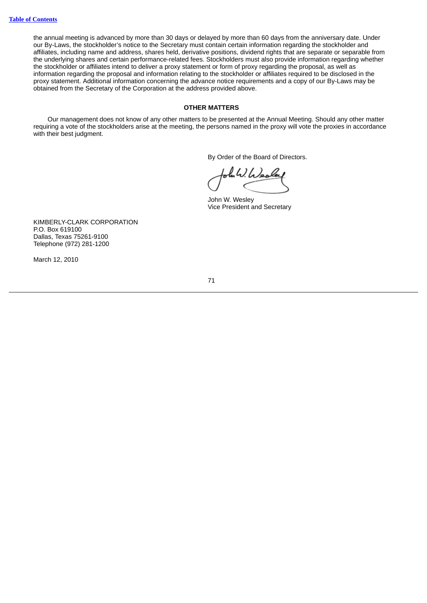the annual meeting is advanced by more than 30 days or delayed by more than 60 days from the anniversary date. Under our By-Laws, the stockholder's notice to the Secretary must contain certain information regarding the stockholder and affiliates, including name and address, shares held, derivative positions, dividend rights that are separate or separable from the underlying shares and certain performance-related fees. Stockholders must also provide information regarding whether the stockholder or affiliates intend to deliver a proxy statement or form of proxy regarding the proposal, as well as information regarding the proposal and information relating to the stockholder or affiliates required to be disclosed in the proxy statement. Additional information concerning the advance notice requirements and a copy of our By-Laws may be obtained from the Secretary of the Corporation at the address provided above.

#### **OTHER MATTERS**

Our management does not know of any other matters to be presented at the Annual Meeting. Should any other matter requiring a vote of the stockholders arise at the meeting, the persons named in the proxy will vote the proxies in accordance with their best judgment.

By Order of the Board of Directors.

bola W. Warle

John W. Wesley Vice President and Secretary

KIMBERLY-CLARK CORPORATION P.O. Box 619100 Dallas, Texas 75261-9100 Telephone (972) 281-1200

March 12, 2010

71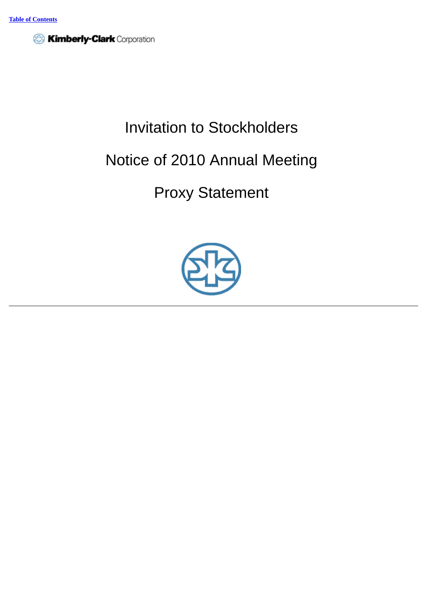

# Invitation to Stockholders

## Notice of 2010 Annual Meeting

## Proxy Statement

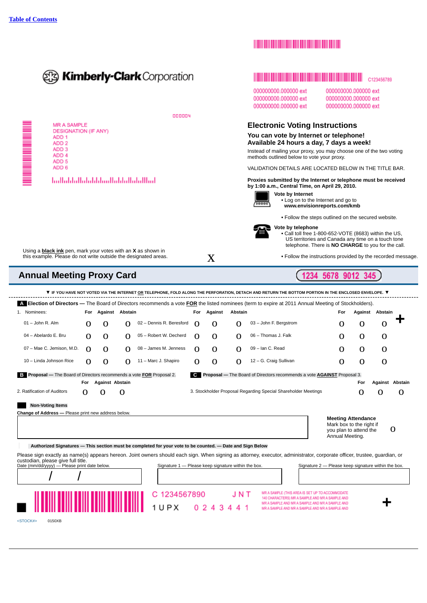

## **The Committee of the Committee of the Committee of the Committee of the Committee**